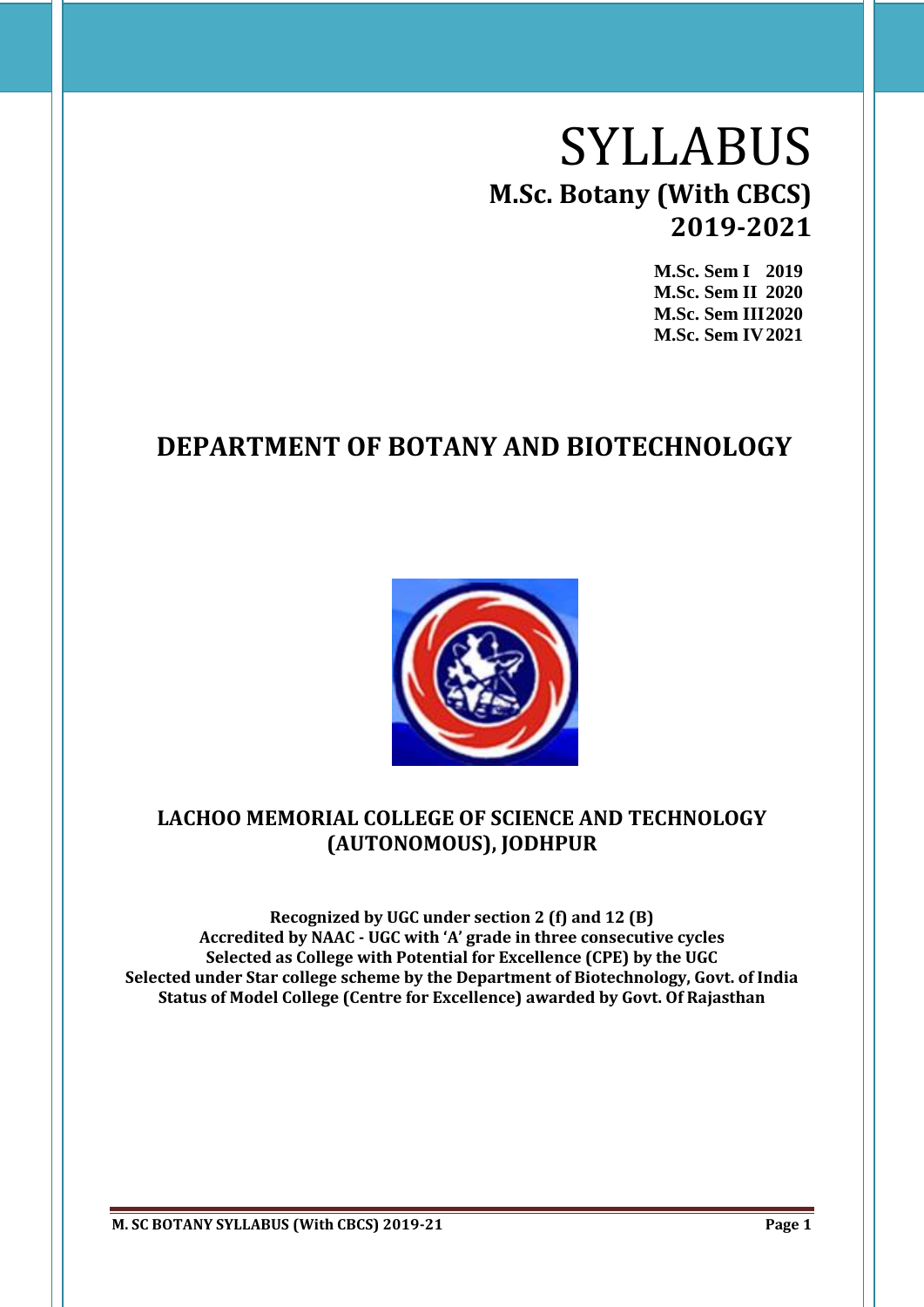# SYLLABUS **M.Sc. Botany (With CBCS) 2019-2021**

**M.Sc. Sem I 2019 M.Sc. Sem II 2020 M.Sc. Sem III2020 M.Sc. Sem IV2021**

# **DEPARTMENT OF BOTANY AND BIOTECHNOLOGY**



# **LACHOO MEMORIAL COLLEGE OF SCIENCE AND TECHNOLOGY (AUTONOMOUS), JODHPUR**

**Recognized by UGC under section 2 (f) and 12 (B) Accredited by NAAC - UGC with 'A' grade in three consecutive cycles Selected as College with Potential for Excellence (CPE) by the UGC Selected under Star college scheme by the Department of Biotechnology, Govt. of India Status of Model College (Centre for Excellence) awarded by Govt. Of Rajasthan**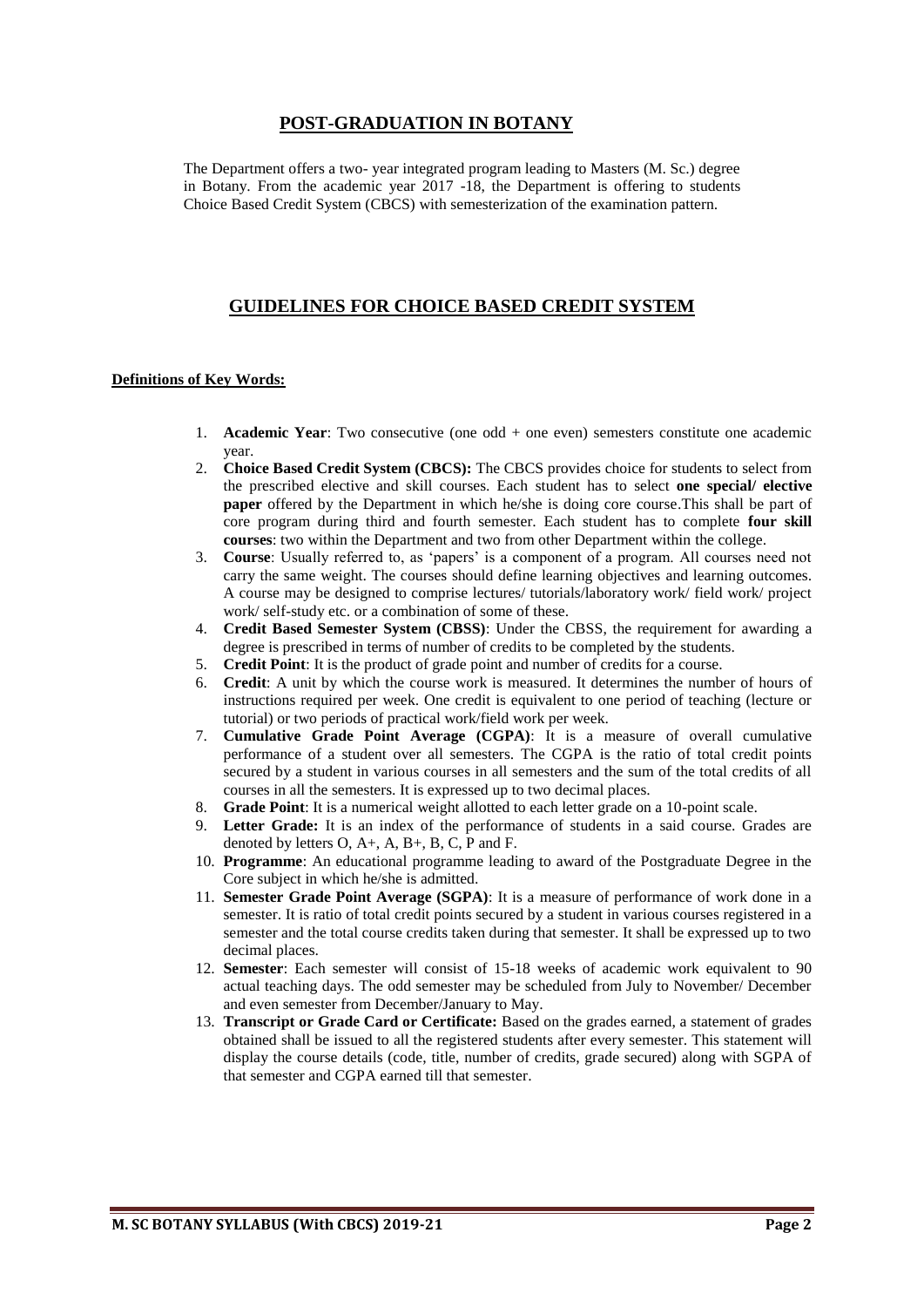# **POST-GRADUATION IN BOTANY**

The Department offers a two- year integrated program leading to Masters (M. Sc.) degree in Botany. From the academic year 2017 -18, the Department is offering to students Choice Based Credit System (CBCS) with semesterization of the examination pattern.

# **GUIDELINES FOR CHOICE BASED CREDIT SYSTEM**

#### **Definitions of Key Words:**

- 1. **Academic Year**: Two consecutive (one odd + one even) semesters constitute one academic year.
- 2. **Choice Based Credit System (CBCS):** The CBCS provides choice for students to select from the prescribed elective and skill courses. Each student has to select **one special/ elective paper** offered by the Department in which he/she is doing core course. This shall be part of core program during third and fourth semester. Each student has to complete **four skill courses**: two within the Department and two from other Department within the college.
- 3. **Course**: Usually referred to, as 'papers' is a component of a program. All courses need not carry the same weight. The courses should define learning objectives and learning outcomes. A course may be designed to comprise lectures/ tutorials/laboratory work/ field work/ project work/ self-study etc. or a combination of some of these.
- 4. **Credit Based Semester System (CBSS)**: Under the CBSS, the requirement for awarding a degree is prescribed in terms of number of credits to be completed by the students.
- 5. **Credit Point**: It is the product of grade point and number of credits for a course.
- 6. **Credit**: A unit by which the course work is measured. It determines the number of hours of instructions required per week. One credit is equivalent to one period of teaching (lecture or tutorial) or two periods of practical work/field work per week.
- 7. **Cumulative Grade Point Average (CGPA)**: It is a measure of overall cumulative performance of a student over all semesters. The CGPA is the ratio of total credit points secured by a student in various courses in all semesters and the sum of the total credits of all courses in all the semesters. It is expressed up to two decimal places.
- 8. **Grade Point**: It is a numerical weight allotted to each letter grade on a 10-point scale.
- 9. **Letter Grade:** It is an index of the performance of students in a said course. Grades are denoted by letters O, A+, A, B+, B, C, P and F.
- 10. **Programme**: An educational programme leading to award of the Postgraduate Degree in the Core subject in which he/she is admitted.
- 11. **Semester Grade Point Average (SGPA)**: It is a measure of performance of work done in a semester. It is ratio of total credit points secured by a student in various courses registered in a semester and the total course credits taken during that semester. It shall be expressed up to two decimal places.
- 12. **Semester**: Each semester will consist of 15-18 weeks of academic work equivalent to 90 actual teaching days. The odd semester may be scheduled from July to November/ December and even semester from December/January to May.
- 13. **Transcript or Grade Card or Certificate:** Based on the grades earned, a statement of grades obtained shall be issued to all the registered students after every semester. This statement will display the course details (code, title, number of credits, grade secured) along with SGPA of that semester and CGPA earned till that semester.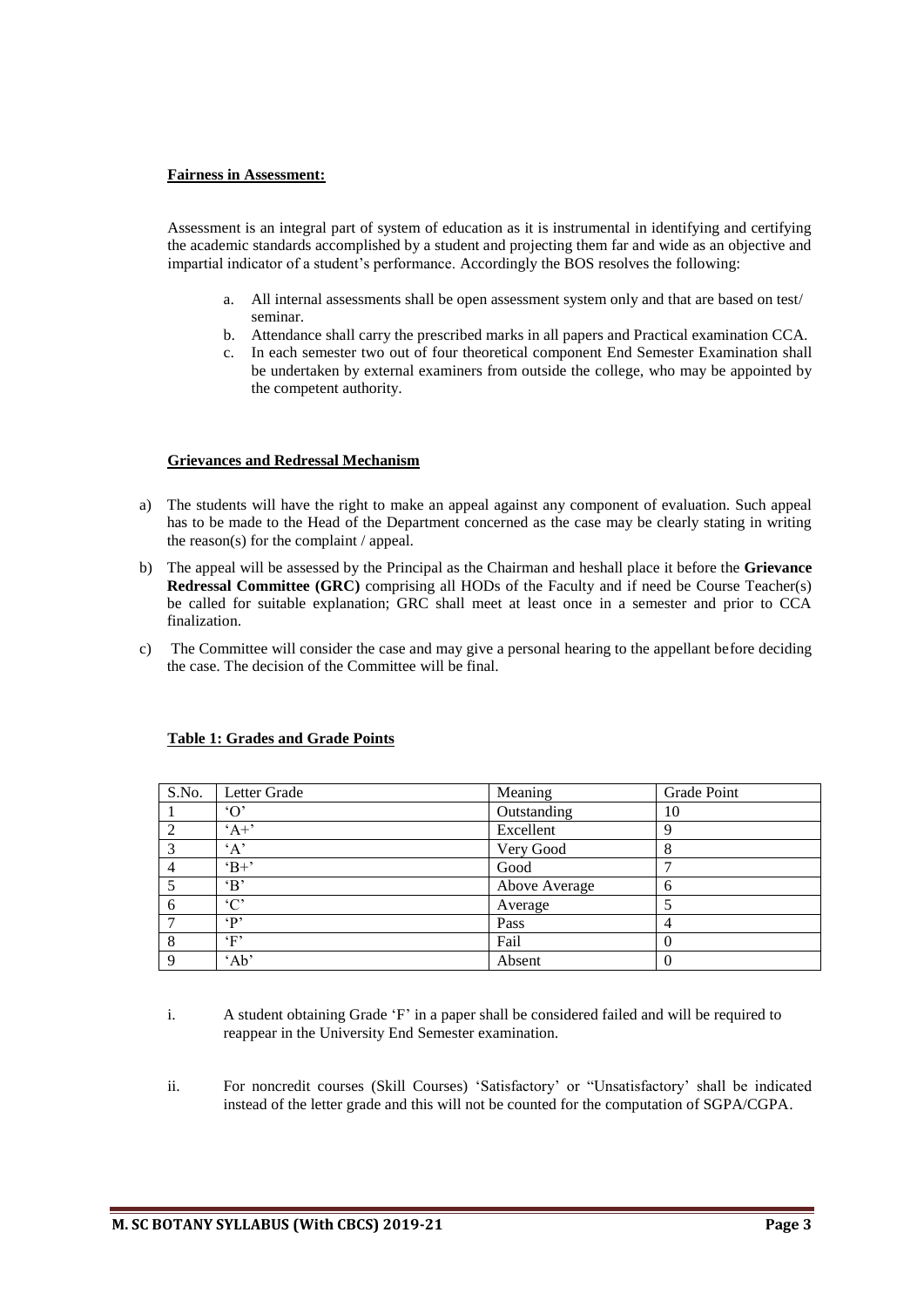#### **Fairness in Assessment:**

Assessment is an integral part of system of education as it is instrumental in identifying and certifying the academic standards accomplished by a student and projecting them far and wide as an objective and impartial indicator of a student's performance. Accordingly the BOS resolves the following:

- a. All internal assessments shall be open assessment system only and that are based on test/ seminar.
- b. Attendance shall carry the prescribed marks in all papers and Practical examination CCA.
- c. In each semester two out of four theoretical component End Semester Examination shall be undertaken by external examiners from outside the college, who may be appointed by the competent authority.

#### **Grievances and Redressal Mechanism**

- a) The students will have the right to make an appeal against any component of evaluation. Such appeal has to be made to the Head of the Department concerned as the case may be clearly stating in writing the reason(s) for the complaint / appeal.
- b) The appeal will be assessed by the Principal as the Chairman and heshall place it before the **Grievance Redressal Committee (GRC)** comprising all HODs of the Faculty and if need be Course Teacher(s) be called for suitable explanation; GRC shall meet at least once in a semester and prior to CCA finalization.
- c) The Committee will consider the case and may give a personal hearing to the appellant before deciding the case. The decision of the Committee will be final.

| S.No.       | Letter Grade        | Meaning       | Grade Point |
|-------------|---------------------|---------------|-------------|
|             | $^{\circ}$ $\Omega$ | Outstanding   | 10          |
| ↑           | $A^+$               | Excellent     | 9           |
| 3           | A                   | Very Good     | 8           |
|             | $B+$                | Good          |             |
|             | $\mathbf{B}$        | Above Average | 6           |
| 6           | $\cdot$ C'          | Average       |             |
|             | $\mathbf{P}$        | Pass          | 4           |
| 8           | $\mathbf{F}$        | Fail          | 0           |
| $\mathbf Q$ | 'Ab'                | Absent        | $\theta$    |

#### **Table 1: Grades and Grade Points**

- i. A student obtaining Grade 'F' in a paper shall be considered failed and will be required to reappear in the University End Semester examination.
- ii. For noncredit courses (Skill Courses) 'Satisfactory' or "Unsatisfactory' shall be indicated instead of the letter grade and this will not be counted for the computation of SGPA/CGPA.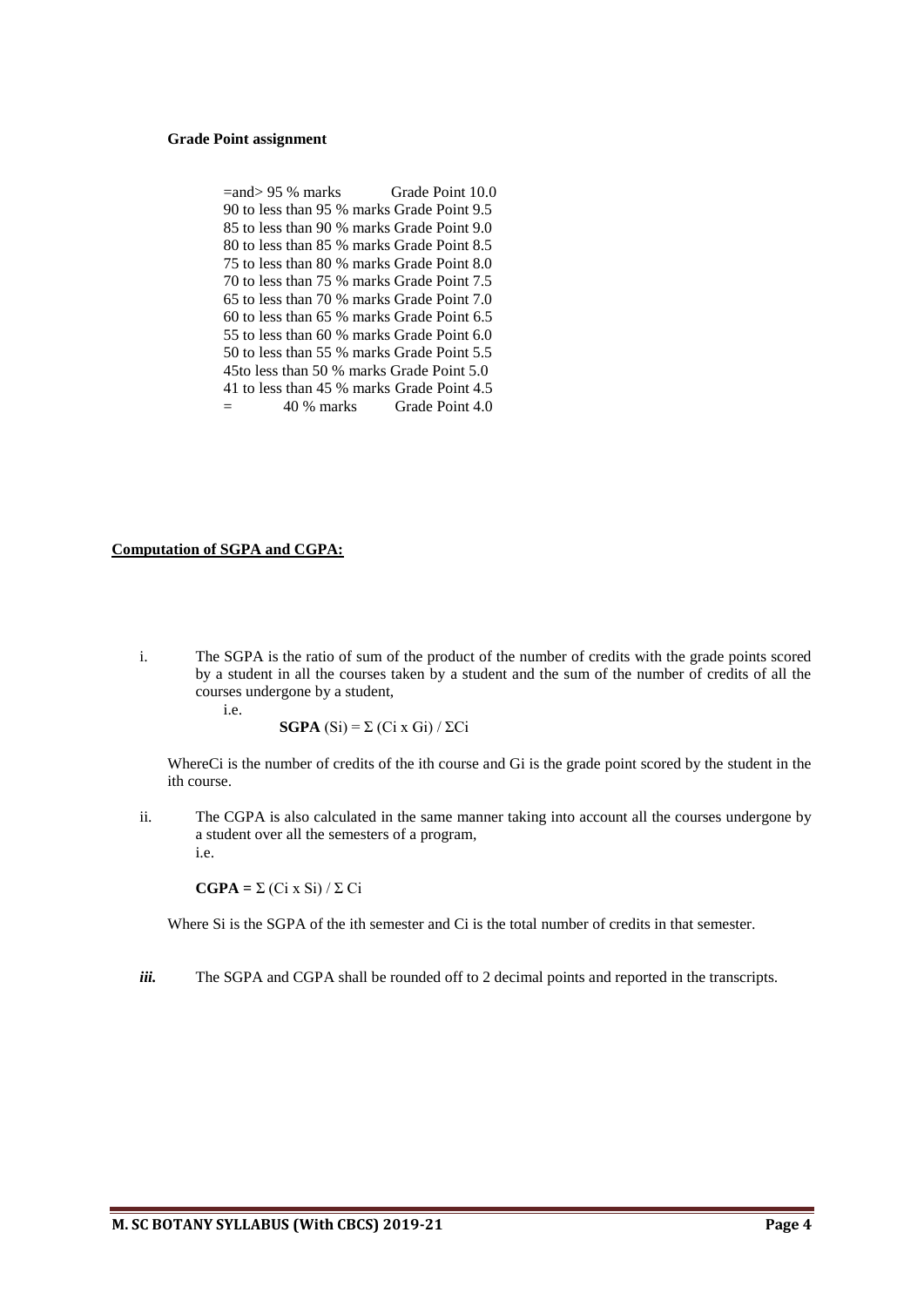#### **Grade Point assignment**

| $=$ and $> 95$ % marks | Grade Point 10.0                           |
|------------------------|--------------------------------------------|
|                        | 90 to less than 95 % marks Grade Point 9.5 |
|                        | 85 to less than 90 % marks Grade Point 9.0 |
|                        | 80 to less than 85 % marks Grade Point 8.5 |
|                        | 75 to less than 80 % marks Grade Point 8.0 |
|                        | 70 to less than 75 % marks Grade Point 7.5 |
|                        | 65 to less than 70 % marks Grade Point 7.0 |
|                        | 60 to less than 65 % marks Grade Point 6.5 |
|                        | 55 to less than 60 % marks Grade Point 6.0 |
|                        | 50 to less than 55 % marks Grade Point 5.5 |
|                        | 45to less than 50 % marks Grade Point 5.0  |
|                        | 41 to less than 45 % marks Grade Point 4.5 |
|                        | 40 % marks Grade Point 4.0                 |

#### **Computation of SGPA and CGPA:**

i. The SGPA is the ratio of sum of the product of the number of credits with the grade points scored by a student in all the courses taken by a student and the sum of the number of credits of all the courses undergone by a student,

i.e.

**SGPA** (Si) = Σ (Ci x Gi) / ΣCi

WhereCi is the number of credits of the ith course and Gi is the grade point scored by the student in the ith course.

ii. The CGPA is also calculated in the same manner taking into account all the courses undergone by a student over all the semesters of a program, i.e.

**CGPA =** Σ (Ci x Si) / Σ Ci

Where Si is the SGPA of the ith semester and Ci is the total number of credits in that semester.

*iii.* The SGPA and CGPA shall be rounded off to 2 decimal points and reported in the transcripts.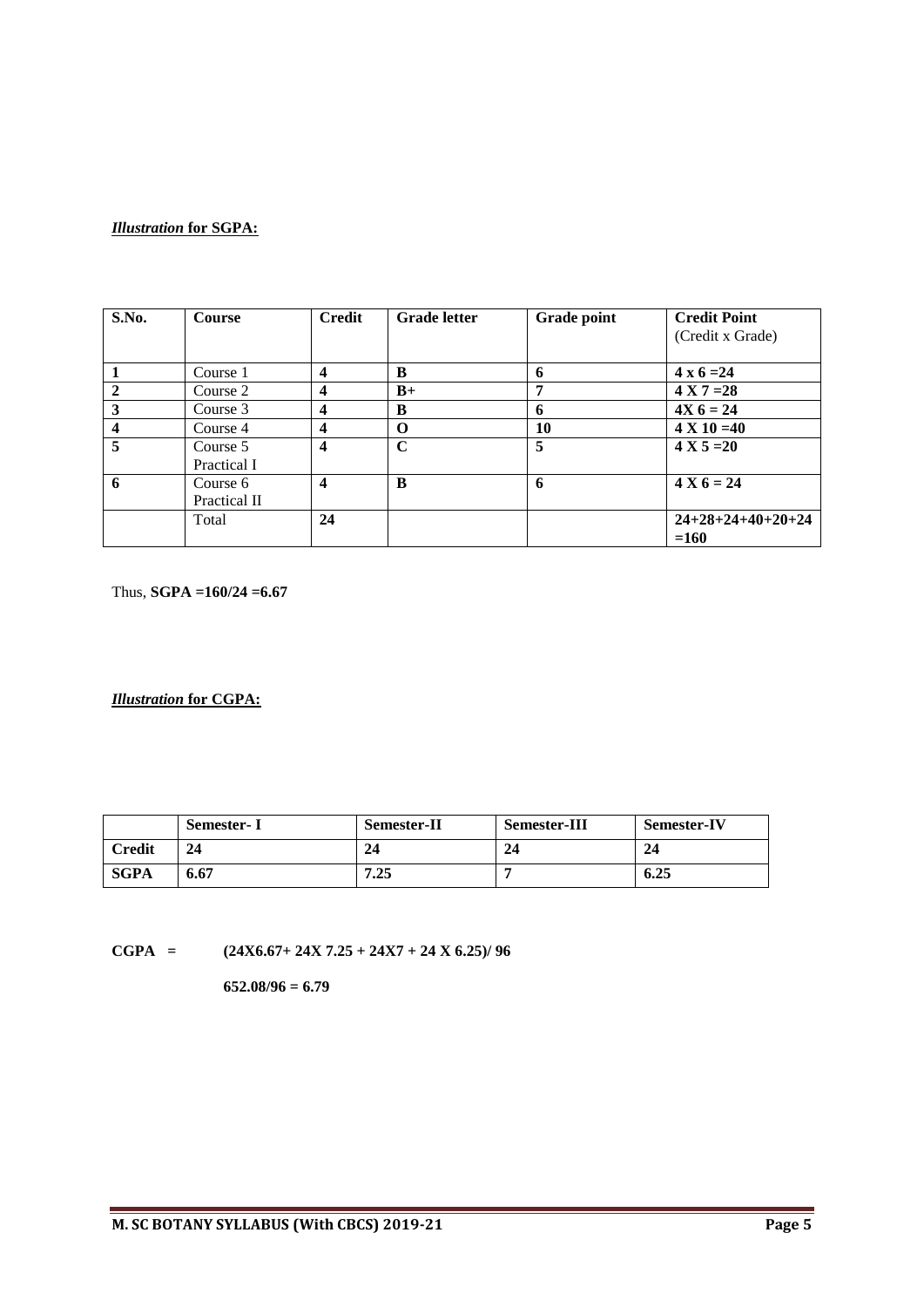# *Illustration* **for SGPA:**

| S.No.        | <b>Course</b> | <b>Credit</b>           | <b>Grade letter</b> | <b>Grade point</b> | <b>Credit Point</b> |
|--------------|---------------|-------------------------|---------------------|--------------------|---------------------|
|              |               |                         |                     |                    | (Credit x Grade)    |
|              |               |                         |                     |                    |                     |
|              | Course 1      | $\boldsymbol{4}$        | B                   | 6                  | $4 \times 6 = 24$   |
| $\mathbf{2}$ | Course 2      | $\overline{\mathbf{4}}$ | $B+$                | 7                  | $4 X 7 = 28$        |
| 3            | Course 3      | $\overline{\mathbf{4}}$ | B                   | 6                  | $4X_6 = 24$         |
| 4            | Course 4      | $\boldsymbol{4}$        | O                   | 10                 | $4 X 10 = 40$       |
| 5            | Course 5      | $\boldsymbol{4}$        | $\mathbf C$         | 5                  | $4 X 5 = 20$        |
|              | Practical I   |                         |                     |                    |                     |
| 6            | Course 6      | $\boldsymbol{4}$        | B                   | 6                  | $4 X 6 = 24$        |
|              | Practical II  |                         |                     |                    |                     |
|              | Total         | 24                      |                     |                    | $24+28+24+40+20+24$ |
|              |               |                         |                     |                    | $=160$              |

Thus, **SGPA =160/24 =6.67**

*Illustration* **for CGPA:**

|               | <b>Semester-I</b> | <b>Semester-II</b> | <b>Semester-III</b> | <b>Semester-IV</b> |
|---------------|-------------------|--------------------|---------------------|--------------------|
| <b>Credit</b> | 24                | 24                 | 24                  | 24                 |
| SGPA          | 6.67              | 7.25               |                     | 6.25               |

**CGPA** =  $(24X6.67 + 24X 7.25 + 24X7 + 24 X 6.25)/96$ 

**652.08/96 = 6.79**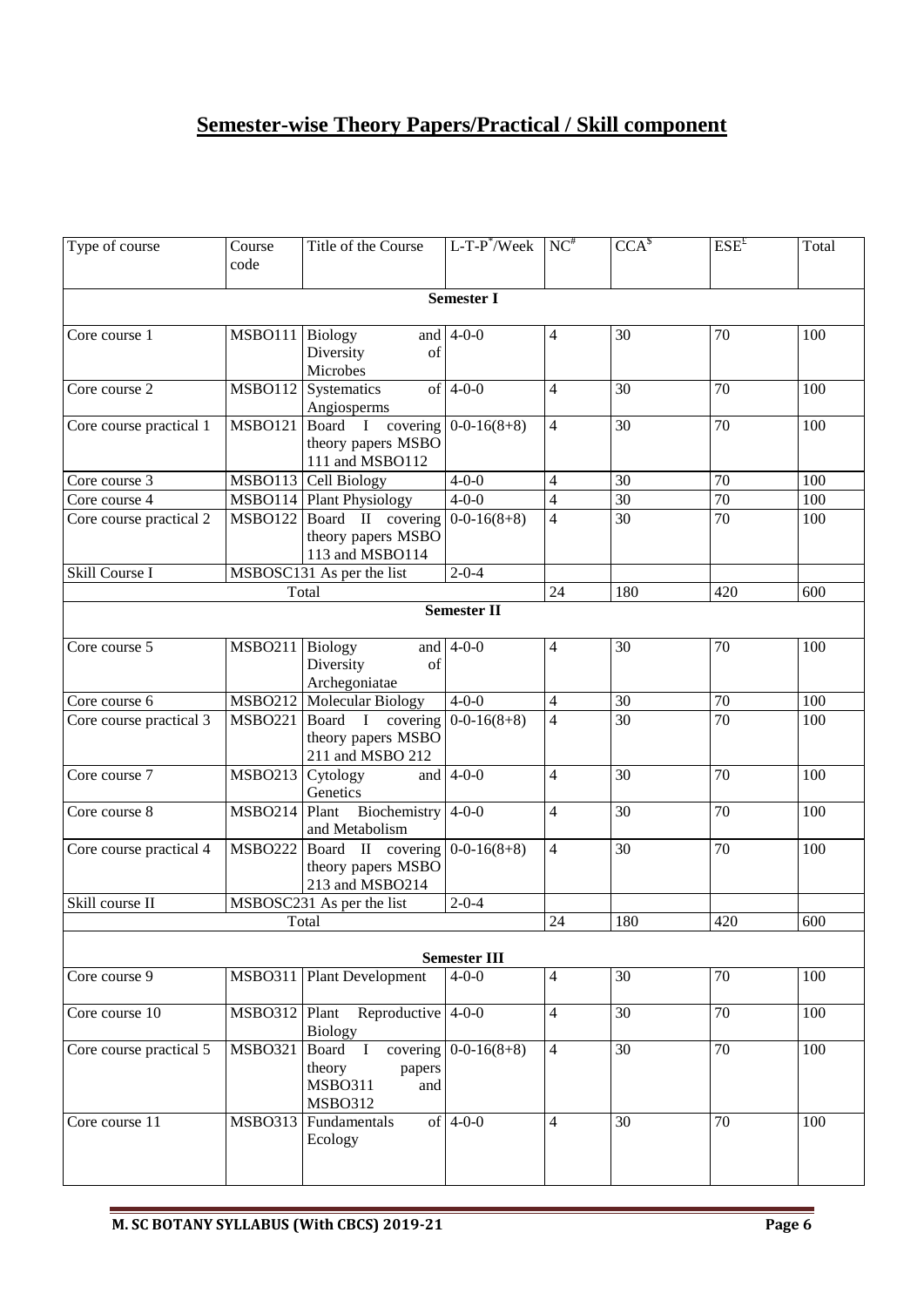# **Semester-wise Theory Papers/Practical / Skill component**

| Type of course          | Course<br>code   | Title of the Course                                                              | $L$ -T-P <sup>*</sup> /Week    | $NC^*$                   | CCA <sup>§</sup> | ESE <sup>E</sup> | Total |
|-------------------------|------------------|----------------------------------------------------------------------------------|--------------------------------|--------------------------|------------------|------------------|-------|
|                         |                  |                                                                                  | <b>Semester I</b>              |                          |                  |                  |       |
| Core course 1           | <b>MSBO111</b>   | Biology<br>Diversity<br>of<br>Microbes                                           | and $4-0-0$                    | $\overline{4}$           | 30               | 70               | 100   |
| Core course 2           |                  | MSBO112 Systematics<br>Angiosperms                                               | of $4-0-0$                     | $\overline{4}$           | 30               | 70               | 100   |
| Core course practical 1 | MSBO121 Board I  | theory papers MSBO<br>111 and MSBO112                                            | covering $0-0-16(8+8)$         | $\overline{4}$           | $\overline{30}$  | 70               | 100   |
| Core course 3           |                  | MSBO113 Cell Biology                                                             | $4 - 0 - 0$                    | $\overline{4}$           | 30               | 70               | 100   |
| Core course 4           |                  | MSBO114 Plant Physiology                                                         | $4 - 0 - 0$                    | $\overline{\mathcal{L}}$ | 30               | 70               | 100   |
| Core course practical 2 |                  | MSBO122 Board II covering $0-0-16(8+8)$<br>theory papers MSBO<br>113 and MSBO114 |                                | $\overline{4}$           | 30               | 70               | 100   |
| Skill Course I          |                  | MSBOSC131 As per the list                                                        | $2 - 0 - 4$                    |                          |                  |                  |       |
|                         |                  | Total                                                                            |                                | 24                       | 180              | 420              | 600   |
|                         |                  |                                                                                  | <b>Semester II</b>             |                          |                  |                  |       |
| Core course 5           | <b>MSBO211</b>   | <b>Biology</b><br>Diversity<br>of<br>Archegoniatae                               | and $4-0-0$                    | 4                        | 30               | 70               | 100   |
| Core course 6           |                  | MSBO212 Molecular Biology                                                        | $4 - 0 - 0$                    | $\overline{4}$           | 30               | $70\,$           | 100   |
| Core course practical 3 | <b>MSBO221</b>   | Board I covering $0-0-16(8+8)$<br>theory papers MSBO<br>211 and MSBO 212         |                                | $\overline{4}$           | 30               | 70               | 100   |
| Core course 7           | MSBO213 Cytology | Genetics                                                                         | and $4-0-0$                    | $\overline{4}$           | 30               | 70               | 100   |
| Core course 8           |                  | MSBO214 Plant Biochemistry<br>and Metabolism                                     | $4 - 0 - 0$                    | $\overline{4}$           | 30               | 70               | 100   |
| Core course practical 4 | <b>MSBO222</b>   | Board II covering $0-0-16(8+8)$<br>theory papers MSBO<br>213 and MSBO214         |                                | $\overline{4}$           | 30               | 70               | 100   |
| Skill course II         |                  | $\overline{\text{MSBOSC}}$ 231 As per the list                                   | $2 - 0 - 4$                    |                          |                  |                  |       |
|                         |                  | Total                                                                            |                                | 24                       | 180              | 420              | 600   |
|                         |                  |                                                                                  | <b>Semester III</b>            |                          |                  |                  |       |
| Core course 9           |                  | MSBO311 Plant Development                                                        | $4 - 0 - 0$                    | $\overline{4}$           | 30               | 70               | 100   |
| Core course 10          |                  | $MSBO312$ Plant Reproductive 4-0-0<br><b>Biology</b>                             |                                | $\overline{4}$           | 30               | $\overline{70}$  | 100   |
| Core course practical 5 | <b>MSBO321</b>   | Board I<br>theory<br>papers<br><b>MSBO311</b><br>and<br><b>MSBO312</b>           | covering $\boxed{0-0.16(8+8)}$ | $\overline{4}$           | 30               | 70               | 100   |
| Core course 11          | MSBO313          | Fundamentals<br>Ecology                                                          | of $4-0-0$                     | $\overline{4}$           | 30               | 70               | 100   |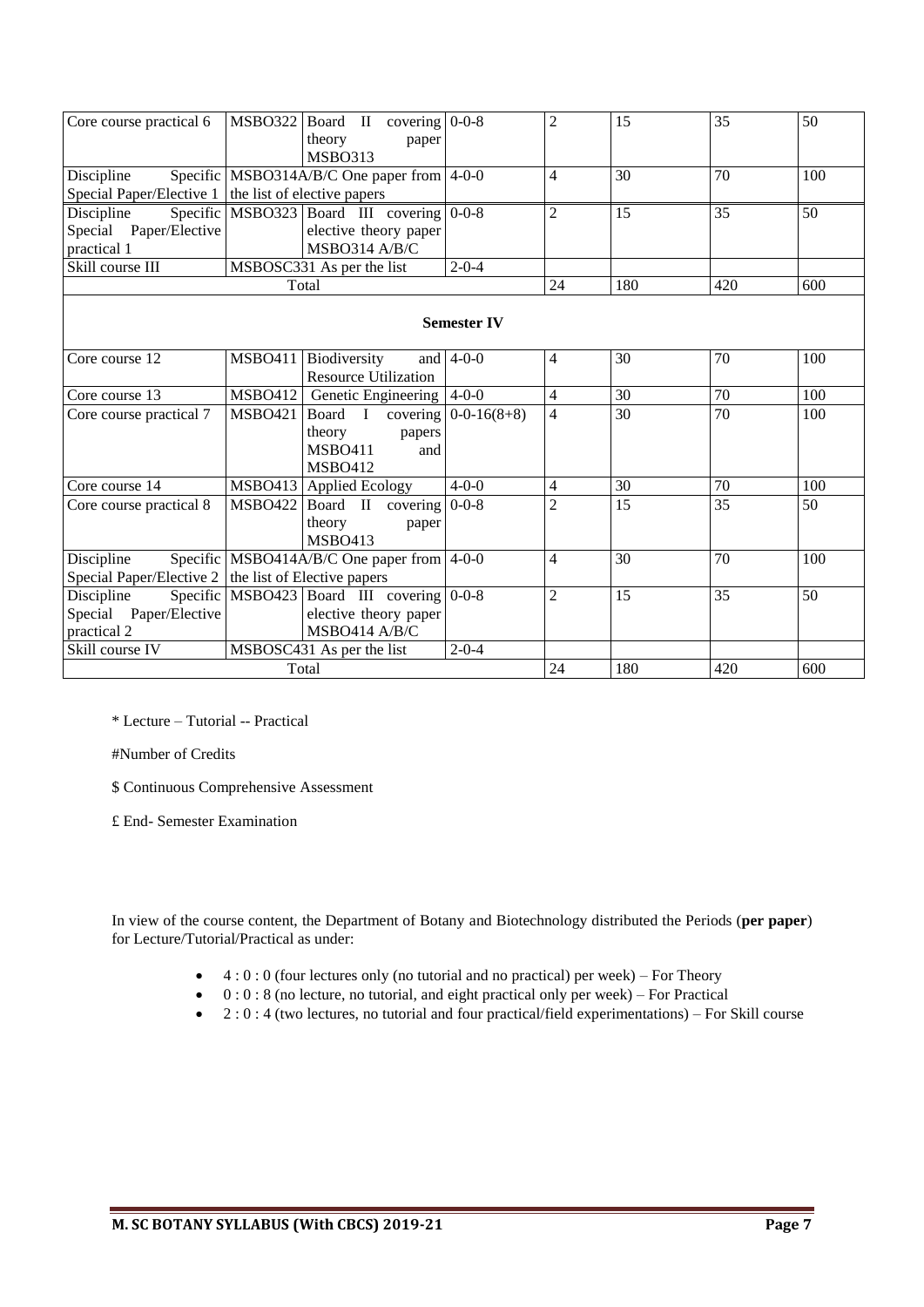| Core course practical 6                                      | $MSBO322$ Board II covering 0-0-8<br>theory<br><b>MSBO313</b> | paper                       |                        | $\overline{2}$ | 15              | 35              | 50               |
|--------------------------------------------------------------|---------------------------------------------------------------|-----------------------------|------------------------|----------------|-----------------|-----------------|------------------|
| Discipline                                                   | Specific MSBO314A/B/C One paper from $4-0-0$                  |                             |                        | $\overline{4}$ | 30              | 70              | 100              |
| Special Paper/Elective $1 \vert$ the list of elective papers |                                                               |                             |                        |                |                 |                 |                  |
| Discipline                                                   | Specific MSBO323 Board III covering 0-0-8                     |                             |                        | $\overline{2}$ | 15              | 35              | 50               |
| Special Paper/Elective                                       |                                                               | elective theory paper       |                        |                |                 |                 |                  |
| practical 1                                                  |                                                               | MSBO314 A/B/C               |                        |                |                 |                 |                  |
| Skill course III                                             | MSBOSC331 As per the list                                     |                             | $2 - 0 - 4$            |                |                 |                 |                  |
|                                                              | Total                                                         |                             |                        | 24             | 180             | 420             | 600              |
|                                                              |                                                               |                             | <b>Semester IV</b>     |                |                 |                 |                  |
| Core course 12                                               | <b>MSBO411</b><br>Biodiversity                                | <b>Resource Utilization</b> | and $ 4-0-0$           | 4              | 30              | 70              | 100              |
| Core course 13                                               | MSBO412 Genetic Engineering 4-0-0                             |                             |                        | $\overline{4}$ | $\overline{30}$ | $\overline{70}$ | $\overline{100}$ |
| Core course practical 7                                      | <b>MSBO421</b><br>Board I                                     |                             | covering $0-0-16(8+8)$ | 4              | 30              | $\overline{70}$ | 100              |
|                                                              | theory                                                        | papers                      |                        |                |                 |                 |                  |
|                                                              | <b>MSBO411</b>                                                | and                         |                        |                |                 |                 |                  |
|                                                              | <b>MSBO412</b>                                                |                             |                        |                |                 |                 |                  |
| Core course 14                                               | MSBO413 Applied Ecology                                       |                             | $4 - 0 - 0$            | 4              | 30              | 70              | 100              |
| Core course practical 8                                      | <b>MSBO422</b>                                                | Board II covering $0-0-8$   |                        | $\overline{2}$ | 15              | $\overline{35}$ | 50               |
|                                                              | theory                                                        | paper                       |                        |                |                 |                 |                  |
|                                                              | <b>MSBO413</b>                                                |                             |                        |                |                 |                 |                  |
| Discipline                                                   | Specific MSBO414A/B/C One paper from $ 4-0-0 $                |                             |                        | $\overline{4}$ | 30              | 70              | 100              |
| Special Paper/Elective $2 \mid$ the list of Elective papers  |                                                               |                             |                        |                |                 |                 |                  |
| Discipline                                                   | Specific MSBO423 Board III covering $0-0-8$                   |                             |                        | $\overline{2}$ | 15              | 35              | 50               |
| Special Paper/Elective                                       |                                                               | elective theory paper       |                        |                |                 |                 |                  |
| practical 2                                                  |                                                               | MSBO414 A/B/C               |                        |                |                 |                 |                  |
| Skill course IV                                              | MSBOSC431 As per the list                                     |                             | $2 - 0 - 4$            |                |                 |                 |                  |
| Total                                                        |                                                               |                             |                        | 24             | 180             | 420             | 600              |

\* Lecture – Tutorial -- Practical

#Number of Credits

\$ Continuous Comprehensive Assessment

£ End- Semester Examination

In view of the course content, the Department of Botany and Biotechnology distributed the Periods (**per paper**) for Lecture/Tutorial/Practical as under:

- $\bullet$  4 : 0 : 0 (four lectures only (no tutorial and no practical) per week) For Theory
- $\bullet$  0 : 0 : 8 (no lecture, no tutorial, and eight practical only per week) For Practical
- $\bullet$  2 : 0 : 4 (two lectures, no tutorial and four practical/field experimentations) For Skill course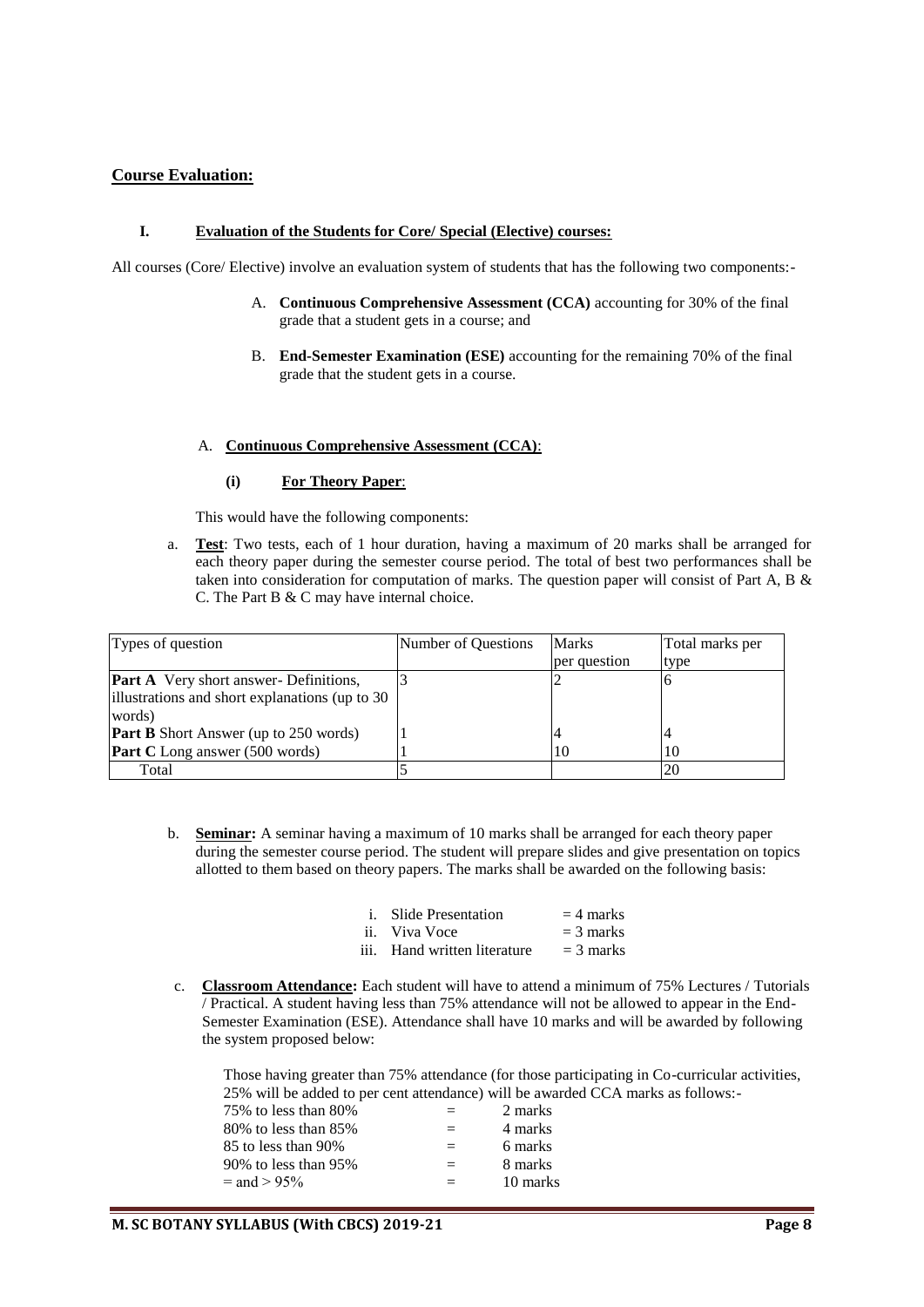# **Course Evaluation:**

#### **I. Evaluation of the Students for Core/ Special (Elective) courses:**

All courses (Core/ Elective) involve an evaluation system of students that has the following two components:-

- A. **Continuous Comprehensive Assessment (CCA)** accounting for 30% of the final grade that a student gets in a course; and
- B. **End-Semester Examination (ESE)** accounting for the remaining 70% of the final grade that the student gets in a course.

#### A. **Continuous Comprehensive Assessment (CCA)**:

#### **(i) For Theory Paper**:

This would have the following components:

a. **Test**: Two tests, each of 1 hour duration, having a maximum of 20 marks shall be arranged for each theory paper during the semester course period. The total of best two performances shall be taken into consideration for computation of marks. The question paper will consist of Part A, B & C. The Part B & C may have internal choice.

| Types of question                                         | Number of Questions | Marks        | Total marks per |
|-----------------------------------------------------------|---------------------|--------------|-----------------|
|                                                           |                     | per question | type            |
| <b>Part A</b> Very short answer- Definitions,             |                     |              |                 |
| illustrations and short explanations (up to 30)<br>words) |                     |              |                 |
| <b>Part B</b> Short Answer (up to 250 words)              |                     |              |                 |
| <b>Part C</b> Long answer (500 words)                     |                     | 10           | 10              |
| Total                                                     |                     |              | 20              |

b. **Seminar:** A seminar having a maximum of 10 marks shall be arranged for each theory paper during the semester course period. The student will prepare slides and give presentation on topics allotted to them based on theory papers. The marks shall be awarded on the following basis:

| <i>i.</i> Slide Presentation | $=$ 4 marks |
|------------------------------|-------------|
| ii. Viva Voce                | $=$ 3 marks |

- iii. Hand written literature  $= 3$  marks
- c. **Classroom Attendance:** Each student will have to attend a minimum of 75% Lectures / Tutorials / Practical. A student having less than 75% attendance will not be allowed to appear in the End-Semester Examination (ESE). Attendance shall have 10 marks and will be awarded by following the system proposed below:

Those having greater than 75% attendance (for those participating in Co-curricular activities, 25% will be added to per cent attendance) will be awarded CCA marks as follows:-

| 75% to less than 80% | $=$ | 2 marks  |
|----------------------|-----|----------|
| 80% to less than 85% | $=$ | 4 marks  |
| 85 to less than 90%  | $=$ | 6 marks  |
| 90% to less than 95% | $=$ | 8 marks  |
| $=$ and $> 95\%$     | $=$ | 10 marks |
|                      |     |          |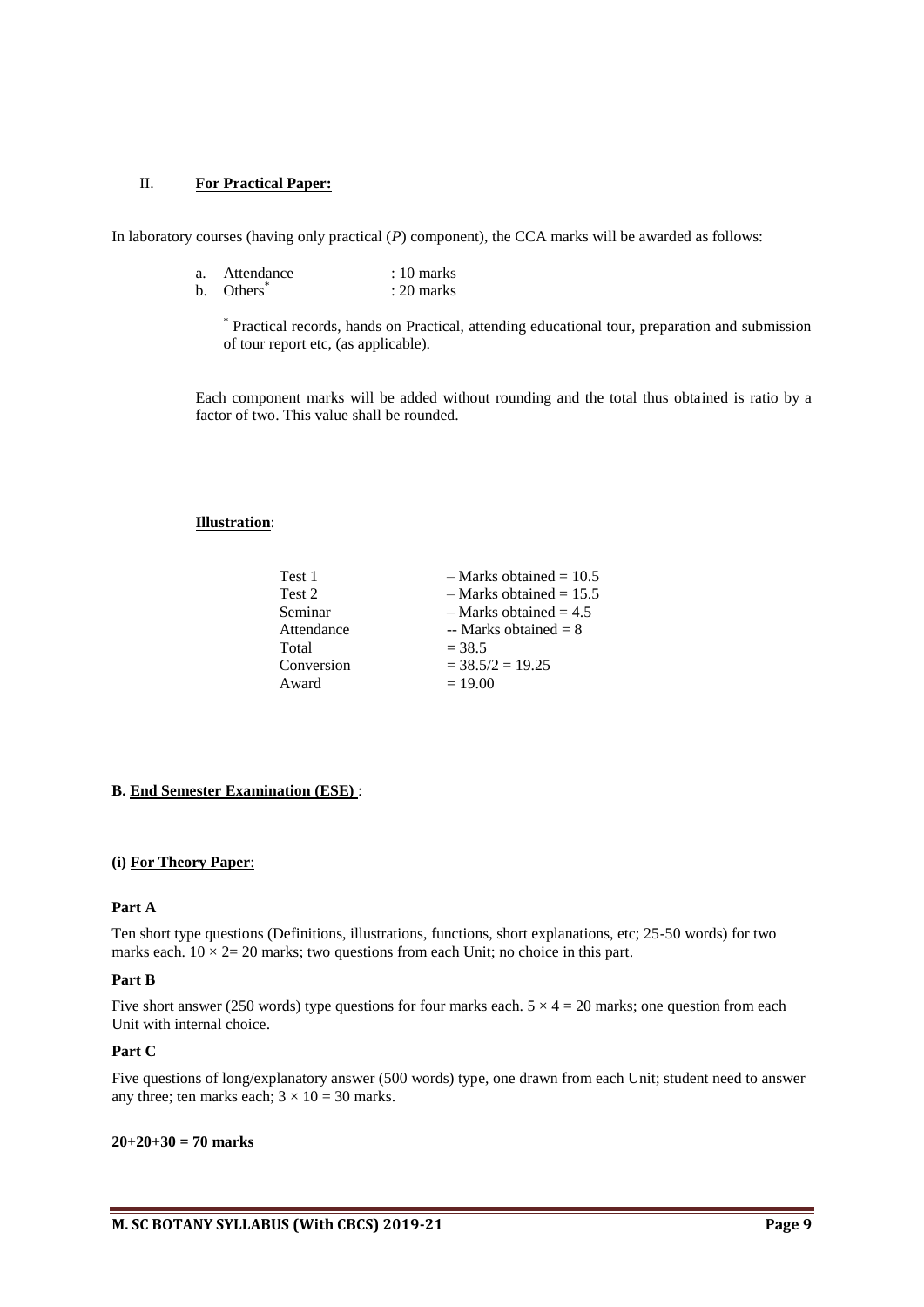# II. **For Practical Paper:**

In laboratory courses (having only practical (*P*) component), the CCA marks will be awarded as follows:

| a. | Attendance | $: 10 \text{ marks}$ |
|----|------------|----------------------|
|    | b. Others  | $: 20$ marks         |

\* Practical records, hands on Practical, attending educational tour, preparation and submission of tour report etc, (as applicable).

Each component marks will be added without rounding and the total thus obtained is ratio by a factor of two. This value shall be rounded.

#### **Illustration**:

| Test 1     | $-$ Marks obtained = 10.5  |
|------------|----------------------------|
| Test 2     | $-$ Marks obtained = 15.5  |
| Seminar    | $-$ Marks obtained $= 4.5$ |
| Attendance | -- Marks obtained $= 8$    |
| Total      | $= 38.5$                   |
| Conversion | $=$ 38.5/2 $=$ 19.25       |
| Award      | $= 19.00$                  |
|            |                            |

#### **B. End Semester Examination (ESE)** :

#### **(i) For Theory Paper**:

# **Part A**

Ten short type questions (Definitions, illustrations, functions, short explanations, etc; 25-50 words) for two marks each.  $10 \times 2 = 20$  marks; two questions from each Unit; no choice in this part.

#### **Part B**

Five short answer (250 words) type questions for four marks each.  $5 \times 4 = 20$  marks; one question from each Unit with internal choice.

#### **Part C**

Five questions of long/explanatory answer (500 words) type, one drawn from each Unit; student need to answer any three; ten marks each;  $3 \times 10 = 30$  marks.

#### **20+20+30 = 70 marks**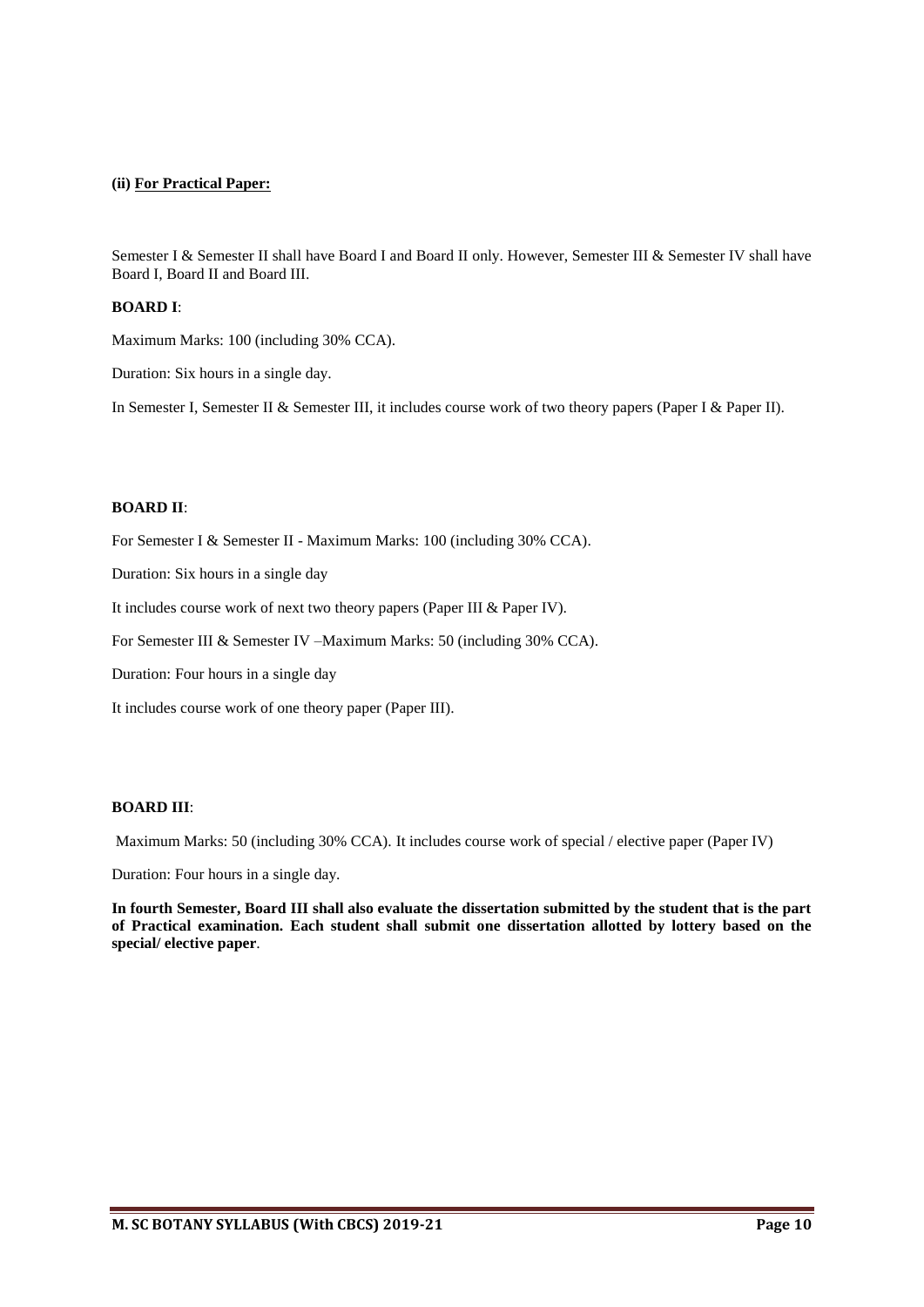#### **(ii) For Practical Paper:**

Semester I & Semester II shall have Board I and Board II only. However, Semester III & Semester IV shall have Board I, Board II and Board III.

#### **BOARD I**:

Maximum Marks: 100 (including 30% CCA).

Duration: Six hours in a single day.

In Semester I, Semester II & Semester III, it includes course work of two theory papers (Paper I & Paper II).

#### **BOARD II**:

For Semester I & Semester II - Maximum Marks: 100 (including 30% CCA).

Duration: Six hours in a single day

It includes course work of next two theory papers (Paper III & Paper IV).

For Semester III & Semester IV –Maximum Marks: 50 (including 30% CCA).

Duration: Four hours in a single day

It includes course work of one theory paper (Paper III).

# **BOARD III**:

Maximum Marks: 50 (including 30% CCA). It includes course work of special / elective paper (Paper IV)

Duration: Four hours in a single day.

**In fourth Semester, Board III shall also evaluate the dissertation submitted by the student that is the part of Practical examination. Each student shall submit one dissertation allotted by lottery based on the special/ elective paper**.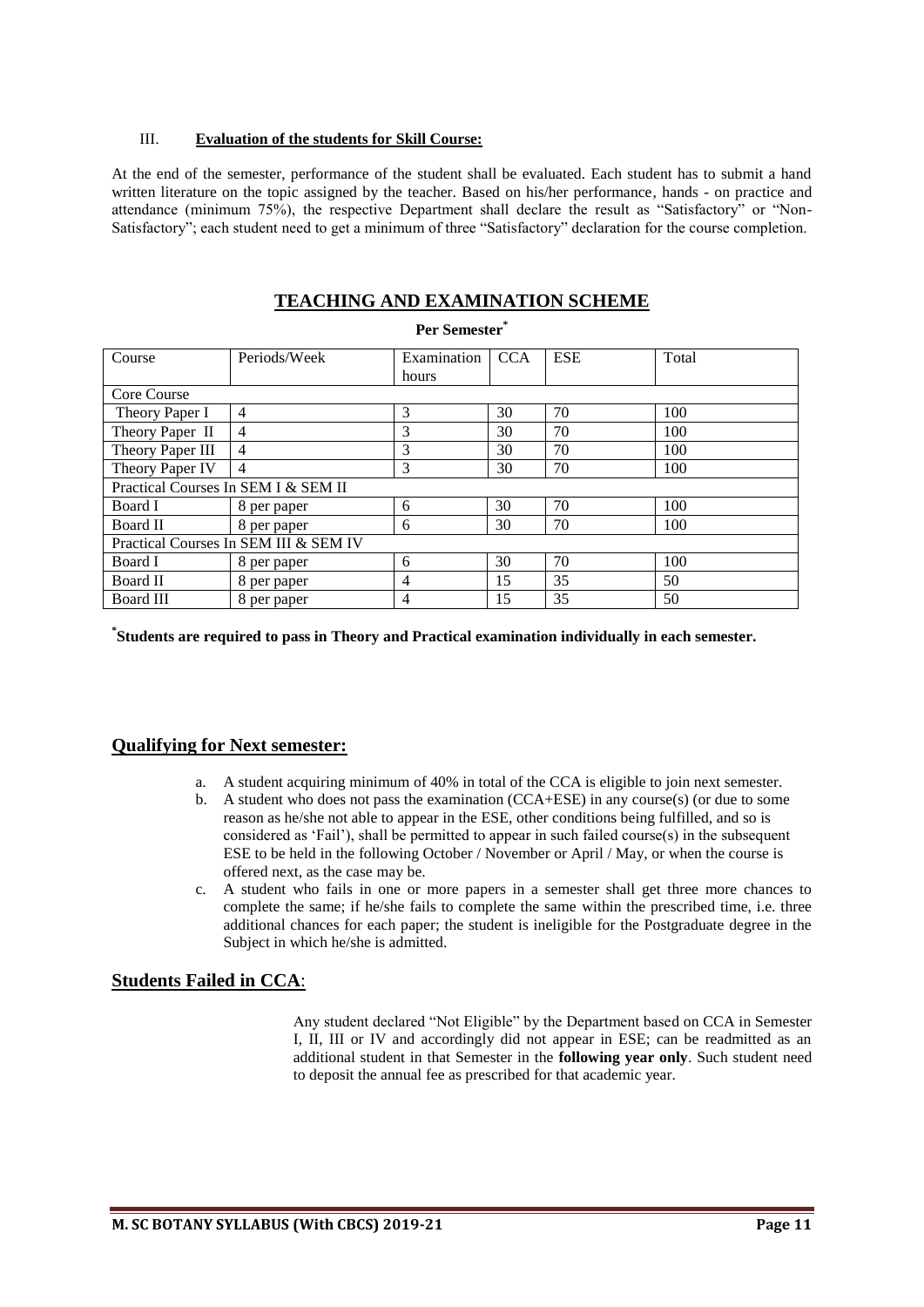# III. **Evaluation of the students for Skill Course:**

At the end of the semester, performance of the student shall be evaluated. Each student has to submit a hand written literature on the topic assigned by the teacher. Based on his/her performance, hands - on practice and attendance (minimum 75%), the respective Department shall declare the result as "Satisfactory" or "Non-Satisfactory"; each student need to get a minimum of three "Satisfactory" declaration for the course completion.

# **TEACHING AND EXAMINATION SCHEME**

**Per Semester\***

| Course                                | Periods/Week                        | Examination<br>hours | <b>CCA</b> | <b>ESE</b> | Total |  |  |  |
|---------------------------------------|-------------------------------------|----------------------|------------|------------|-------|--|--|--|
| Core Course                           |                                     |                      |            |            |       |  |  |  |
| Theory Paper I                        | $\overline{4}$                      | 3                    | 30         | 70         | 100   |  |  |  |
| Theory Paper II                       | 4                                   | 3                    | 30         | 70         | 100   |  |  |  |
| Theory Paper III                      | $\overline{4}$                      | 3                    | 30         | 70         | 100   |  |  |  |
| Theory Paper IV                       | $\overline{4}$                      | 3                    | 30         | 70         | 100   |  |  |  |
|                                       | Practical Courses In SEM I & SEM II |                      |            |            |       |  |  |  |
| Board I                               | 8 per paper                         | 6                    | 30         | 70         | 100   |  |  |  |
| Board II                              | 8 per paper                         | 6                    | 30         | 70         | 100   |  |  |  |
| Practical Courses In SEM III & SEM IV |                                     |                      |            |            |       |  |  |  |
| Board I                               | 8 per paper                         | 6                    | 30         | 70         | 100   |  |  |  |
| Board II                              | 8 per paper                         | 4                    | 15         | 35         | 50    |  |  |  |
| Board III                             | 8 per paper                         | 4                    | 15         | 35         | 50    |  |  |  |

**\* Students are required to pass in Theory and Practical examination individually in each semester.** 

# **Qualifying for Next semester:**

- a. A student acquiring minimum of 40% in total of the CCA is eligible to join next semester.
- b. A student who does not pass the examination (CCA+ESE) in any course(s) (or due to some reason as he/she not able to appear in the ESE, other conditions being fulfilled, and so is considered as 'Fail'), shall be permitted to appear in such failed course(s) in the subsequent ESE to be held in the following October / November or April / May, or when the course is offered next, as the case may be.
- c. A student who fails in one or more papers in a semester shall get three more chances to complete the same; if he/she fails to complete the same within the prescribed time, i.e. three additional chances for each paper; the student is ineligible for the Postgraduate degree in the Subject in which he/she is admitted.

# **Students Failed in CCA**:

Any student declared "Not Eligible" by the Department based on CCA in Semester I, II, III or IV and accordingly did not appear in ESE; can be readmitted as an additional student in that Semester in the **following year only**. Such student need to deposit the annual fee as prescribed for that academic year.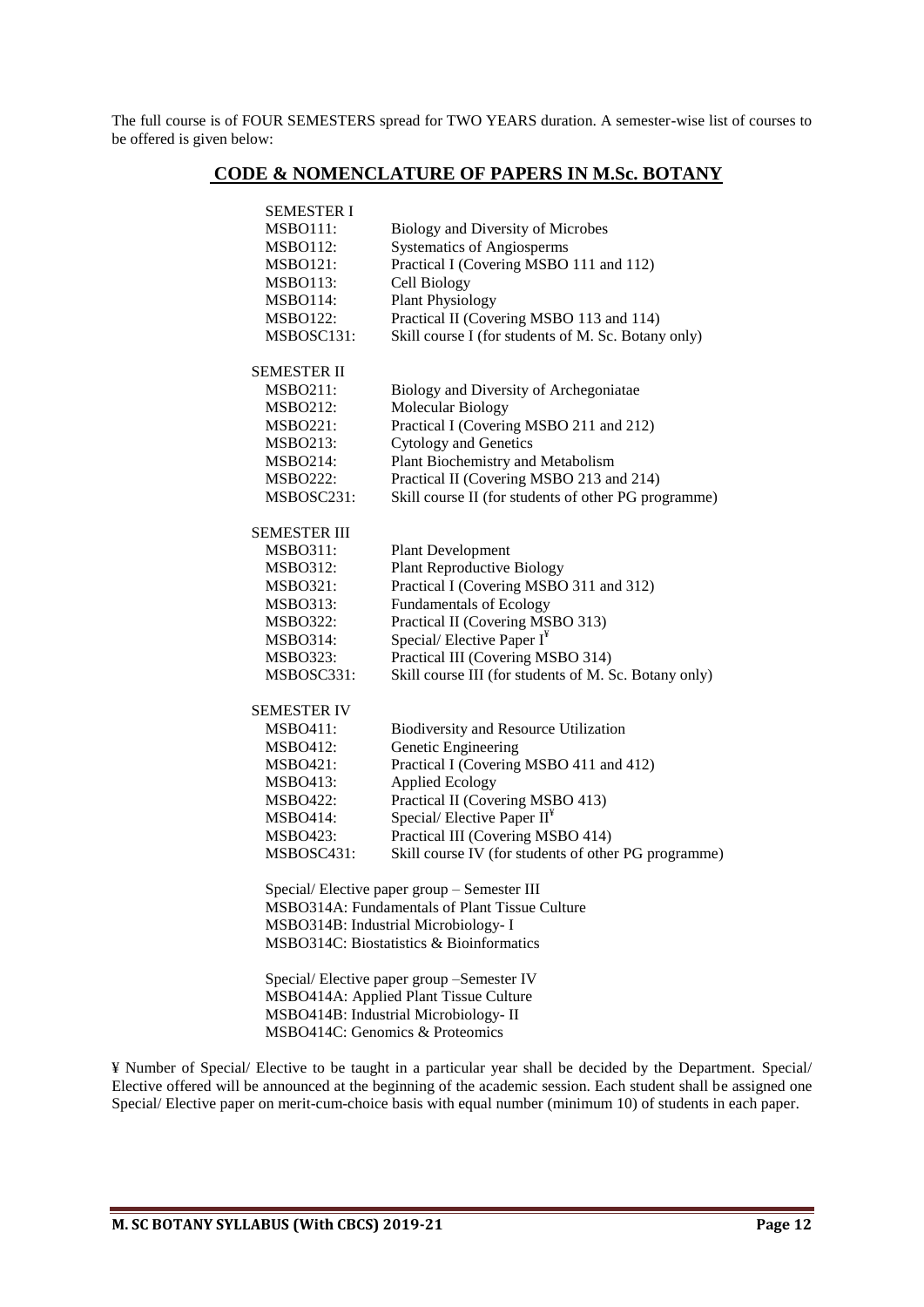The full course is of FOUR SEMESTERS spread for TWO YEARS duration. A semester-wise list of courses to be offered is given below:

# **CODE & NOMENCLATURE OF PAPERS IN M.Sc. BOTANY**

| <b>SEMESTER I</b> |                                                       |
|-------------------|-------------------------------------------------------|
| <b>MSBO111:</b>   | Biology and Diversity of Microbes                     |
| <b>MSBO112:</b>   | <b>Systematics of Angiosperms</b>                     |
| <b>MSBO121:</b>   | Practical I (Covering MSBO 111 and 112)               |
| <b>MSBO113:</b>   | Cell Biology                                          |
| MSBO114:          | <b>Plant Physiology</b>                               |
| <b>MSBO122:</b>   | Practical II (Covering MSBO 113 and 114)              |
| MSBOSC131:        | Skill course I (for students of M. Sc. Botany only)   |
| SEMESTER II       |                                                       |
| <b>MSBO211:</b>   | Biology and Diversity of Archegoniatae                |
| <b>MSBO212:</b>   | Molecular Biology                                     |
| <b>MSBO221:</b>   | Practical I (Covering MSBO 211 and 212)               |
| MSBO213:          | <b>Cytology and Genetics</b>                          |
| <b>MSBO214:</b>   | Plant Biochemistry and Metabolism                     |
| <b>MSBO222:</b>   | Practical II (Covering MSBO 213 and 214)              |
| MSBOSC231:        | Skill course II (for students of other PG programme)  |
| SEMESTER III      |                                                       |
| <b>MSBO311:</b>   | <b>Plant Development</b>                              |
| MSBO312:          | <b>Plant Reproductive Biology</b>                     |
| <b>MSBO321:</b>   | Practical I (Covering MSBO 311 and 312)               |
| <b>MSBO313:</b>   | <b>Fundamentals of Ecology</b>                        |
| <b>MSBO322:</b>   | Practical II (Covering MSBO 313)                      |
| <b>MSBO314:</b>   | Special/Elective Paper $I^*$                          |
| <b>MSBO323:</b>   | Practical III (Covering MSBO 314)                     |
| MSBOSC331:        | Skill course III (for students of M. Sc. Botany only) |
| SEMESTER IV       |                                                       |
| <b>MSBO411:</b>   | Biodiversity and Resource Utilization                 |
| <b>MSBO412:</b>   | Genetic Engineering                                   |
| <b>MSBO421:</b>   | Practical I (Covering MSBO 411 and 412)               |
| MSBO413:          | <b>Applied Ecology</b>                                |
| MSBO422:          | Practical II (Covering MSBO 413)                      |
| <b>MSBO414:</b>   | Special/Elective Paper $II^*$                         |
| <b>MSBO423:</b>   | Practical III (Covering MSBO 414)                     |
| MSBOSC431:        | Skill course IV (for students of other PG programme)  |
|                   | Special/Elective paper group - Semester III           |
|                   | MSBO314A: Fundamentals of Plant Tissue Culture        |
|                   | MSBO314B: Industrial Microbiology- I                  |
|                   | MSBO314C: Biostatistics & Bioinformatics              |
|                   | Special/Elective paper group -Semester IV             |
|                   | MSBO414A: Applied Plant Tissue Culture                |
|                   | MSBO414B: Industrial Microbiology- II                 |
|                   | MSBO414C: Genomics & Proteomics                       |

¥ Number of Special/ Elective to be taught in a particular year shall be decided by the Department. Special/ Elective offered will be announced at the beginning of the academic session. Each student shall be assigned one Special/ Elective paper on merit-cum-choice basis with equal number (minimum 10) of students in each paper.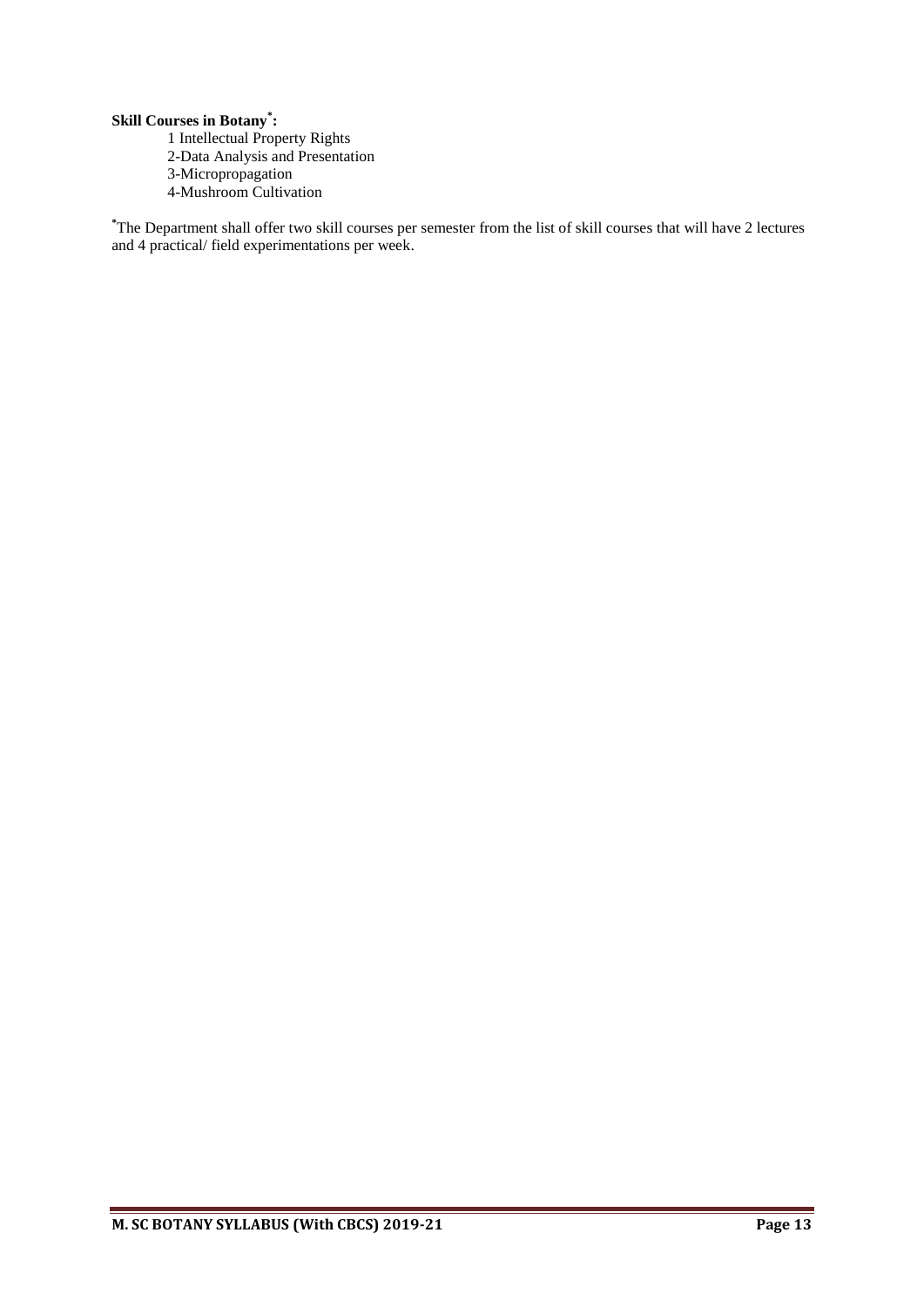# **Skill Courses in Botany\* :**

- 1 Intellectual Property Rights
- 2-Data Analysis and Presentation
- 3-Micropropagation
- 4-Mushroom Cultivation

**\***The Department shall offer two skill courses per semester from the list of skill courses that will have 2 lectures and 4 practical/ field experimentations per week.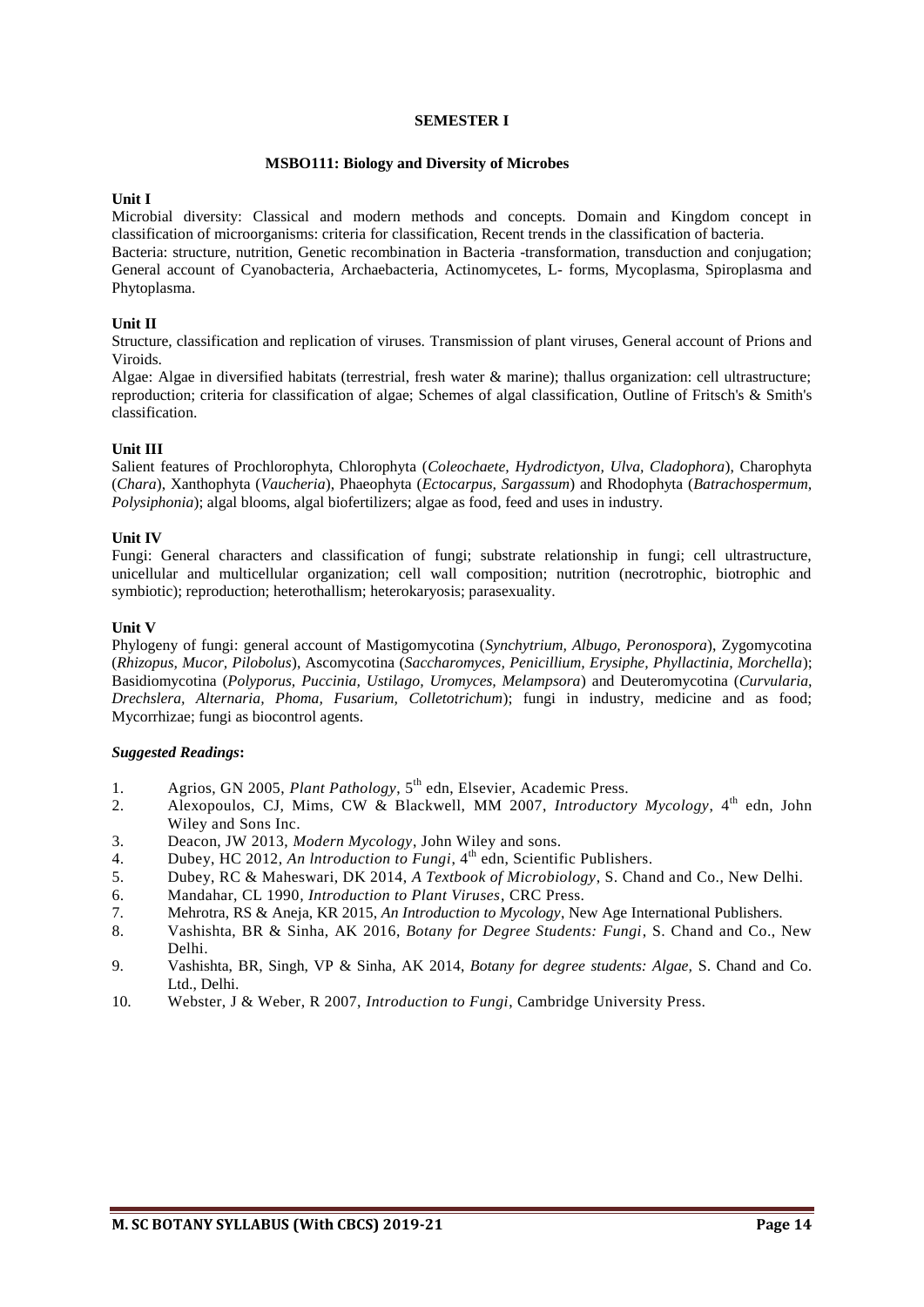#### **SEMESTER I**

#### **MSBO111: Biology and Diversity of Microbes**

#### **Unit I**

Microbial diversity: Classical and modern methods and concepts. Domain and Kingdom concept in classification of microorganisms: criteria for classification, Recent trends in the classification of bacteria. Bacteria: structure, nutrition, Genetic recombination in Bacteria -transformation, transduction and conjugation; General account of Cyanobacteria, Archaebacteria, Actinomycetes, L- forms, Mycoplasma, Spiroplasma and Phytoplasma.

#### **Unit II**

Structure, classification and replication of viruses. Transmission of plant viruses, General account of Prions and Viroids.

Algae: Algae in diversified habitats (terrestrial, fresh water & marine); thallus organization: cell ultrastructure; reproduction; criteria for classification of algae; Schemes of algal classification, Outline of Fritsch's & Smith's classification.

#### **Unit III**

Salient features of Prochlorophyta, Chlorophyta (*Coleochaete, Hydrodictyon, Ulva, Cladophora*), Charophyta (*Chara*), Xanthophyta (*Vaucheria*), Phaeophyta (*Ectocarpus, Sargassum*) and Rhodophyta (*Batrachospermum, Polysiphonia*); algal blooms, algal biofertilizers; algae as food, feed and uses in industry.

#### **Unit IV**

Fungi: General characters and classification of fungi; substrate relationship in fungi; cell ultrastructure, unicellular and multicellular organization; cell wall composition; nutrition (necrotrophic, biotrophic and symbiotic); reproduction; heterothallism; heterokaryosis; parasexuality.

#### **Unit V**

Phylogeny of fungi: general account of Mastigomycotina (*Synchytrium, Albugo, Peronospora*), Zygomycotina (*Rhizopus, Mucor, Pilobolus*), Ascomycotina (*Saccharomyces, Penicillium, Erysiphe, Phyllactinia, Morchella*); Basidiomycotina (*Polyporus, Puccinia, Ustilago, Uromyces, Melampsora*) and Deuteromycotina (*Curvularia, Drechslera, Alternaria, Phoma, Fusarium, Colletotrichum*); fungi in industry, medicine and as food; Mycorrhizae; fungi as biocontrol agents.

- 1. Agrios, GN 2005, *Plant Pathology*, 5<sup>th</sup> edn, Elsevier, Academic Press.
- 2. Alexopoulos, CJ, Mims, CW & Blackwell, MM 2007, *Introductory Mycology*, 4<sup>th</sup> edn, John Wiley and Sons Inc.
- 3. Deacon, JW 2013, *Modern Mycology*, John Wiley and sons.
- 4. Dubey, HC 2012, *An lntroduction to Fungi*, 4 th edn, Scientific Publishers.
- 5. Dubey, RC & Maheswari, DK 2014, *A Textbook of Microbiology*, S. Chand and Co., New Delhi.
- 6. Mandahar, CL 1990*, Introduction to Plant Viruses*, CRC Press.
- 7. Mehrotra, RS & Aneja, KR 2015, *An Introduction to Mycology*, New Age International Publishers.
- 8. Vashishta, BR & Sinha, AK 2016, *Botany for Degree Students: Fungi*, S. Chand and Co., New Delhi.
- 9. Vashishta, BR, Singh, VP & Sinha, AK 2014, *Botany for degree students: Algae,* S. Chand and Co. Ltd., Delhi.
- 10. Webster, J & Weber, R 2007, *Introduction to Fungi*, Cambridge University Press.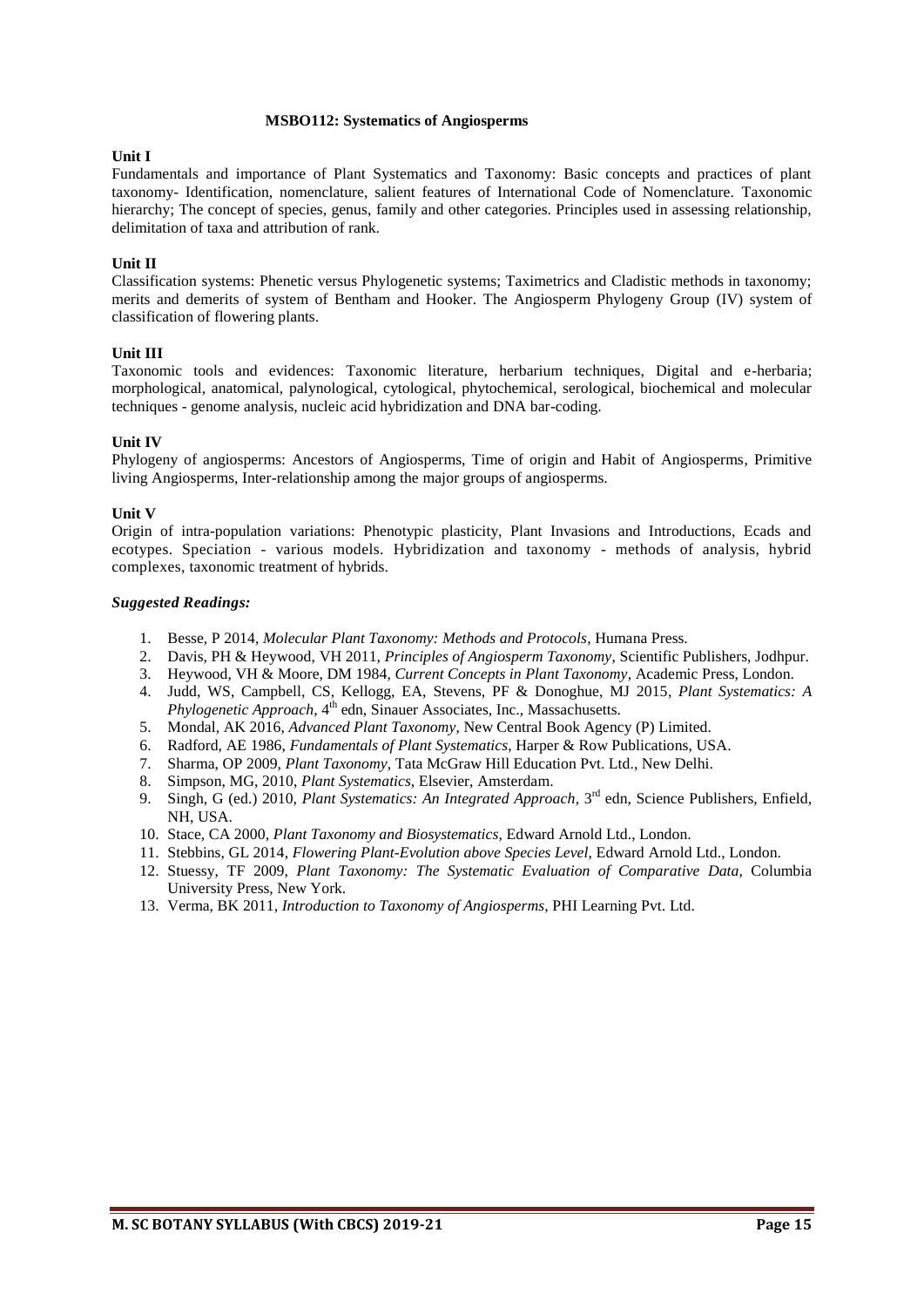#### **MSBO112: Systematics of Angiosperms**

#### **Unit I**

Fundamentals and importance of Plant Systematics and Taxonomy: Basic concepts and practices of plant taxonomy- Identification, nomenclature, salient features of International Code of Nomenclature. Taxonomic hierarchy; The concept of species, genus, family and other categories. Principles used in assessing relationship, delimitation of taxa and attribution of rank.

#### **Unit II**

Classification systems: Phenetic versus Phylogenetic systems; Taximetrics and Cladistic methods in taxonomy; merits and demerits of system of Bentham and Hooker. The Angiosperm Phylogeny Group (IV) system of classification of flowering plants.

#### **Unit III**

Taxonomic tools and evidences: Taxonomic literature, herbarium techniques, Digital and e-herbaria; morphological, anatomical, palynological, cytological, phytochemical, serological, biochemical and molecular techniques - genome analysis, nucleic acid hybridization and DNA bar-coding.

#### **Unit IV**

Phylogeny of angiosperms: Ancestors of Angiosperms, Time of origin and Habit of Angiosperms, Primitive living Angiosperms, Inter-relationship among the major groups of angiosperms.

#### **Unit V**

Origin of intra-population variations: Phenotypic plasticity, Plant Invasions and Introductions, Ecads and ecotypes. Speciation - various models. Hybridization and taxonomy - methods of analysis, hybrid complexes, taxonomic treatment of hybrids.

- 1. Besse, P 2014, *Molecular Plant Taxonomy: Methods and Protocols*, Humana Press.
- 2. Davis, PH & Heywood, VH 2011, *Principles of Angiosperm Taxonomy*, Scientific Publishers, Jodhpur.
- 3. Heywood, VH & Moore, DM 1984, *Current Concepts in Plant Taxonomy*, Academic Press, London.
- 4. Judd, WS, Campbell, CS, Kellogg, EA, Stevens, PF & Donoghue, MJ 2015, *Plant Systematics: A*  Phylogenetic Approach, 4<sup>th</sup> edn, Sinauer Associates, Inc., Massachusetts.
- 5. [Mondal,](http://www.google.co.in/search?tbo=p&tbm=bks&q=inauthor:%22A.K.+Mondal%22) AK 2016, *[Advanced Plant Taxonomy](http://www.google.co.in/search?tbo=p&tbm=bks&q=subject:%22Advanced+plant+taxonomy%22&source=gbs_ge_summary_r&cad=0)*, New Central Book Agency (P) Limited.
- 6. Radford, AE 1986, *Fundamentals of Plant Systematics*, Harper & Row Publications, USA.
- 7. Sharma, OP 2009, *Plant Taxonomy,* Tata McGraw Hill Education Pvt. Ltd., New Delhi.
- 8. Simpson, MG, 2010, *Plant Systematics*, Elsevier, Amsterdam.
- 9. Singh, G (ed.) 2010, *Plant Systematics: An Integrated Approach*, 3<sup>rd</sup> edn, Science Publishers, Enfield, NH, USA.
- 10. Stace, CA 2000, *Plant Taxonomy and Biosystematics*, Edward Arnold Ltd., London.
- 11. Stebbins, GL 2014, *Flowering Plant-Evolution above Species Level*, Edward Arnold Ltd., London.
- 12. Stuessy, TF 2009, *Plant Taxonomy: The Systematic Evaluation of Comparative Data*, Columbia University Press, New York.
- 13. Verma, BK 2011, *Introduction to Taxonomy of Angiosperms*, PHI Learning Pvt. Ltd.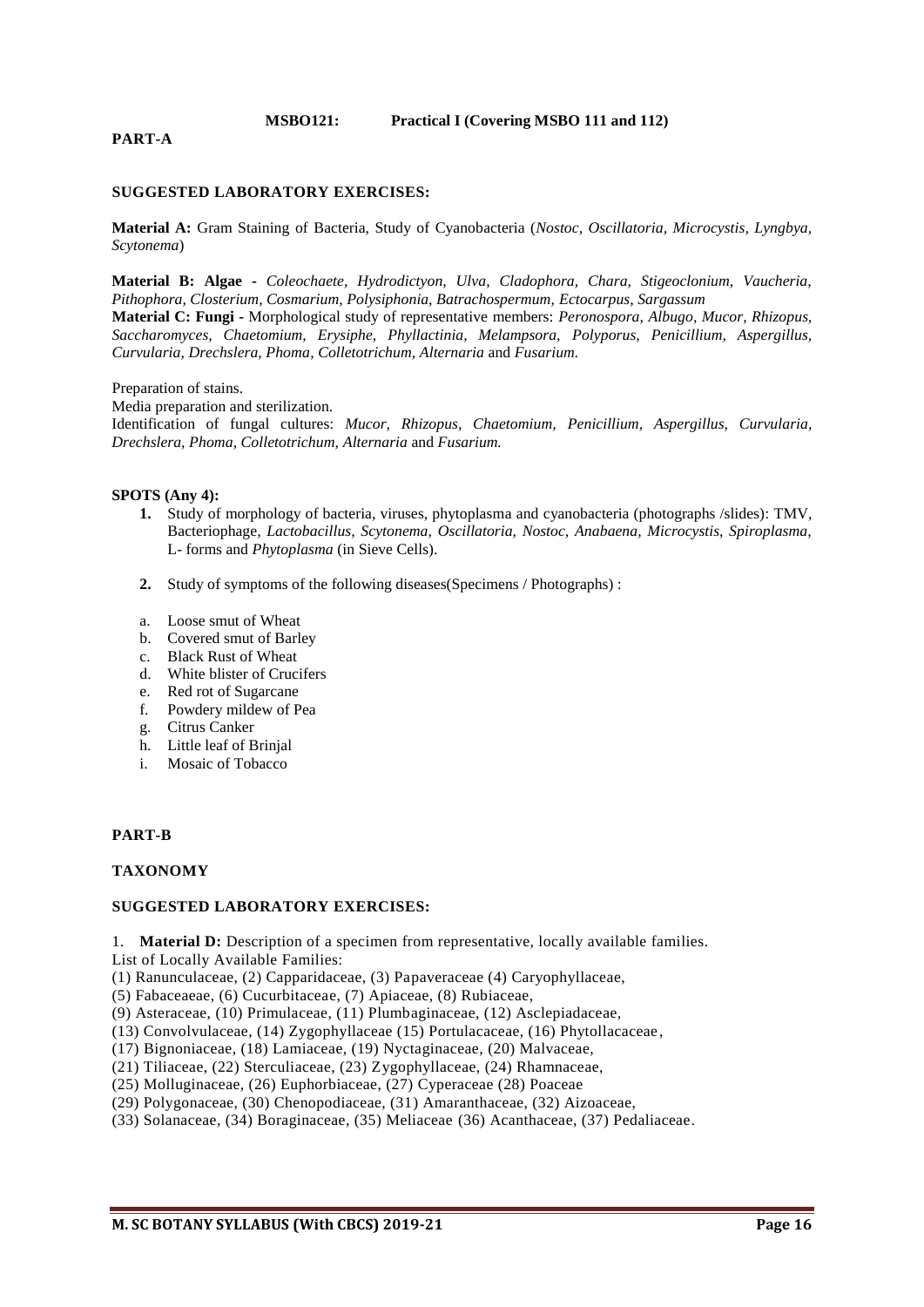#### **MSBO121: Practical I (Covering MSBO 111 and 112)**

#### **PART-A**

#### **SUGGESTED LABORATORY EXERCISES:**

**Material A:** Gram Staining of Bacteria, Study of Cyanobacteria (*Nostoc, Oscillatoria, Microcystis, Lyngbya, Scytonema*)

**Material B: Algae -** *Coleochaete, Hydrodictyon, Ulva, Cladophora, Chara, Stigeoclonium, Vaucheria, Pithophora, Closterium, Cosmarium, Polysiphonia, Batrachospermum, Ectocarpus, Sargassum*

**Material C: Fungi -** Morphological study of representative members: *Peronospora, Albugo, Mucor, Rhizopus, Saccharomyces, Chaetomium, Erysiphe, Phyllactinia, Melampsora, Polyporus, Penicillium, Aspergillus, Curvularia, Drechslera, Phoma, Colletotrichum, Alternaria* and *Fusarium.*

#### Preparation of stains.

Media preparation and sterilization.

Identification of fungal cultures: *Mucor, Rhizopus, Chaetomium, Penicillium, Aspergillus, Curvularia, Drechslera, Phoma, Colletotrichum, Alternaria* and *Fusarium.*

#### **SPOTS (Any 4):**

- **1.** Study of morphology of bacteria, viruses, phytoplasma and cyanobacteria (photographs /slides): TMV, Bacteriophage*, Lactobacillus, Scytonema, Oscillatoria, Nostoc, Anabaena, Microcystis, Spiroplasma,*  L- forms and *Phytoplasma* (in Sieve Cells).
- **2.** Study of symptoms of the following diseases(Specimens / Photographs) :
- a. Loose smut of Wheat
- b. Covered smut of Barley
- c. Black Rust of Wheat
- d. White blister of Crucifers
- e. Red rot of Sugarcane
- f. Powdery mildew of Pea
- g. Citrus Canker
- h. Little leaf of Brinjal
- i. Mosaic of Tobacco

#### **PART-B**

#### **TAXONOMY**

#### **SUGGESTED LABORATORY EXERCISES:**

1. **Material D:** Description of a specimen from representative, locally available families. List of Locally Available Families:

(1) Ranunculaceae, (2) Capparidaceae, (3) Papaveraceae (4) Caryophyllaceae,

(5) Fabaceaeae, (6) Cucurbitaceae, (7) Apiaceae, (8) Rubiaceae,

(9) Asteraceae, (10) Primulaceae, (11) Plumbaginaceae, (12) Asclepiadaceae,

(13) Convolvulaceae, (14) Zygophyllaceae (15) Portulacaceae, (16) Phytollacaceae ,

(17) Bignoniaceae, (18) Lamiaceae, (19) Nyctaginaceae, (20) Malvaceae,

(21) Tiliaceae, (22) Sterculiaceae, (23) Zygophyllaceae, (24) Rhamnaceae,

(25) Molluginaceae, (26) Euphorbiaceae, (27) Cyperaceae (28) Poaceae

(29) Polygonaceae, (30) Chenopodiaceae, (31) Amaranthaceae, (32) Aizoaceae,

(33) Solanaceae, (34) Boraginaceae, (35) Meliaceae (36) Acanthaceae, (37) Pedaliaceae.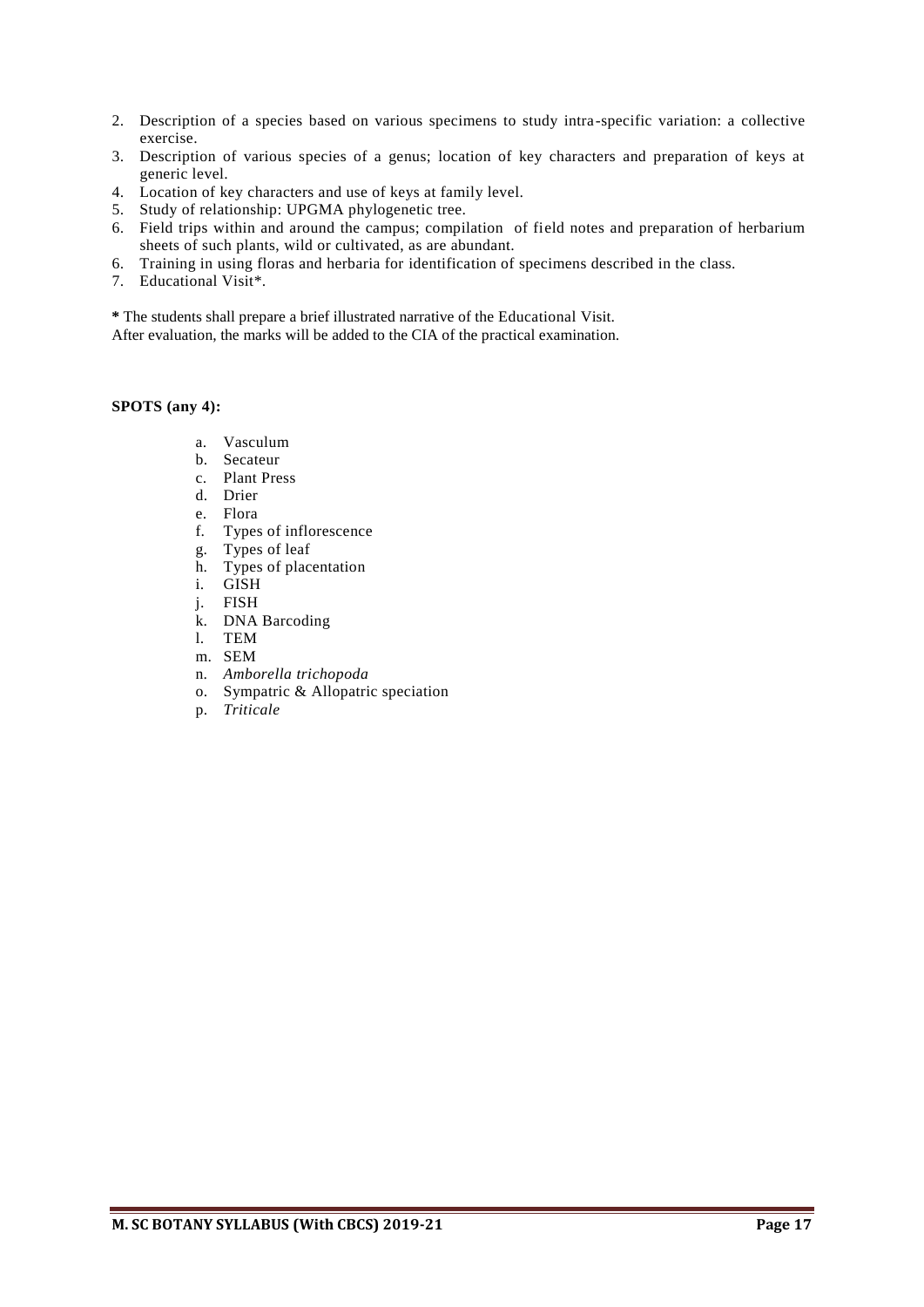- 2. Description of a species based on various specimens to study intra-specific variation: a collective exercise.
- 3. Description of various species of a genus; location of key characters and preparation of keys at generic level.
- 4. Location of key characters and use of keys at family level.
- 5. Study of relationship: UPGMA phylogenetic tree.
- 6. Field trips within and around the campus; compilation of field notes and preparation of herbarium sheets of such plants, wild or cultivated, as are abundant.
- 6. Training in using floras and herbaria for identification of specimens described in the class.
- 7. Educational Visit\*.

**\*** The students shall prepare a brief illustrated narrative of the Educational Visit.

After evaluation, the marks will be added to the CIA of the practical examination.

#### **SPOTS (any 4):**

- a. Vasculum
- b. Secateur
- c. Plant Press
- d. Drier
- e. Flora
- f. Types of inflorescence
- g. Types of leaf
- h. Types of placentation
- i. GISH
- j. FISH
- k. DNA Barcoding
- l. TEM
- m. SEM
- n. *Amborella trichopoda*
- o. Sympatric & Allopatric speciation
- p. *Triticale*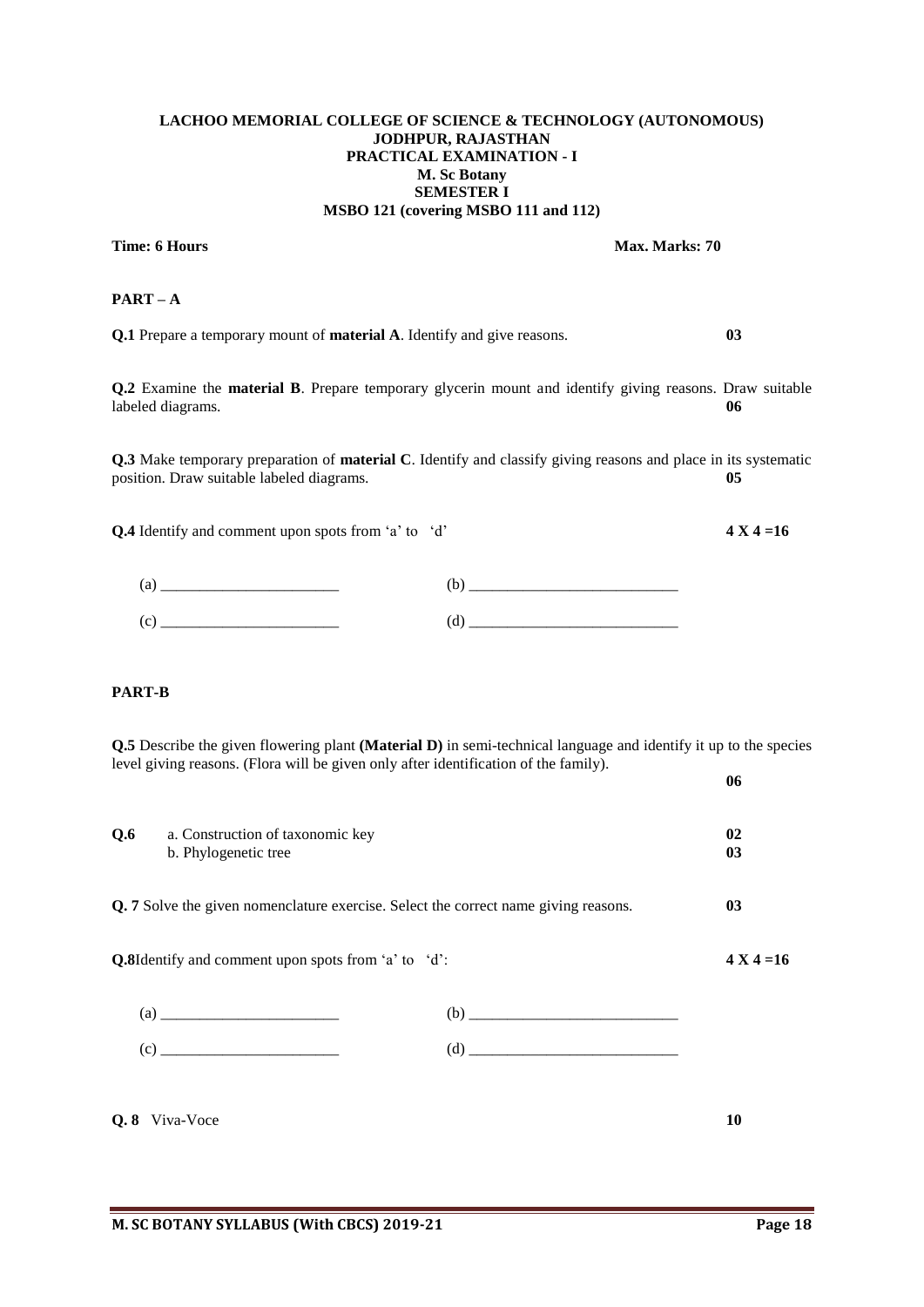#### **LACHOO MEMORIAL COLLEGE OF SCIENCE & TECHNOLOGY (AUTONOMOUS) JODHPUR, RAJASTHAN PRACTICAL EXAMINATION - I M. Sc Botany SEMESTER I MSBO 121 (covering MSBO 111 and 112)**

# **Time: 6 Hours Max. Marks: 70**

# **PART – A**

**Q.1** Prepare a temporary mount of **material A**. Identify and give reasons. **03**

**Q.2** Examine the **material B**. Prepare temporary glycerin mount and identify giving reasons. Draw suitable labeled diagrams. **06**

**Q.3** Make temporary preparation of **material C**. Identify and classify giving reasons and place in its systematic position. Draw suitable labeled diagrams. **05** 

**Q.4** Identify and comment upon spots from 'a' to 'd' **4 X 4 =16**

# **PART-B**

**Q.5** Describe the given flowering plant **(Material D)** in semi-technical language and identify it up to the species level giving reasons. (Flora will be given only after identification of the family).

| Q.6<br>a. Construction of taxonomic key<br>b. Phylogenetic tree |                                                                                     | 02<br>03              |
|-----------------------------------------------------------------|-------------------------------------------------------------------------------------|-----------------------|
|                                                                 | Q. 7 Solve the given nomenclature exercise. Select the correct name giving reasons. | 0 <sub>3</sub>        |
| Q.8Identify and comment upon spots from 'a' to 'd':             |                                                                                     | $4 \text{ X } 4 = 16$ |
|                                                                 |                                                                                     |                       |
| (c)                                                             |                                                                                     |                       |
| Q.8 Viva-Voce                                                   |                                                                                     | 10                    |

**06**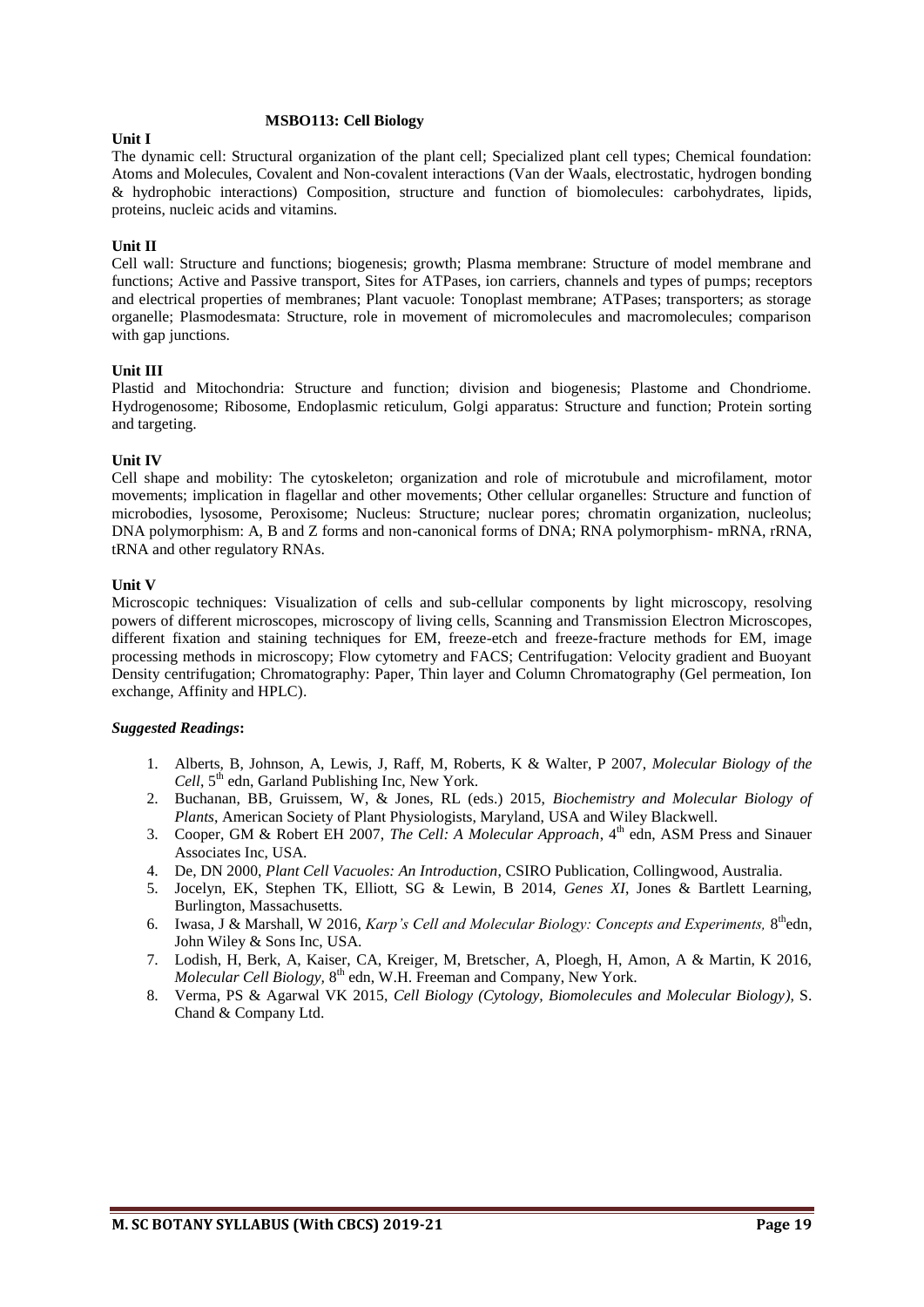#### **MSBO113: Cell Biology**

#### **Unit I**

The dynamic cell: Structural organization of the plant cell; Specialized plant cell types; Chemical foundation: Atoms and Molecules, Covalent and Non-covalent interactions (Van der Waals, electrostatic, hydrogen bonding & hydrophobic interactions) Composition, structure and function of biomolecules: carbohydrates, lipids, proteins, nucleic acids and vitamins.

# **Unit II**

Cell wall: Structure and functions; biogenesis; growth; Plasma membrane: Structure of model membrane and functions; Active and Passive transport, Sites for ATPases, ion carriers, channels and types of pumps; receptors and electrical properties of membranes; Plant vacuole: Tonoplast membrane; ATPases; transporters; as storage organelle; Plasmodesmata: Structure, role in movement of micromolecules and macromolecules; comparison with gap junctions.

#### **Unit III**

Plastid and Mitochondria: Structure and function; division and biogenesis; Plastome and Chondriome. Hydrogenosome; Ribosome, Endoplasmic reticulum, Golgi apparatus: Structure and function; Protein sorting and targeting.

#### **Unit IV**

Cell shape and mobility: The cytoskeleton; organization and role of microtubule and microfilament, motor movements; implication in flagellar and other movements; Other cellular organelles: Structure and function of microbodies, lysosome, Peroxisome; Nucleus: Structure; nuclear pores; chromatin organization, nucleolus; DNA polymorphism: A, B and Z forms and non-canonical forms of DNA; RNA polymorphism- mRNA, rRNA, tRNA and other regulatory RNAs.

#### **Unit V**

Microscopic techniques: Visualization of cells and sub-cellular components by light microscopy, resolving powers of different microscopes, microscopy of living cells, Scanning and Transmission Electron Microscopes, different fixation and staining techniques for EM, freeze-etch and freeze-fracture methods for EM, image processing methods in microscopy; Flow cytometry and FACS; Centrifugation: Velocity gradient and Buoyant Density centrifugation; Chromatography: Paper, Thin layer and Column Chromatography (Gel permeation, Ion exchange, Affinity and HPLC).

- 1. Alberts, B, Johnson, A, Lewis, J, Raff, M, Roberts, K & Walter, P 2007, *Molecular Biology of the Cell*,  $5<sup>th</sup>$  edn, Garland Publishing Inc, New York.
- 2. Buchanan, BB, Gruissem, W, & Jones, RL (eds.) 2015, *Biochemistry and Molecular Biology of Plants*, American Society of Plant Physiologists, Maryland, USA and Wiley Blackwell.
- 3. Cooper, GM & Robert EH 2007, *The Cell: A Molecular Approach*, 4<sup>th</sup> edn, ASM Press and Sinauer Associates Inc, USA.
- 4. De, DN 2000, *Plant Cell Vacuoles: An Introduction*, CSIRO Publication, Collingwood, Australia.
- 5. Jocelyn, EK, Stephen TK, Elliott, SG & Lewin, B 2014, *Genes XI*, Jones & Bartlett Learning, Burlington, Massachusetts.
- 6. Iwasa, J & Marshall, W 2016, *Karp's Cell and Molecular Biology: Concepts and Experiments*, 8<sup>th</sup>edn, John Wiley & Sons Inc, USA.
- 7. Lodish, H, Berk, A, Kaiser, CA, Kreiger, M, Bretscher, A, Ploegh, H, Amon, A & Martin, K 2016, Molecular Cell Biology, 8<sup>th</sup> edn, W.H. Freeman and Company, New York.
- 8. Verma, PS & Agarwal VK 2015, *Cell Biology (Cytology, Biomolecules and Molecular Biology),* S. Chand & Company Ltd.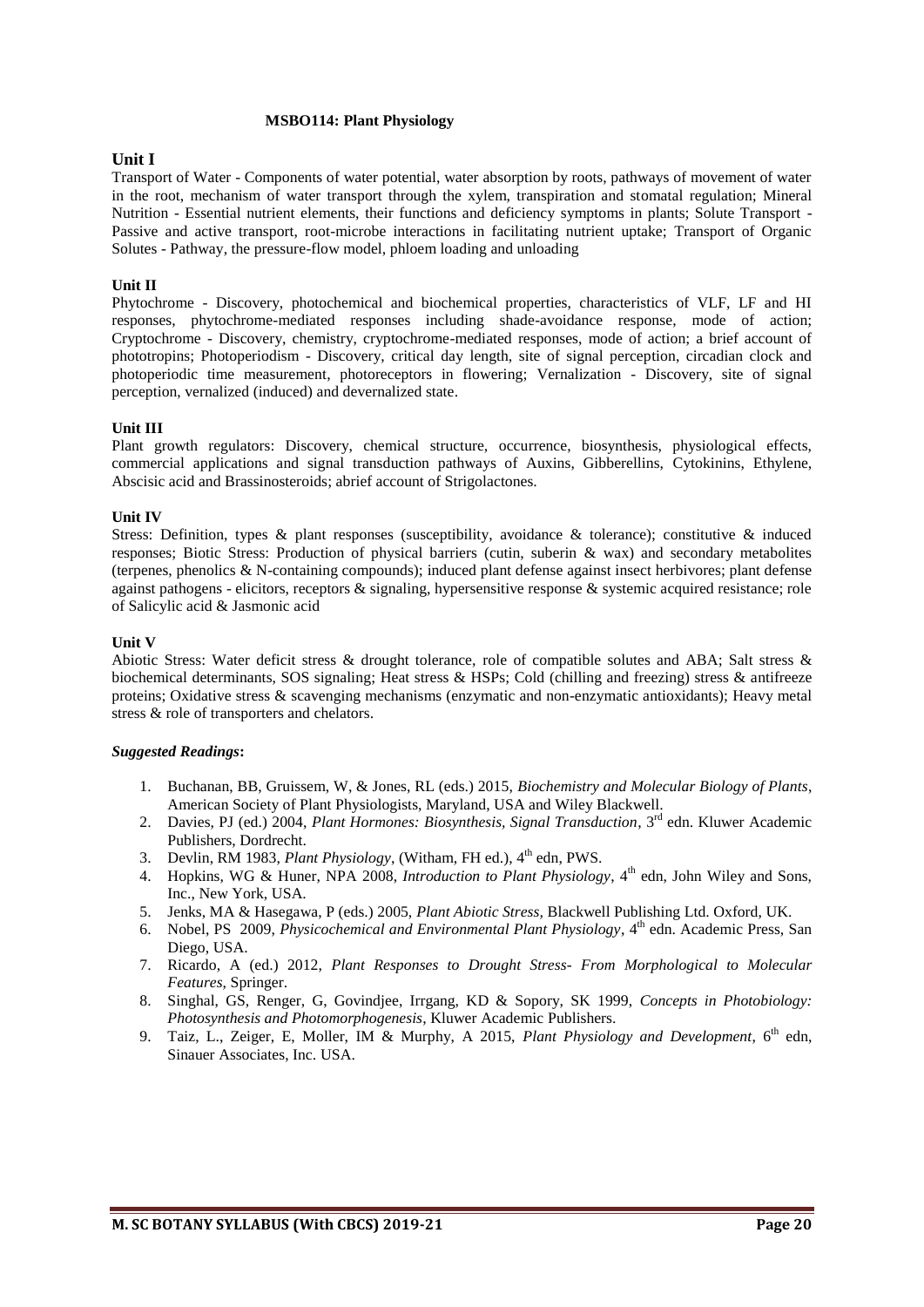#### **MSBO114: Plant Physiology**

# **Unit I**

Transport of Water - Components of water potential, water absorption by roots, pathways of movement of water in the root, mechanism of water transport through the xylem, transpiration and stomatal regulation; Mineral Nutrition - Essential nutrient elements, their functions and deficiency symptoms in plants; Solute Transport - Passive and active transport, root-microbe interactions in facilitating nutrient uptake; Transport of Organic Solutes - Pathway, the pressure-flow model, phloem loading and unloading

# **Unit II**

Phytochrome - Discovery, photochemical and biochemical properties, characteristics of VLF, LF and HI responses, phytochrome-mediated responses including shade-avoidance response, mode of action; Cryptochrome - Discovery, chemistry, cryptochrome-mediated responses, mode of action; a brief account of phototropins; Photoperiodism - Discovery, critical day length, site of signal perception, circadian clock and photoperiodic time measurement, photoreceptors in flowering; Vernalization - Discovery, site of signal perception, vernalized (induced) and devernalized state.

#### **Unit III**

Plant growth regulators: Discovery, chemical structure, occurrence, biosynthesis, physiological effects, commercial applications and signal transduction pathways of Auxins, Gibberellins, Cytokinins, Ethylene, Abscisic acid and Brassinosteroids; abrief account of Strigolactones.

#### **Unit IV**

Stress: Definition, types & plant responses (susceptibility, avoidance & tolerance); constitutive & induced responses; Biotic Stress: Production of physical barriers (cutin, suberin & wax) and secondary metabolites (terpenes, phenolics & N-containing compounds); induced plant defense against insect herbivores; plant defense against pathogens - elicitors, receptors & signaling, hypersensitive response & systemic acquired resistance; role of Salicylic acid & Jasmonic acid

#### **Unit V**

Abiotic Stress: Water deficit stress & drought tolerance, role of compatible solutes and ABA; Salt stress & biochemical determinants, SOS signaling; Heat stress & HSPs; Cold (chilling and freezing) stress & antifreeze proteins; Oxidative stress & scavenging mechanisms (enzymatic and non-enzymatic antioxidants); Heavy metal stress & role of transporters and chelators.

- 1. Buchanan, BB, Gruissem, W, & Jones, RL (eds.) 2015, *Biochemistry and Molecular Biology of Plants*, American Society of Plant Physiologists, Maryland, USA and Wiley Blackwell.
- 2. Davies, PJ (ed.) 2004, *Plant Hormones: Biosynthesis, Signal Transduction*, 3<sup>rd</sup> edn. Kluwer Academic Publishers, Dordrecht.
- 3. Devlin, RM 1983, *Plant Physiology*, (Witham, FH ed.), 4<sup>th</sup> edn, PWS.
- 4. Hopkins, WG & Huner, NPA 2008, *Introduction to Plant Physiology*, 4<sup>th</sup> edn, John Wiley and Sons, Inc., New York, USA.
- 5. Jenks, MA & Hasegawa, P (eds.) 2005, *Plant Abiotic Stress,* Blackwell Publishing Ltd. Oxford, UK.
- 6. Nobel, PS 2009, *Physicochemical and Environmental Plant Physiology*, 4<sup>th</sup> edn. Academic Press, San Diego, USA.
- 7. Ricardo, A (ed.) 2012, *Plant Responses to Drought Stress- From Morphological to Molecular Features*, Springer.
- 8. Singhal, GS, Renger, G, Govindjee, Irrgang, KD & Sopory, SK 1999, *Concepts in Photobiology: Photosynthesis and Photomorphogenesis*, Kluwer Academic Publishers.
- 9. Taiz, L., Zeiger, E, Moller, IM & Murphy, A 2015, *Plant Physiology and Development*, 6<sup>th</sup> edn, Sinauer Associates, Inc. USA.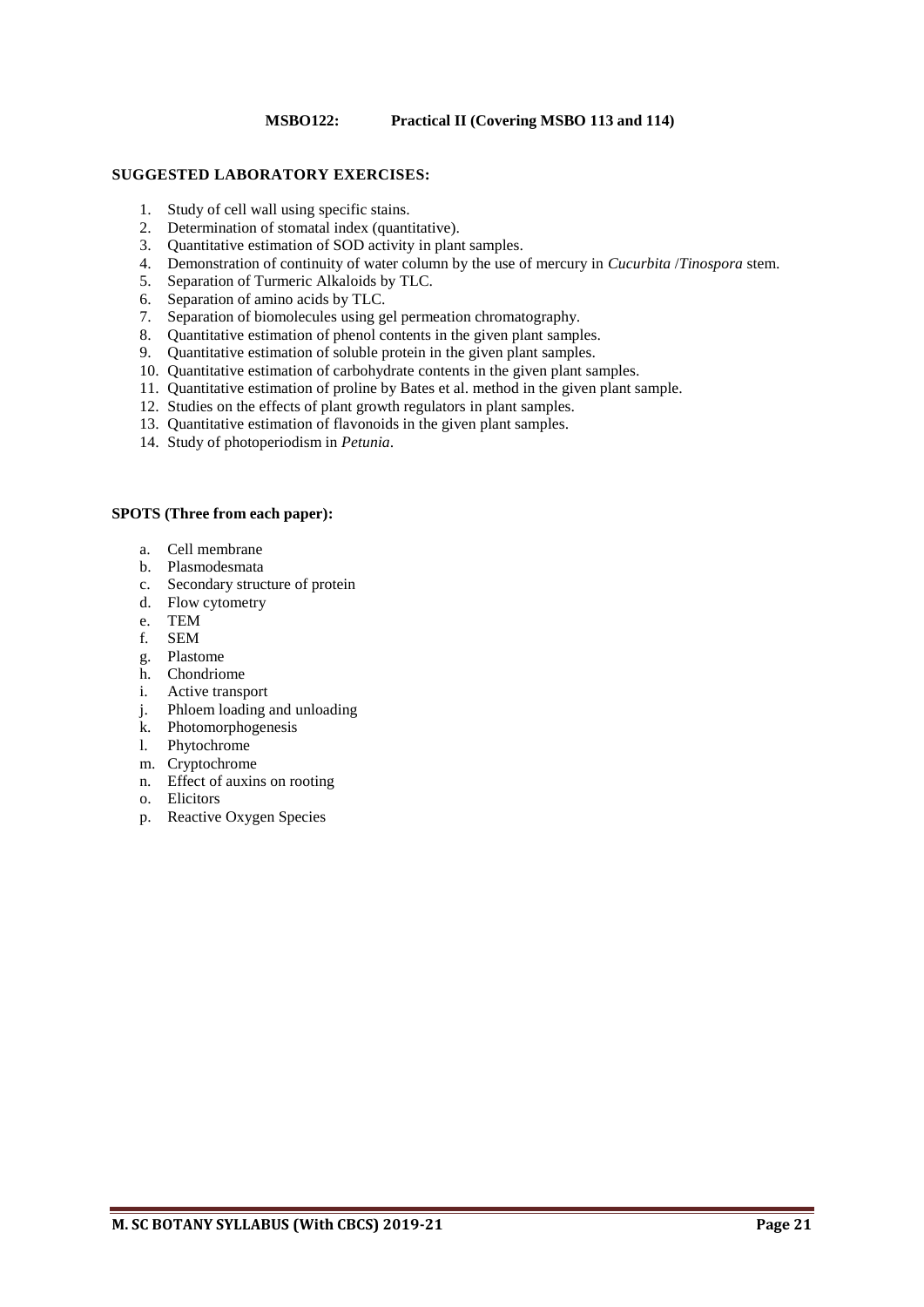# **MSBO122: Practical II (Covering MSBO 113 and 114)**

#### **SUGGESTED LABORATORY EXERCISES:**

- 1. Study of cell wall using specific stains.
- 2. Determination of stomatal index (quantitative).
- 3. Quantitative estimation of SOD activity in plant samples.
- 4. Demonstration of continuity of water column by the use of mercury in *Cucurbita* /*Tinospora* stem.
- 5. Separation of Turmeric Alkaloids by TLC.
- 6. Separation of amino acids by TLC.
- 7. Separation of biomolecules using gel permeation chromatography.
- 8. Quantitative estimation of phenol contents in the given plant samples.
- 9. Quantitative estimation of soluble protein in the given plant samples.
- 10. Quantitative estimation of carbohydrate contents in the given plant samples.
- 11. Quantitative estimation of proline by Bates et al. method in the given plant sample.
- 12. Studies on the effects of plant growth regulators in plant samples.
- 13. Quantitative estimation of flavonoids in the given plant samples.
- 14. Study of photoperiodism in *Petunia*.

#### **SPOTS (Three from each paper):**

- a. Cell membrane
- b. Plasmodesmata
- c. Secondary structure of protein
- d. Flow cytometry
- e. TEM
- f. SEM
- g. Plastome
- h. Chondriome
- i. Active transport
- j. Phloem loading and unloading
- k. Photomorphogenesis
- l. Phytochrome
- m. Cryptochrome
- n. Effect of auxins on rooting
- o. Elicitors
- p. Reactive Oxygen Species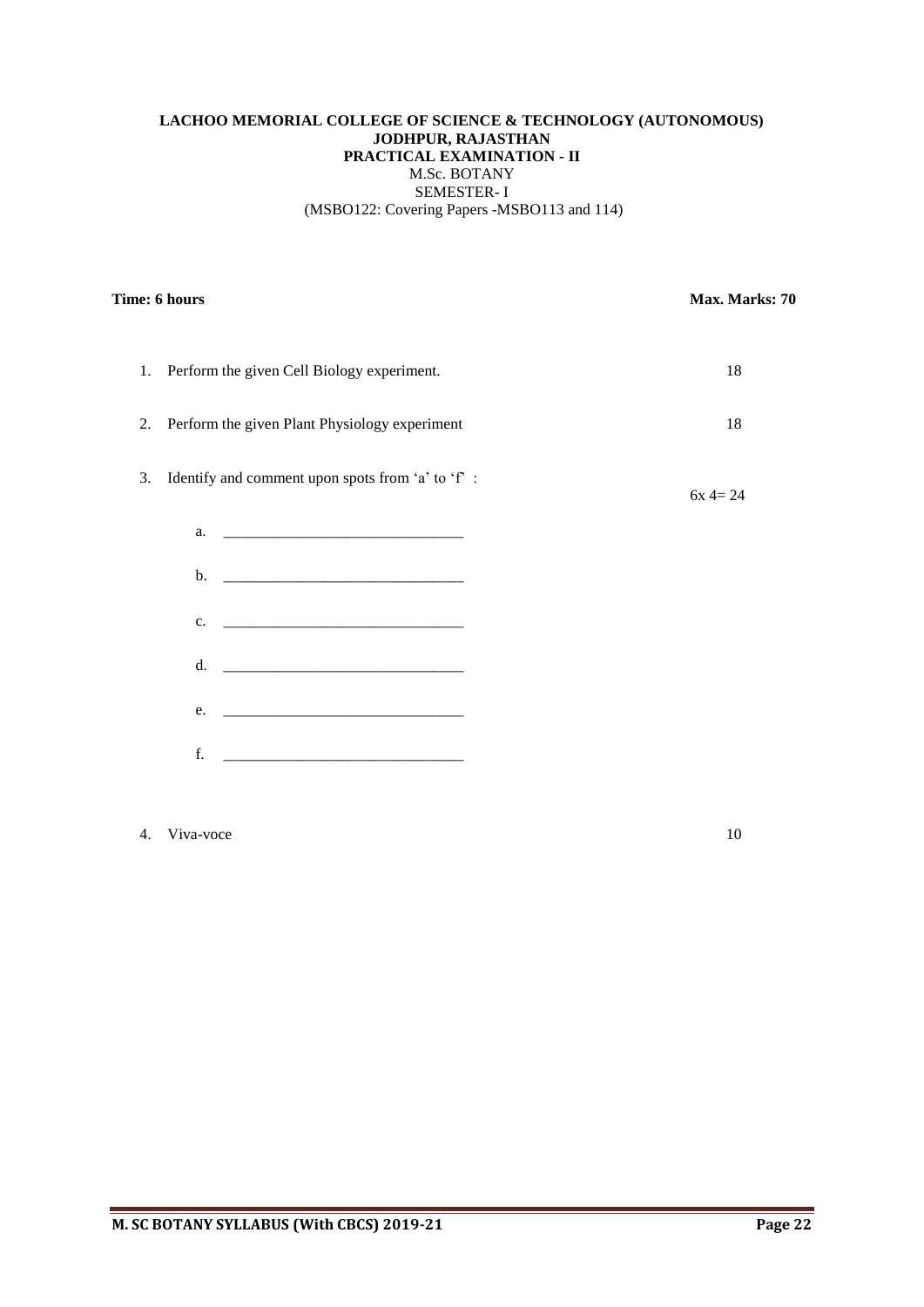# **LACHOO MEMORIAL COLLEGE OF SCIENCE & TECHNOLOGY (AUTONOMOUS) JODHPUR, RAJASTHAN PRACTICAL EXAMINATION - II** M.Sc. BOTANY SEMESTER- I (MSBO122: Covering Papers -MSBO113 and 114)

| Time: 6 hours |                                                  | Max. Marks: 70 |
|---------------|--------------------------------------------------|----------------|
| 1.            | Perform the given Cell Biology experiment.       | 18             |
| 2.            | Perform the given Plant Physiology experiment    | 18             |
| 3.            | Identify and comment upon spots from 'a' to 'f': | $6x 4 = 24$    |
|               |                                                  |                |
|               |                                                  |                |
|               | $c.$ $\qquad \qquad$                             |                |
|               | d. <u>_________________________________</u>      |                |
|               | e.                                               |                |
|               | f.                                               |                |
|               |                                                  |                |

4. Viva-voce 10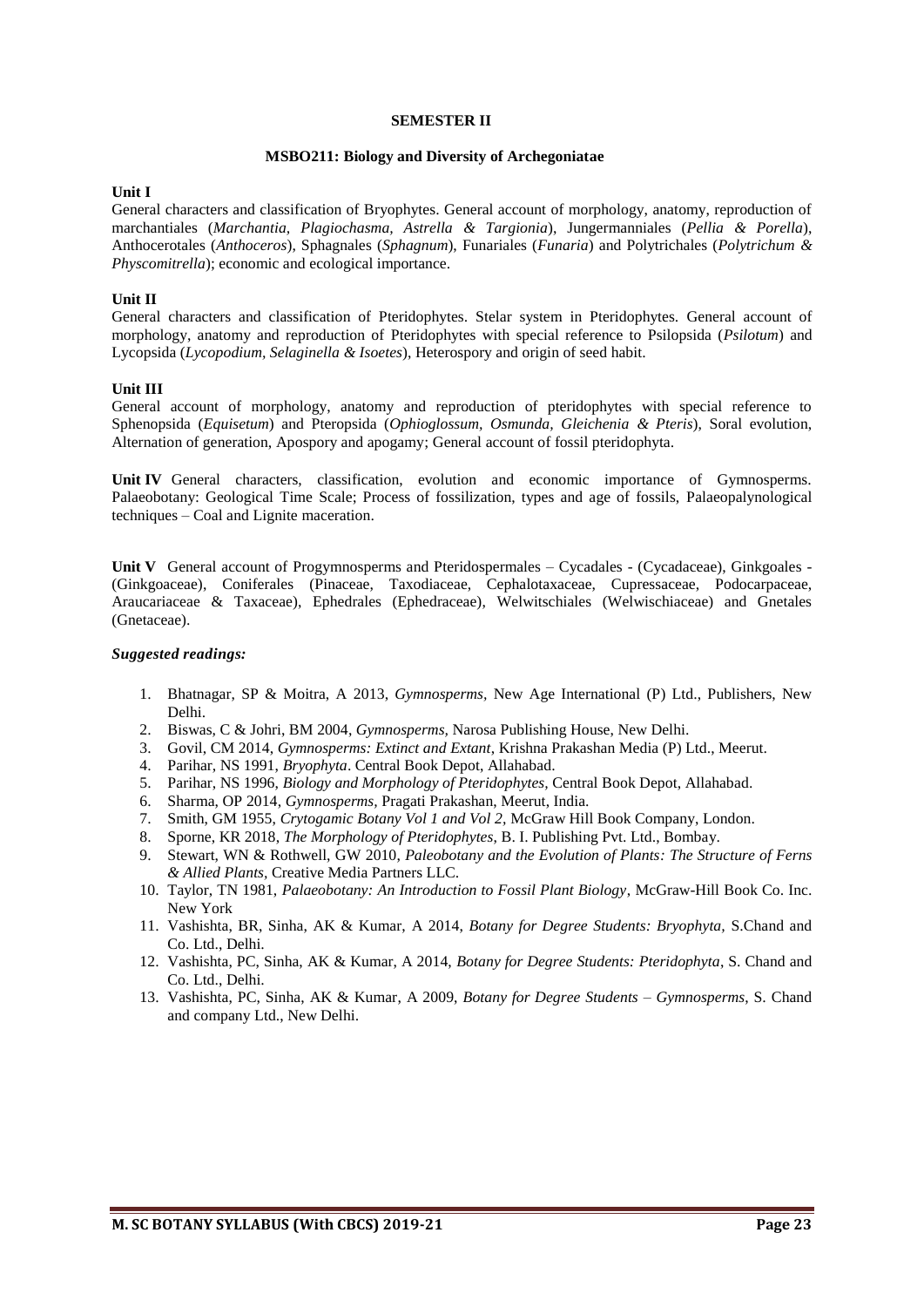#### **SEMESTER II**

#### **MSBO211: Biology and Diversity of Archegoniatae**

#### **Unit I**

General characters and classification of Bryophytes. General account of morphology, anatomy, reproduction of marchantiales (*Marchantia, Plagiochasma, Astrella & Targionia*), Jungermanniales (*Pellia & Porella*), Anthocerotales (*Anthoceros*), Sphagnales (*Sphagnum*), Funariales (*Funaria*) and Polytrichales (*Polytrichum & Physcomitrella*); economic and ecological importance.

# **Unit II**

General characters and classification of Pteridophytes. Stelar system in Pteridophytes. General account of morphology, anatomy and reproduction of Pteridophytes with special reference to Psilopsida (*Psilotum*) and Lycopsida (*Lycopodium, Selaginella & Isoetes*), Heterospory and origin of seed habit.

#### **Unit III**

General account of morphology, anatomy and reproduction of pteridophytes with special reference to Sphenopsida (*Equisetum*) and Pteropsida (*Ophioglossum, Osmunda, Gleichenia & Pteris*), Soral evolution, Alternation of generation, Apospory and apogamy; General account of fossil pteridophyta.

**Unit IV** General characters, classification, evolution and economic importance of Gymnosperms. Palaeobotany: Geological Time Scale; Process of fossilization, types and age of fossils, Palaeopalynological techniques – Coal and Lignite maceration.

Unit V General account of Progymnosperms and Pteridospermales – Cycadales - (Cycadaceae), Ginkgoales -(Ginkgoaceae), Coniferales (Pinaceae, Taxodiaceae, Cephalotaxaceae, Cupressaceae, Podocarpaceae, Araucariaceae & Taxaceae), Ephedrales (Ephedraceae), Welwitschiales (Welwischiaceae) and Gnetales (Gnetaceae).

- 1. Bhatnagar, SP & Moitra, A 2013, *Gymnosperms,* New Age International (P) Ltd., Publishers, New Delhi.
- 2. Biswas, C & Johri, BM 2004, *Gymnosperms,* Narosa Publishing House, New Delhi.
- 3. Govil, CM 2014, *Gymnosperms: Extinct and Extant*, Krishna Prakashan Media (P) Ltd., Meerut.
- 4. Parihar, NS 1991, *Bryophyta*. Central Book Depot, Allahabad.
- 5. Parihar, NS 1996, *Biology and Morphology of Pteridophytes,* Central Book Depot, Allahabad.
- 6. Sharma, OP 2014, *Gymnosperms,* Pragati Prakashan, Meerut, India.
- 7. Smith, GM 1955, *Crytogamic Botany Vol 1 and Vol 2,* McGraw Hill Book Company, London.
- 8. Sporne, KR 2018, *The Morphology of Pteridophytes*, B. I. Publishing Pvt. Ltd., Bombay.
- 9. Stewart, WN & Rothwell, GW 2010, *Paleobotany and the Evolution of Plants: The Structure of Ferns & Allied Plants,* Creative Media Partners LLC.
- 10. Taylor, TN 1981, *Palaeobotany: An Introduction to Fossil Plant Biology*, McGraw-Hill Book Co. Inc. New York
- 11. Vashishta, BR, Sinha, AK & Kumar, A 2014, *Botany for Degree Students: Bryophyta,* S.Chand and Co. Ltd., Delhi.
- 12. Vashishta, PC, Sinha, AK & Kumar, A 2014, *Botany for Degree Students: Pteridophyta*, S. Chand and Co. Ltd., Delhi.
- 13. Vashishta, PC, Sinha, AK & Kumar, A 2009, *Botany for Degree Students Gymnosperms*, S. Chand and company Ltd., New Delhi.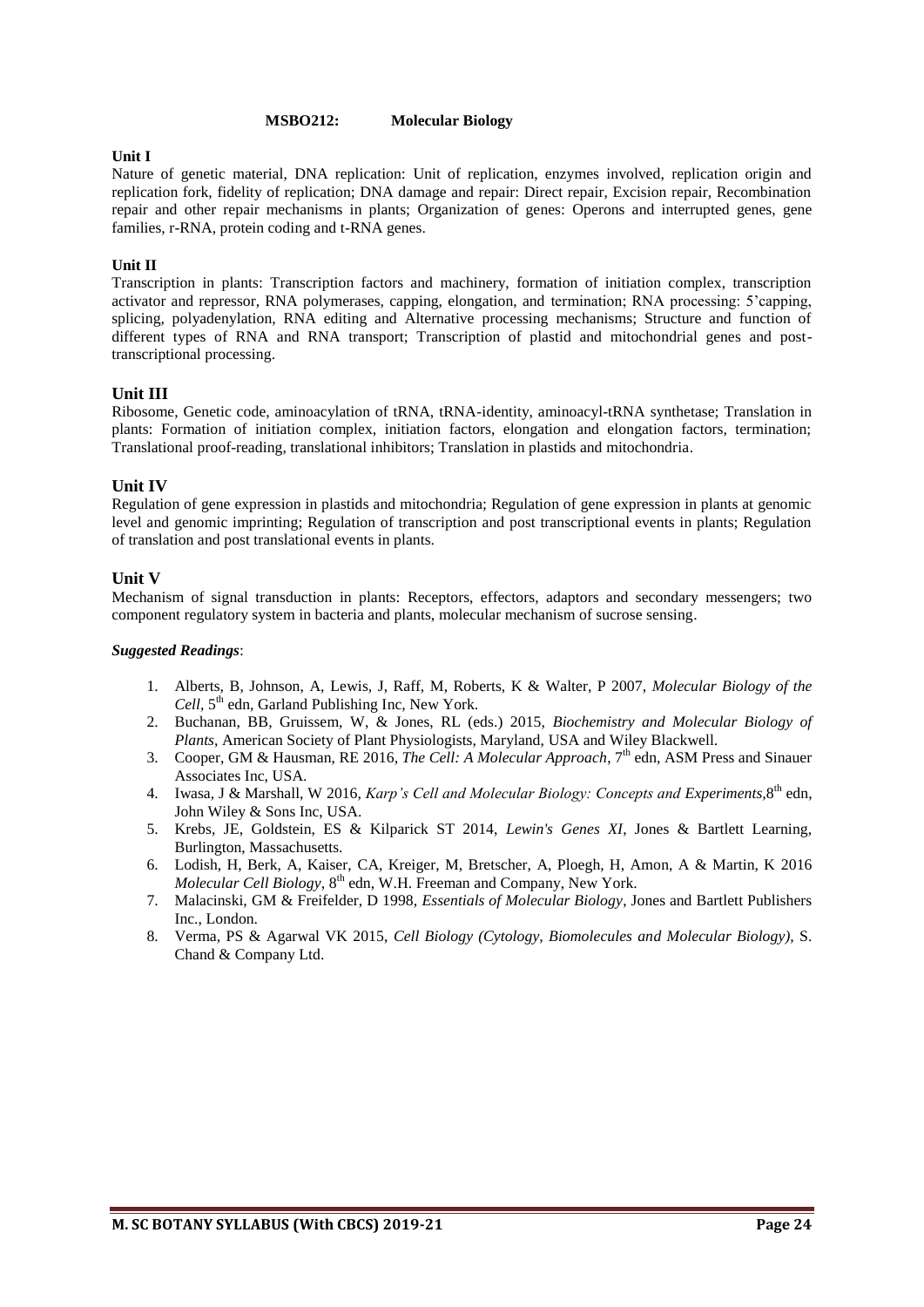#### **MSBO212: Molecular Biology**

#### **Unit I**

Nature of genetic material, DNA replication: Unit of replication, enzymes involved, replication origin and replication fork, fidelity of replication; DNA damage and repair: Direct repair, Excision repair, Recombination repair and other repair mechanisms in plants; Organization of genes: Operons and interrupted genes, gene families, r-RNA, protein coding and t-RNA genes.

#### **Unit II**

Transcription in plants: Transcription factors and machinery, formation of initiation complex, transcription activator and repressor, RNA polymerases, capping, elongation, and termination; RNA processing: 5'capping, splicing, polyadenylation, RNA editing and Alternative processing mechanisms; Structure and function of different types of RNA and RNA transport; Transcription of plastid and mitochondrial genes and posttranscriptional processing.

#### **Unit III**

Ribosome, Genetic code, aminoacylation of tRNA, tRNA-identity, aminoacyl-tRNA synthetase; Translation in plants: Formation of initiation complex, initiation factors, elongation and elongation factors, termination; Translational proof-reading, translational inhibitors; Translation in plastids and mitochondria.

#### **Unit IV**

Regulation of gene expression in plastids and mitochondria; Regulation of gene expression in plants at genomic level and genomic imprinting; Regulation of transcription and post transcriptional events in plants; Regulation of translation and post translational events in plants.

#### **Unit V**

Mechanism of signal transduction in plants: Receptors, effectors, adaptors and secondary messengers; two component regulatory system in bacteria and plants, molecular mechanism of sucrose sensing.

- 1. Alberts, B, Johnson, A, Lewis, J, Raff, M, Roberts, K & Walter, P 2007, *Molecular Biology of the*  Cell, 5<sup>th</sup> edn, Garland Publishing Inc, New York.
- 2. Buchanan, BB, Gruissem, W, & Jones, RL (eds.) 2015, *Biochemistry and Molecular Biology of Plants*, American Society of Plant Physiologists, Maryland, USA and Wiley Blackwell.
- 3. Cooper, GM & Hausman, RE 2016, *The Cell: A Molecular Approach*, 7<sup>th</sup> edn, ASM Press and Sinauer Associates Inc, USA.
- 4. Iwasa, J & Marshall, W 2016, *Karp's Cell and Molecular Biology: Concepts and Experiments*, 8<sup>th</sup> edn, John Wiley & Sons Inc, USA.
- 5. Krebs, JE, Goldstein, ES & Kilparick ST 2014, *Lewin's Genes XI*, Jones & Bartlett Learning, Burlington, Massachusetts.
- 6. Lodish, H, Berk, A, Kaiser, CA, Kreiger, M, Bretscher, A, Ploegh, H, Amon, A & Martin, K 2016 Molecular Cell Biology, 8<sup>th</sup> edn, W.H. Freeman and Company, New York.
- 7. Malacinski, GM & Freifelder, D 1998, *Essentials of Molecular Biology*, Jones and Bartlett Publishers Inc., London.
- 8. Verma, PS & Agarwal VK 2015, *Cell Biology (Cytology, Biomolecules and Molecular Biology),* S. Chand & Company Ltd.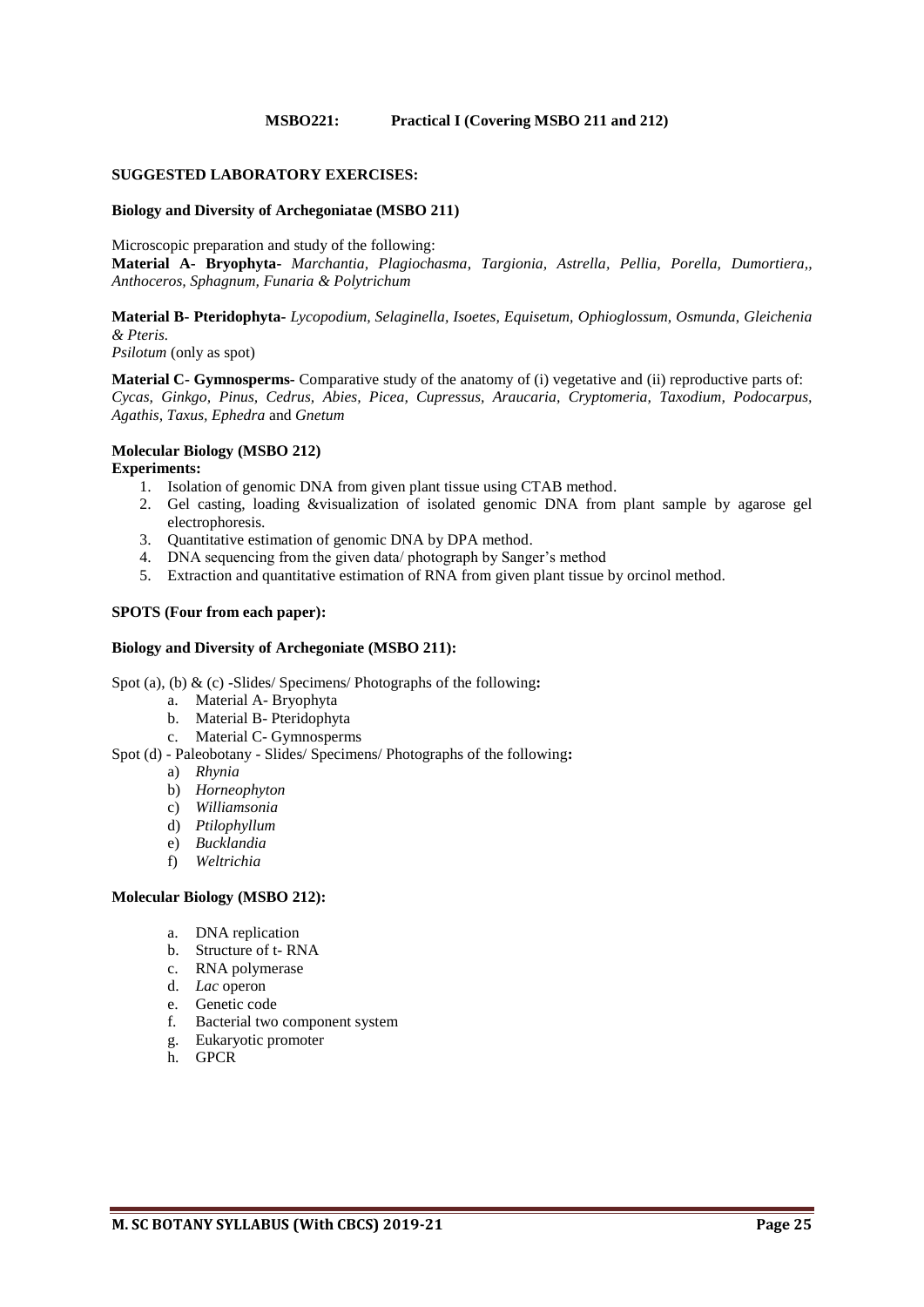#### **MSBO221: Practical I (Covering MSBO 211 and 212)**

#### **SUGGESTED LABORATORY EXERCISES:**

#### **Biology and Diversity of Archegoniatae (MSBO 211)**

Microscopic preparation and study of the following:

**Material A- Bryophyta-** *Marchantia, Plagiochasma*, *Targionia, Astrella, Pellia, Porella, Dumortiera,, Anthoceros, Sphagnum, Funaria & Polytrichum*

**Material B- Pteridophyta-** *Lycopodium, Selaginella, Isoetes, Equisetum, Ophioglossum, Osmunda*, *Gleichenia & Pteris.*

*Psilotum* (only as spot)

**Material C- Gymnosperms-** Comparative study of the anatomy of (i) vegetative and (ii) reproductive parts of: *Cycas, Ginkgo, Pinus, Cedrus, Abies, Picea, Cupressus, Araucaria, Cryptomeria, Taxodium, Podocarpus, Agathis, Taxus, Ephedra* and *Gnetum*

# **Molecular Biology (MSBO 212)**

#### **Experiments:**

- 1. Isolation of genomic DNA from given plant tissue using CTAB method.
- 2. Gel casting, loading &visualization of isolated genomic DNA from plant sample by agarose gel electrophoresis.
- 3. Quantitative estimation of genomic DNA by DPA method.
- 4. DNA sequencing from the given data/ photograph by Sanger's method
- 5. Extraction and quantitative estimation of RNA from given plant tissue by orcinol method.

#### **SPOTS (Four from each paper):**

#### **Biology and Diversity of Archegoniate (MSBO 211):**

Spot (a), (b) & (c) -Slides/ Specimens/ Photographs of the following**:**

- a. Material A- Bryophyta
- b. Material B- Pteridophyta
- c. Material C- Gymnosperms

Spot (d) - Paleobotany - Slides/ Specimens/ Photographs of the following**:**

- a) *Rhynia*
- b) *Horneophyton*
- c) *Williamsonia*
- d) *Ptilophyllum*
- e) *Bucklandia*
- f) *Weltrichia*

#### **Molecular Biology (MSBO 212):**

- a. DNA replication
- b. Structure of t- RNA
- c. RNA polymerase
- d. *Lac* operon
- e. Genetic code
- f. Bacterial two component system
- g. Eukaryotic promoter
- h. GPCR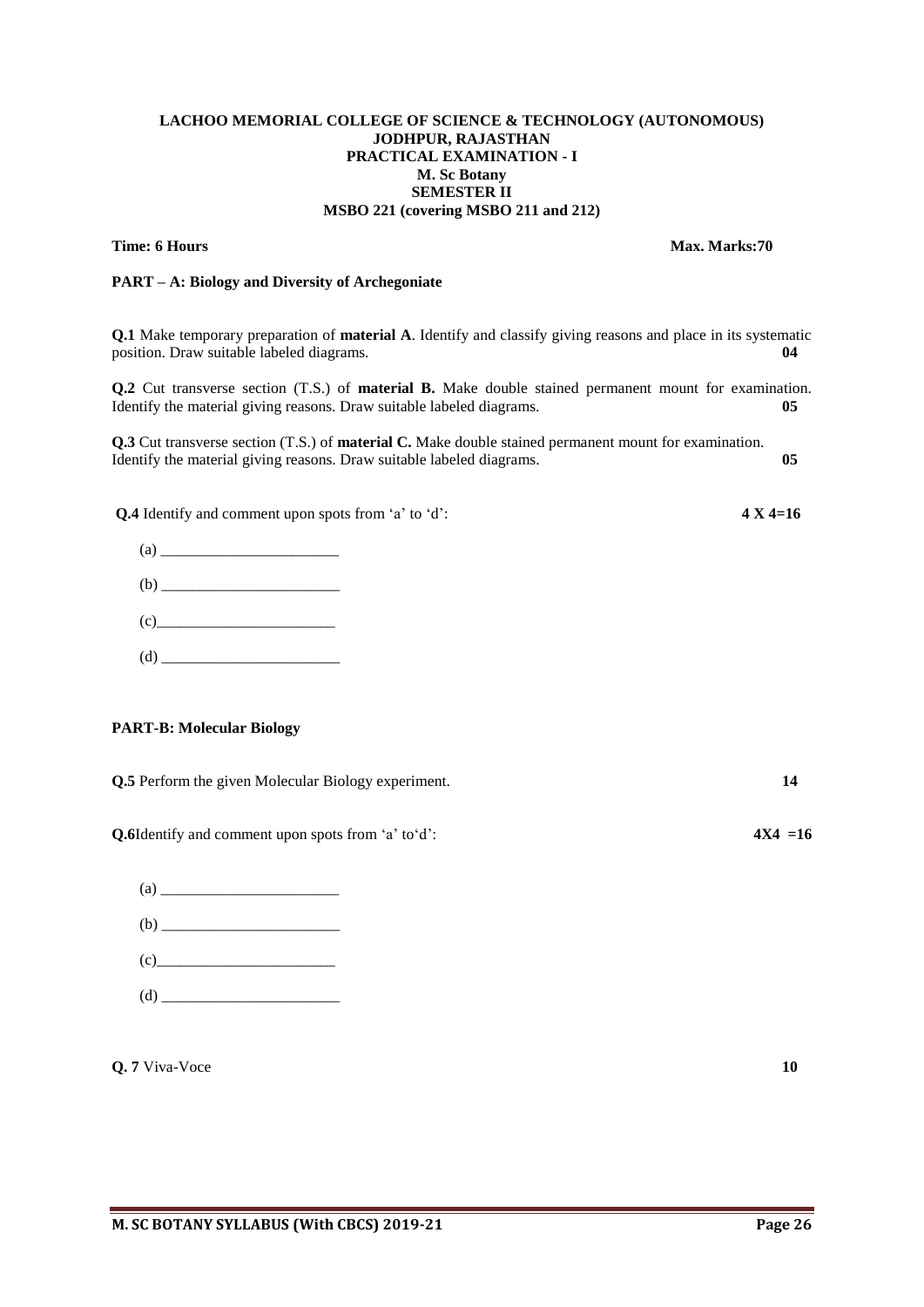#### **LACHOO MEMORIAL COLLEGE OF SCIENCE & TECHNOLOGY (AUTONOMOUS) JODHPUR, RAJASTHAN PRACTICAL EXAMINATION - I M. Sc Botany SEMESTER II MSBO 221 (covering MSBO 211 and 212)**

# **Time: 6 Hours Max. Marks:70**

# **PART – A: Biology and Diversity of Archegoniate**

**Q.1** Make temporary preparation of **material A**. Identify and classify giving reasons and place in its systematic position. Draw suitable labeled diagrams. **04**

**Q.2** Cut transverse section (T.S.) of **material B.** Make double stained permanent mount for examination. Identify the material giving reasons. Draw suitable labeled diagrams. **05**

**Q.3** Cut transverse section (T.S.) of **material C.** Make double stained permanent mount for examination. Identify the material giving reasons. Draw suitable labeled diagrams. **05**

**Q.4** Identify and comment upon spots from 'a' to 'd': **4 X 4=16**

| $\left( \text{a} \right)$ |  |
|---------------------------|--|
|                           |  |
| (c)                       |  |
| (d)                       |  |

#### **PART-B: Molecular Biology**

**Q.5** Perform the given Molecular Biology experiment. **14**

**Q.6**Identify and comment upon spots from 'a' to'd': **4X4 =16**

|     | (c)                                        |  |  |
|-----|--------------------------------------------|--|--|
| (d) | <b>Contract Contract Contract Contract</b> |  |  |

**Q. 7** Viva-Voce **10**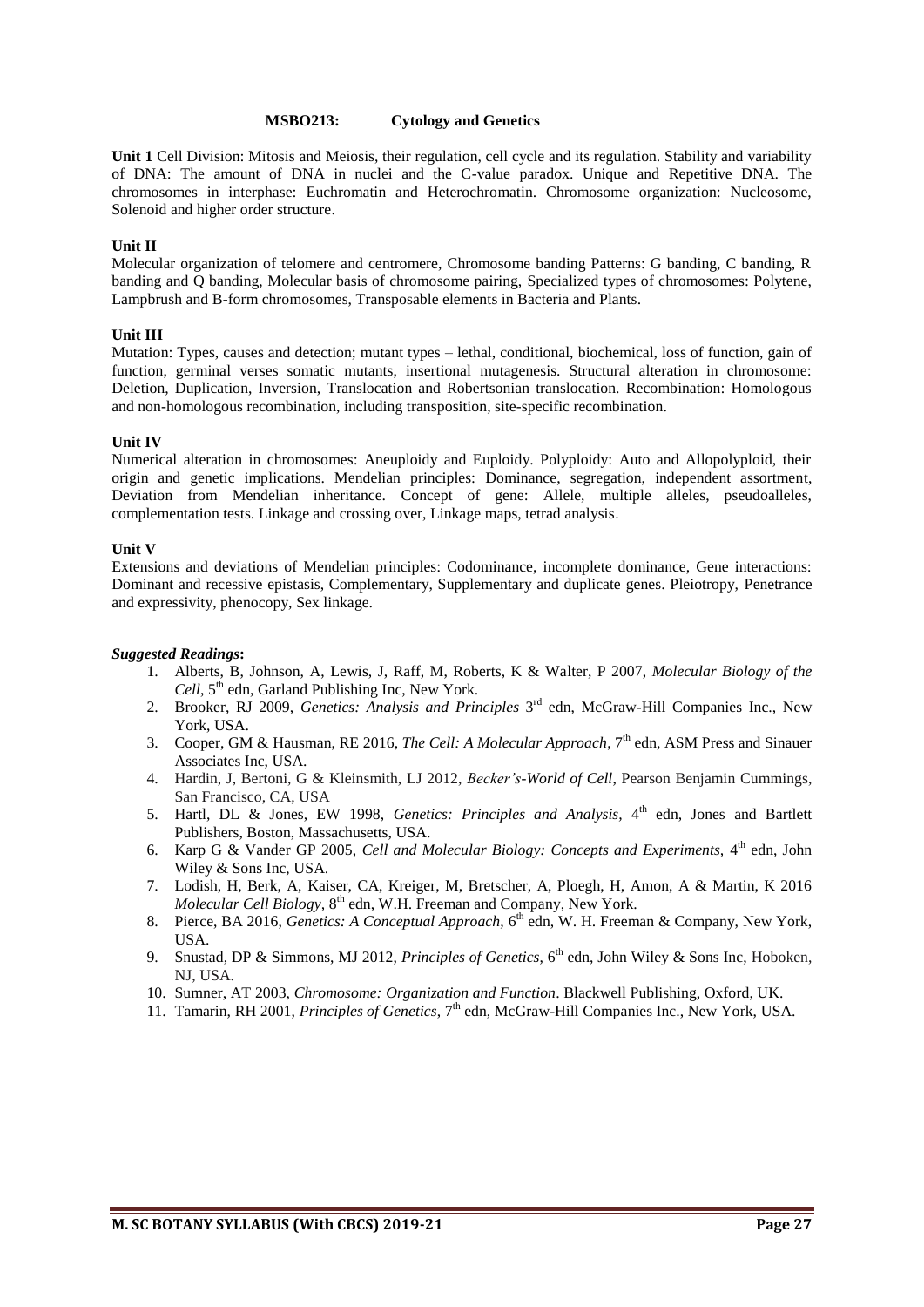#### **MSBO213: Cytology and Genetics**

**Unit 1** Cell Division: Mitosis and Meiosis, their regulation, cell cycle and its regulation. Stability and variability of DNA: The amount of DNA in nuclei and the C-value paradox. Unique and Repetitive DNA. The chromosomes in interphase: Euchromatin and Heterochromatin. Chromosome organization: Nucleosome, Solenoid and higher order structure.

#### **Unit II**

Molecular organization of telomere and centromere, Chromosome banding Patterns: G banding, C banding, R banding and Q banding, Molecular basis of chromosome pairing, Specialized types of chromosomes: Polytene, Lampbrush and B-form chromosomes, Transposable elements in Bacteria and Plants.

#### **Unit III**

Mutation: Types, causes and detection; mutant types – lethal, conditional, biochemical, loss of function, gain of function, germinal verses somatic mutants, insertional mutagenesis. Structural alteration in chromosome: Deletion, Duplication, Inversion, Translocation and Robertsonian translocation. Recombination: Homologous and non-homologous recombination, including transposition, site-specific recombination.

#### **Unit IV**

Numerical alteration in chromosomes: Aneuploidy and Euploidy. Polyploidy: Auto and Allopolyploid, their origin and genetic implications. Mendelian principles: Dominance, segregation, independent assortment, Deviation from Mendelian inheritance. Concept of gene: Allele, multiple alleles, pseudoalleles, complementation tests. Linkage and crossing over, Linkage maps, tetrad analysis.

#### **Unit V**

Extensions and deviations of Mendelian principles: Codominance, incomplete dominance, Gene interactions: Dominant and recessive epistasis, Complementary, Supplementary and duplicate genes. Pleiotropy, Penetrance and expressivity, phenocopy, Sex linkage.

- 1. Alberts, B, Johnson, A, Lewis, J, Raff, M, Roberts, K & Walter, P 2007, *Molecular Biology of the*  Cell, 5<sup>th</sup> edn, Garland Publishing Inc, New York.
- 2. Brooker, RJ 2009, *Genetics: Analysis and Principles* 3<sup>rd</sup> edn, McGraw-Hill Companies Inc., New York, USA.
- 3. Cooper, GM & Hausman, RE 2016, *The Cell: A Molecular Approach*, 7<sup>th</sup> edn, ASM Press and Sinauer Associates Inc, USA.
- 4. Hardin, J, Bertoni, G & Kleinsmith, LJ 2012, *Becker's-World of Cell*, Pearson Benjamin Cummings, San Francisco, CA, USA
- 5. Hartl, DL & Jones, EW 1998, *Genetics: Principles and Analysis*, 4<sup>th</sup> edn, Jones and Bartlett Publishers, Boston, Massachusetts, USA.
- 6. Karp G & Vander GP 2005, *Cell and Molecular Biology: Concepts and Experiments*, 4<sup>th</sup> edn, John Wiley & Sons Inc, USA.
- 7. Lodish, H, Berk, A, Kaiser, CA, Kreiger, M, Bretscher, A, Ploegh, H, Amon, A & Martin, K 2016 *Molecular Cell Biology, 8<sup>th</sup> edn, W.H. Freeman and Company, New York.*
- 8. Pierce, BA 2016, *Genetics: A Conceptual Approach*, 6<sup>th</sup> edn, W. H. Freeman & Company, New York, USA.
- 9. Snustad, DP & Simmons, MJ 2012, *Principles of Genetics*, 6<sup>th</sup> edn, John Wiley & Sons Inc, Hoboken, NJ, USA.
- 10. Sumner, AT 2003, *Chromosome: Organization and Function*. Blackwell Publishing, Oxford, UK.
- 11. Tamarin, RH 2001, Principles of Genetics, 7<sup>th</sup> edn, McGraw-Hill Companies Inc., New York, USA.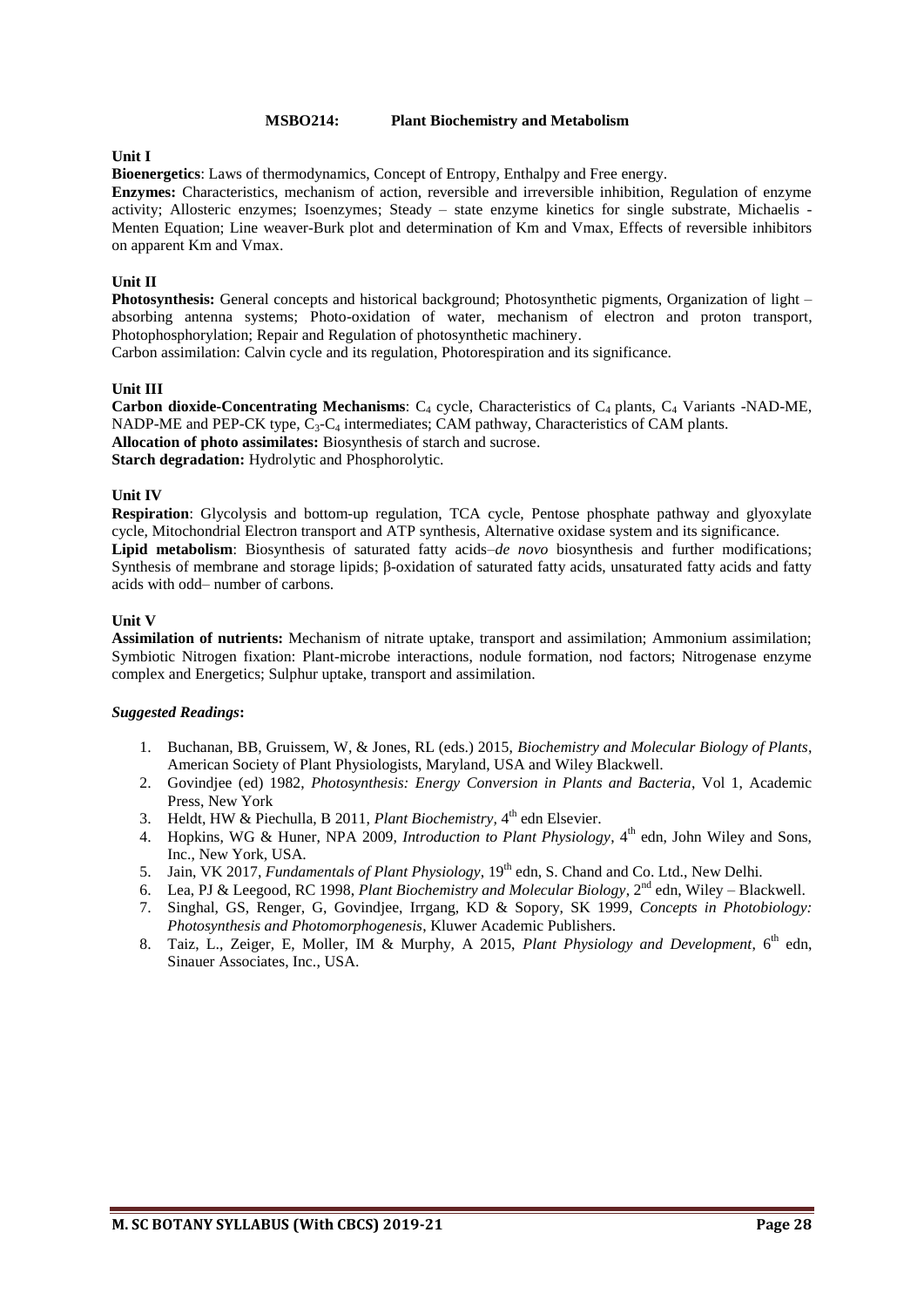#### **MSBO214: Plant Biochemistry and Metabolism**

#### **Unit I**

**Bioenergetics**: Laws of thermodynamics, Concept of Entropy, Enthalpy and Free energy.

**Enzymes:** Characteristics, mechanism of action, reversible and irreversible inhibition, Regulation of enzyme activity; Allosteric enzymes; Isoenzymes; Steady – state enzyme kinetics for single substrate, Michaelis - Menten Equation; Line weaver-Burk plot and determination of Km and Vmax, Effects of reversible inhibitors on apparent Km and Vmax.

#### **Unit II**

**Photosynthesis:** General concepts and historical background; Photosynthetic pigments, Organization of light – absorbing antenna systems; Photo-oxidation of water, mechanism of electron and proton transport, Photophosphorylation; Repair and Regulation of photosynthetic machinery.

Carbon assimilation: Calvin cycle and its regulation, Photorespiration and its significance.

#### **Unit III**

**Carbon dioxide-Concentrating Mechanisms**: C<sub>4</sub> cycle, Characteristics of C<sub>4</sub> plants, C<sub>4</sub> Variants -NAD-ME, NADP-ME and PEP-CK type,  $C_3$ - $C_4$  intermediates; CAM pathway, Characteristics of CAM plants. **Allocation of photo assimilates:** Biosynthesis of starch and sucrose. **Starch degradation:** Hydrolytic and Phosphorolytic.

#### **Unit IV**

**Respiration**: Glycolysis and bottom-up regulation, TCA cycle, Pentose phosphate pathway and glyoxylate cycle, Mitochondrial Electron transport and ATP synthesis, Alternative oxidase system and its significance. **Lipid metabolism**: Biosynthesis of saturated fatty acids–*de novo* biosynthesis and further modifications; Synthesis of membrane and storage lipids; β-oxidation of saturated fatty acids, unsaturated fatty acids and fatty acids with odd– number of carbons.

#### **Unit V**

**Assimilation of nutrients:** Mechanism of nitrate uptake, transport and assimilation; Ammonium assimilation; Symbiotic Nitrogen fixation: Plant-microbe interactions, nodule formation, nod factors; Nitrogenase enzyme complex and Energetics; Sulphur uptake, transport and assimilation.

- 1. Buchanan, BB, Gruissem, W, & Jones, RL (eds.) 2015, *Biochemistry and Molecular Biology of Plants*, American Society of Plant Physiologists, Maryland, USA and Wiley Blackwell.
- 2. Govindjee (ed) 1982, *Photosynthesis: Energy Conversion in Plants and Bacteria*, Vol 1, Academic Press, New York
- 3. Heldt, HW & Piechulla, B 2011, *Plant Biochemistry*, 4<sup>th</sup> edn Elsevier.
- 4. Hopkins, WG & Huner, NPA 2009, *Introduction to Plant Physiology*, 4<sup>th</sup> edn, John Wiley and Sons, Inc., New York, USA.
- 5. Jain, VK 2017, *Fundamentals of Plant Physiology*, 19<sup>th</sup> edn, S. Chand and Co. Ltd., New Delhi.
- 6. Lea, PJ & Leegood, RC 1998, *Plant Biochemistry and Molecular Biology*, 2<sup>nd</sup> edn, Wiley Blackwell.
- 7. Singhal, GS, Renger, G, Govindjee, Irrgang, KD & Sopory, SK 1999, *Concepts in Photobiology: Photosynthesis and Photomorphogenesis*, Kluwer Academic Publishers.
- 8. Taiz, L., Zeiger, E, Moller, IM & Murphy, A 2015, *Plant Physiology and Development*, 6<sup>th</sup> edn, Sinauer Associates, Inc., USA.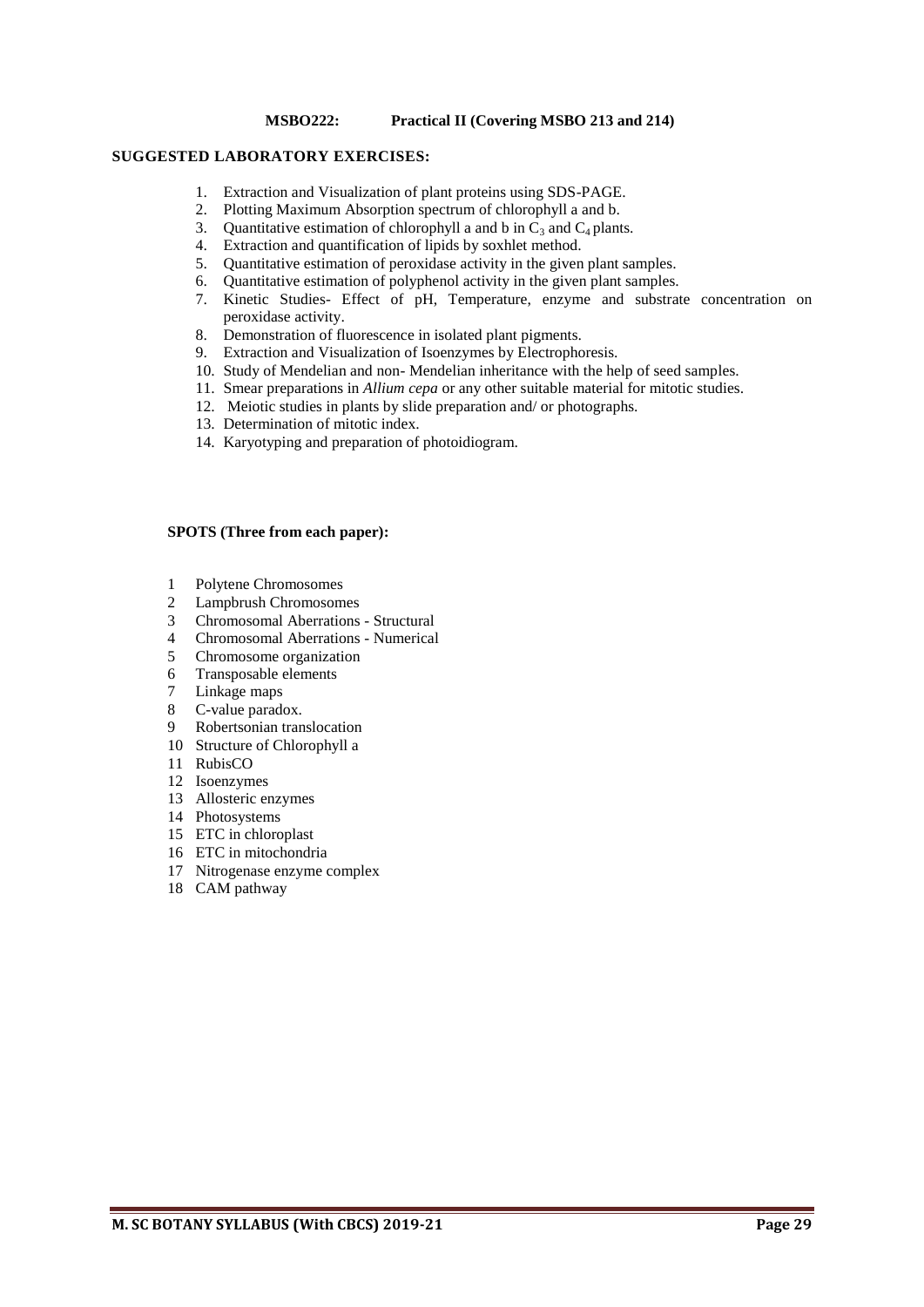#### **MSBO222: Practical II (Covering MSBO 213 and 214)**

#### **SUGGESTED LABORATORY EXERCISES:**

- 1. Extraction and Visualization of plant proteins using SDS-PAGE.
- 2. Plotting Maximum Absorption spectrum of chlorophyll a and b.
- 3. Quantitative estimation of chlorophyll a and b in  $C_3$  and  $C_4$  plants.<br>4. Extraction and quantification of linids by soxhlet method.
- Extraction and quantification of lipids by soxhlet method.
- 5. Quantitative estimation of peroxidase activity in the given plant samples.
- 6. Quantitative estimation of polyphenol activity in the given plant samples.
- 7. Kinetic Studies- Effect of pH, Temperature, enzyme and substrate concentration on peroxidase activity.
- 8. Demonstration of fluorescence in isolated plant pigments.
- 9. Extraction and Visualization of Isoenzymes by Electrophoresis.
- 10. Study of Mendelian and non- Mendelian inheritance with the help of seed samples.
- 11. Smear preparations in *Allium cepa* or any other suitable material for mitotic studies.
- 12. Meiotic studies in plants by slide preparation and/ or photographs.
- 13. Determination of mitotic index.
- 14. Karyotyping and preparation of photoidiogram.

#### **SPOTS (Three from each paper):**

- 1 Polytene Chromosomes
- 2 Lampbrush Chromosomes
- 3 Chromosomal Aberrations Structural<br>4 Chromosomal Aberrations Numerical
- 4 Chromosomal Aberrations Numerical<br>5 Chromosome organization
- 5 Chromosome organization
- 6 Transposable elements
- 7 Linkage maps
- 8 C-value paradox.
- 9 Robertsonian translocation
- 10 Structure of Chlorophyll a
- 11 RubisCO
- 12 Isoenzymes
- 13 Allosteric enzymes
- 14 Photosystems
- 15 ETC in chloroplast
- 16 ETC in mitochondria
- 17 Nitrogenase enzyme complex
- 18 CAM pathway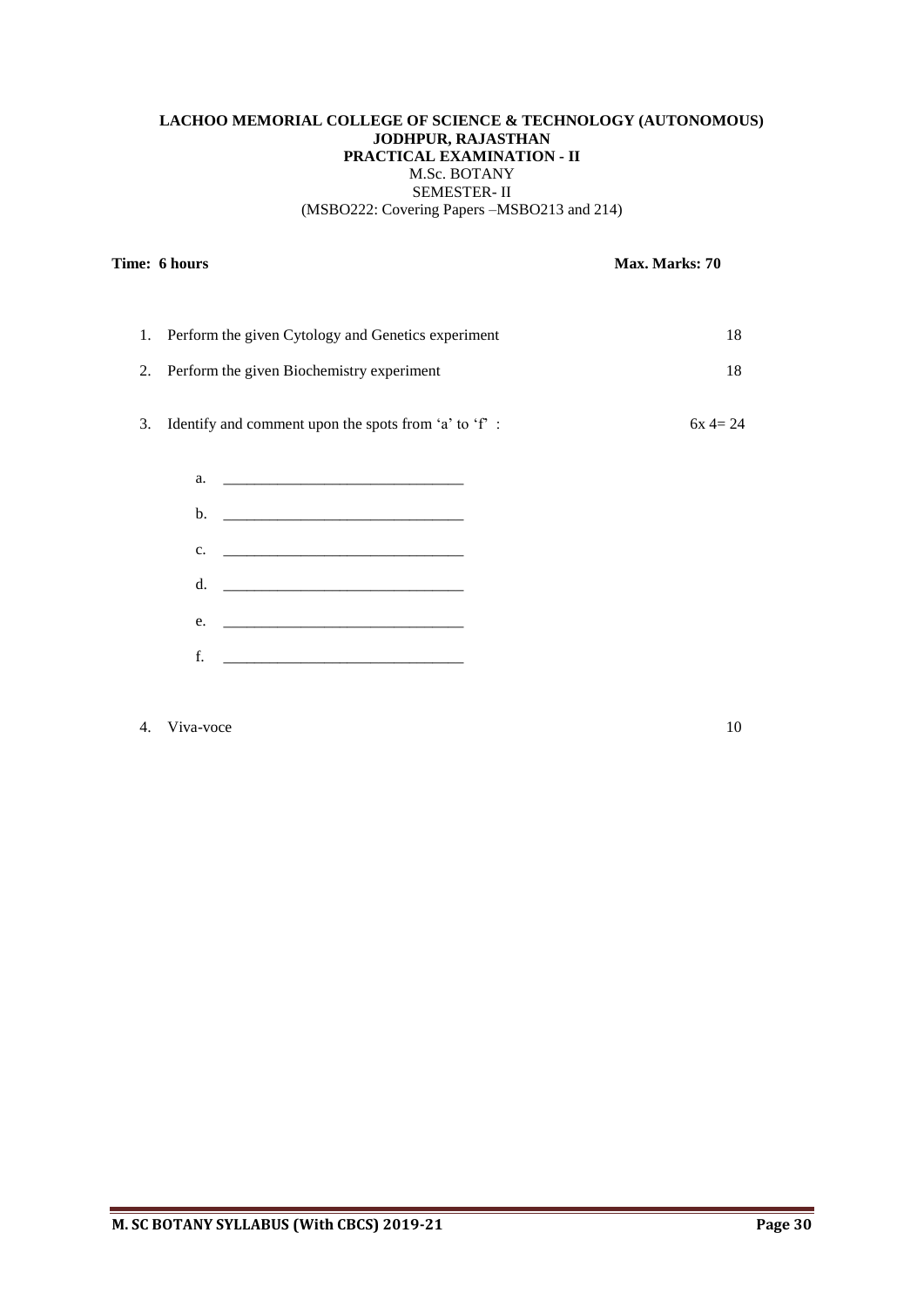# **LACHOO MEMORIAL COLLEGE OF SCIENCE & TECHNOLOGY (AUTONOMOUS) JODHPUR, RAJASTHAN PRACTICAL EXAMINATION - II** M.Sc. BOTANY SEMESTER- II (MSBO222: Covering Papers –MSBO213 and 214)

# **Time: 6 hours Max. Marks: 70**

| 1. Perform the given Cytology and Genetics experiment    | 18        |
|----------------------------------------------------------|-----------|
| 2. Perform the given Biochemistry experiment             | 18        |
| 3. Identify and comment upon the spots from 'a' to 'f' : | $6x = 24$ |
|                                                          |           |
|                                                          |           |
| $C_{\bullet}$                                            |           |
| d.                                                       |           |
| e.                                                       |           |
| f.                                                       |           |

# 4. Viva-voce 10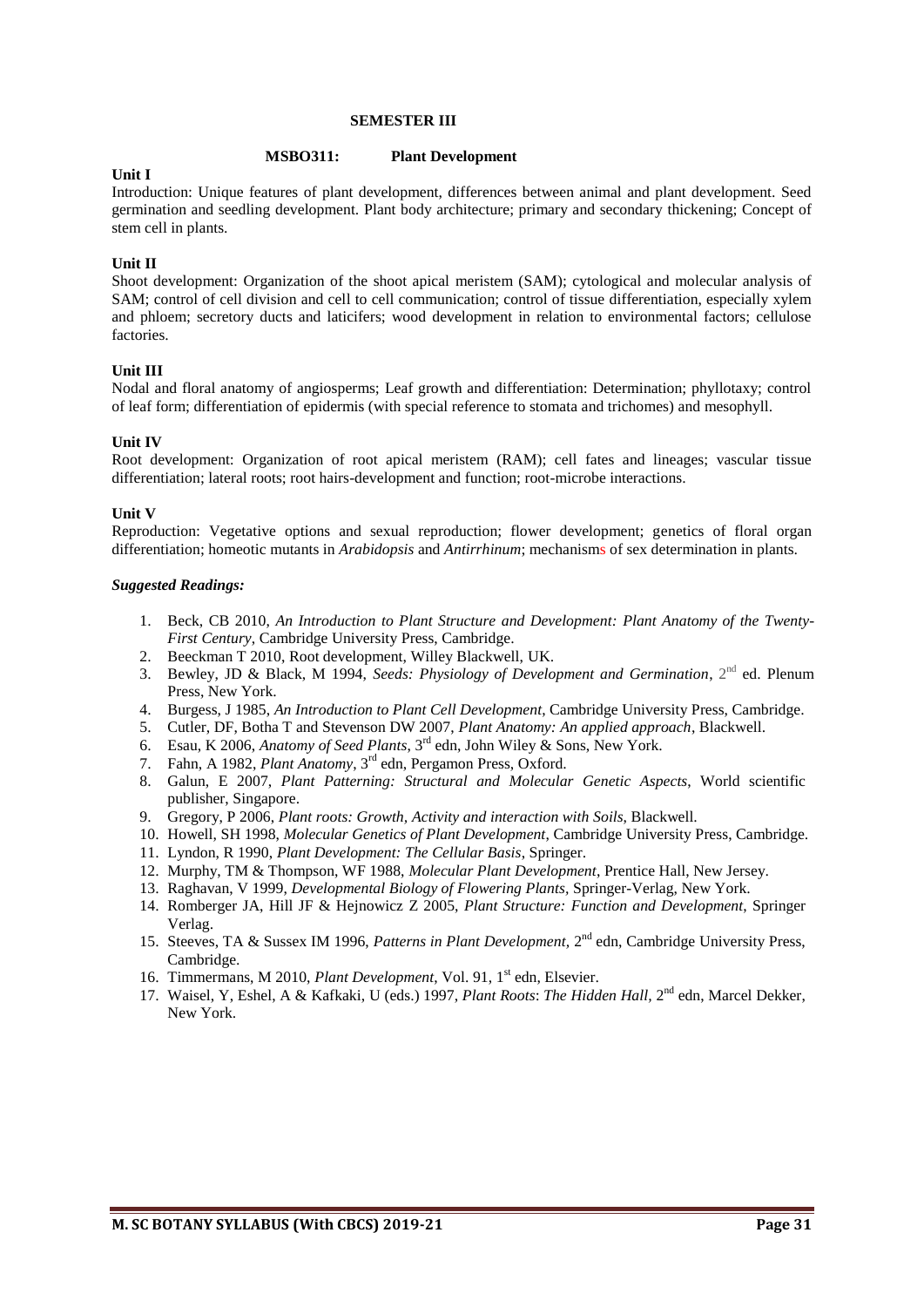#### **SEMESTER III**

#### **MSBO311: Plant Development**

#### **Unit I**

Introduction: Unique features of plant development, differences between animal and plant development. Seed germination and seedling development. Plant body architecture; primary and secondary thickening; Concept of stem cell in plants.

# **Unit II**

Shoot development: Organization of the shoot apical meristem (SAM); cytological and molecular analysis of SAM; control of cell division and cell to cell communication; control of tissue differentiation, especially xylem and phloem; secretory ducts and laticifers; wood development in relation to environmental factors; cellulose factories.

#### **Unit III**

Nodal and floral anatomy of angiosperms; Leaf growth and differentiation: Determination; phyllotaxy; control of leaf form; differentiation of epidermis (with special reference to stomata and trichomes) and mesophyll.

#### **Unit IV**

Root development: Organization of root apical meristem (RAM); cell fates and lineages; vascular tissue differentiation; lateral roots; root hairs-development and function; root-microbe interactions.

#### **Unit V**

Reproduction: Vegetative options and sexual reproduction; flower development; genetics of floral organ differentiation; homeotic mutants in *Arabidopsis* and *Antirrhinum*; mechanisms of sex determination in plants.

- 1. Beck, CB 2010, *An Introduction to Plant Structure and Development: Plant Anatomy of the Twenty-First Century*, Cambridge University Press, Cambridge.
- 2. Beeckman T 2010, Root development, Willey Blackwell, UK.
- 3. Bewley, JD & Black, M 1994, *Seeds: Physiology of Development and Germination*, 2<sup>nd</sup> ed. Plenum Press, New York.
- 4. Burgess, J 1985, *An Introduction to Plant Cell Development*, Cambridge University Press, Cambridge.
- 5. Cutler, DF, Botha T and Stevenson DW 2007, *Plant Anatomy: An applied approach*, Blackwell.
- 6. Esau, K 2006, *Anatomy of Seed Plants*, 3<sup>rd</sup> edn, John Wiley & Sons, New York.
- 7. Fahn, A 1982, *Plant Anatomy*, 3 rd edn, Pergamon Press, Oxford.
- 8. Galun, E 2007, *Plant Patterning: Structural and Molecular Genetic Aspects*, World scientific publisher, Singapore.
- 9. Gregory, P 2006, *Plant roots: Growth, Activity and interaction with Soils*, Blackwell.
- 10. Howell, SH 1998, *Molecular Genetics of Plant Development*, Cambridge University Press, Cambridge.
- 11. Lyndon, R 1990, *Plant Development: The Cellular Basis*, Springer.
- 12. Murphy, TM & Thompson, WF 1988, *Molecular Plant Development*, Prentice Hall, New Jersey.
- 13. Raghavan, V 1999, *Developmental Biology of Flowering Plants,* Springer-Verlag, New York.
- 14. Romberger JA, Hill JF & Hejnowicz Z 2005, *Plant Structure: Function and Development*, Springer Verlag.
- 15. Steeves, TA & Sussex IM 1996, Patterns in Plant Development, 2<sup>nd</sup> edn, Cambridge University Press, Cambridge.
- 16. Timmermans, M 2010, *Plant Development*, Vol. 91, 1 st edn, Elsevier.
- 17. Waisel, Y, Eshel, A & Kafkaki, U (eds.) 1997, *Plant Roots: The Hidden Hall*, 2<sup>nd</sup> edn, Marcel Dekker, New York.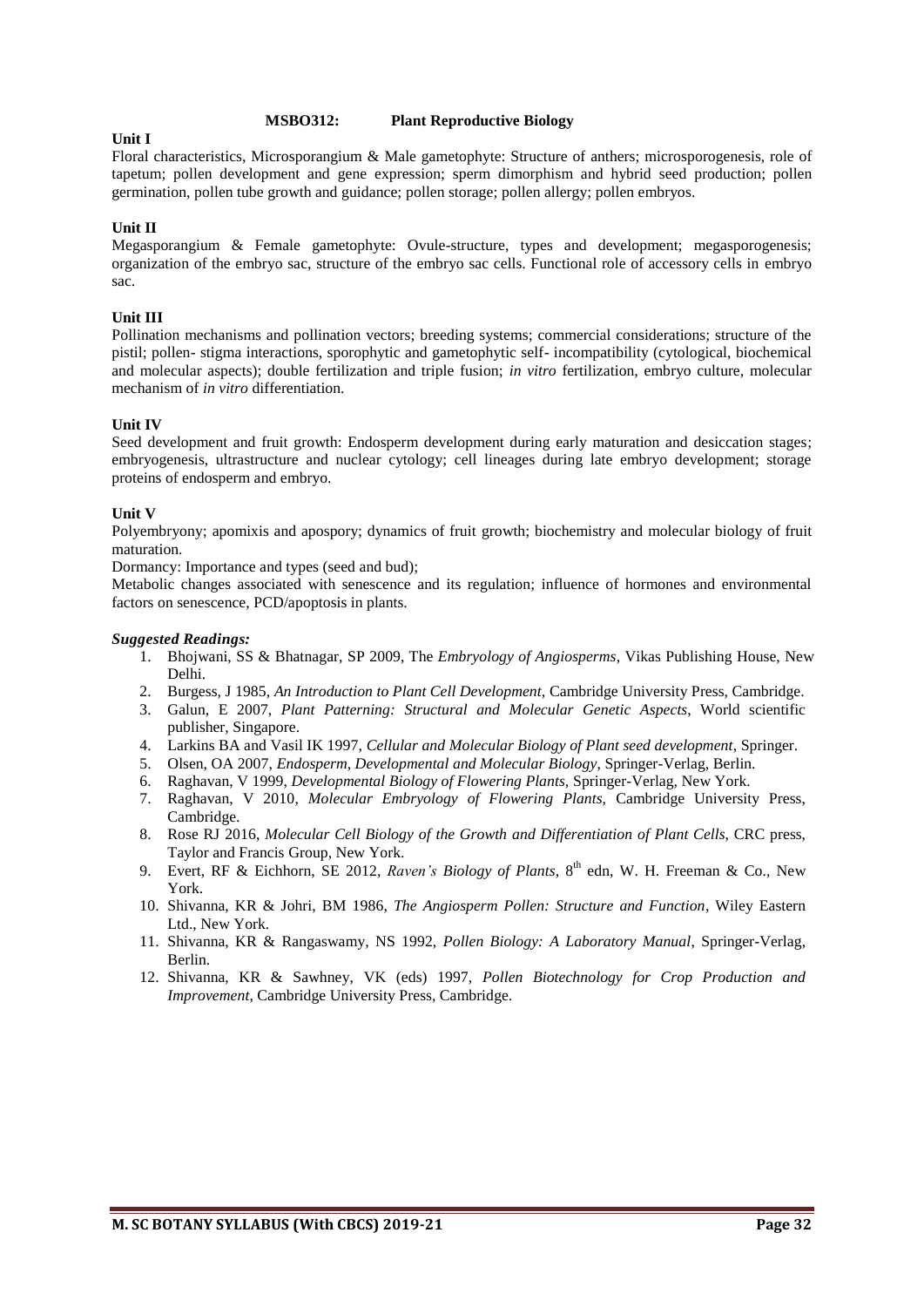#### **MSBO312: Plant Reproductive Biology**

#### **Unit I**

Floral characteristics, Microsporangium & Male gametophyte: Structure of anthers; microsporogenesis, role of tapetum; pollen development and gene expression; sperm dimorphism and hybrid seed production; pollen germination, pollen tube growth and guidance; pollen storage; pollen allergy; pollen embryos.

# **Unit II**

Megasporangium & Female gametophyte: Ovule-structure, types and development; megasporogenesis; organization of the embryo sac, structure of the embryo sac cells. Functional role of accessory cells in embryo sac.

#### **Unit III**

Pollination mechanisms and pollination vectors; breeding systems; commercial considerations; structure of the pistil; pollen- stigma interactions, sporophytic and gametophytic self- incompatibility (cytological, biochemical and molecular aspects); double fertilization and triple fusion; *in vitro* fertilization, embryo culture, molecular mechanism of *in vitro* differentiation.

#### **Unit IV**

Seed development and fruit growth: Endosperm development during early maturation and desiccation stages; embryogenesis, ultrastructure and nuclear cytology; cell lineages during late embryo development; storage proteins of endosperm and embryo.

#### **Unit V**

Polyembryony; apomixis and apospory; dynamics of fruit growth; biochemistry and molecular biology of fruit maturation.

Dormancy: Importance and types (seed and bud);

Metabolic changes associated with senescence and its regulation; influence of hormones and environmental factors on senescence, PCD/apoptosis in plants.

- 1. Bhojwani, SS & Bhatnagar, SP 2009, The *Embryology of Angiosperms*, Vikas Publishing House, New Delhi.
- 2. Burgess, J 1985, *An Introduction to Plant Cell Development,* Cambridge University Press, Cambridge.
- 3. Galun, E 2007, *Plant Patterning: Structural and Molecular Genetic Aspects*, World scientific publisher, Singapore.
- 4. Larkins BA and Vasil IK 1997, *Cellular and Molecular Biology of Plant seed development*, Springer.
- 5. Olsen, OA 2007, *Endosperm, Developmental and Molecular Biology*, Springer-Verlag, Berlin.
- 6. Raghavan, V 1999, *Developmental Biology of Flowering Plants,* Springer-Verlag, New York.
- 7. Raghavan, V 2010, *Molecular Embryology of Flowering Plants,* Cambridge University Press, Cambridge.
- 8. Rose RJ 2016, *Molecular Cell Biology of the Growth and Differentiation of Plant Cells*, CRC press, Taylor and Francis Group, New York.
- 9. Evert, RF & Eichhorn, SE 2012, *Raven's Biology of Plants*, 8<sup>th</sup> edn, W. H. Freeman & Co., New York.
- 10. Shivanna, KR & Johri, BM 1986, *The Angiosperm Pollen: Structure and Function*, Wiley Eastern Ltd., New York.
- 11. Shivanna, KR & Rangaswamy, NS 1992, *Pollen Biology: A Laboratory Manual*, Springer-Verlag, Berlin.
- 12. Shivanna, KR & Sawhney, VK (eds) 1997, *Pollen Biotechnology for Crop Production and Improvement*, Cambridge University Press, Cambridge.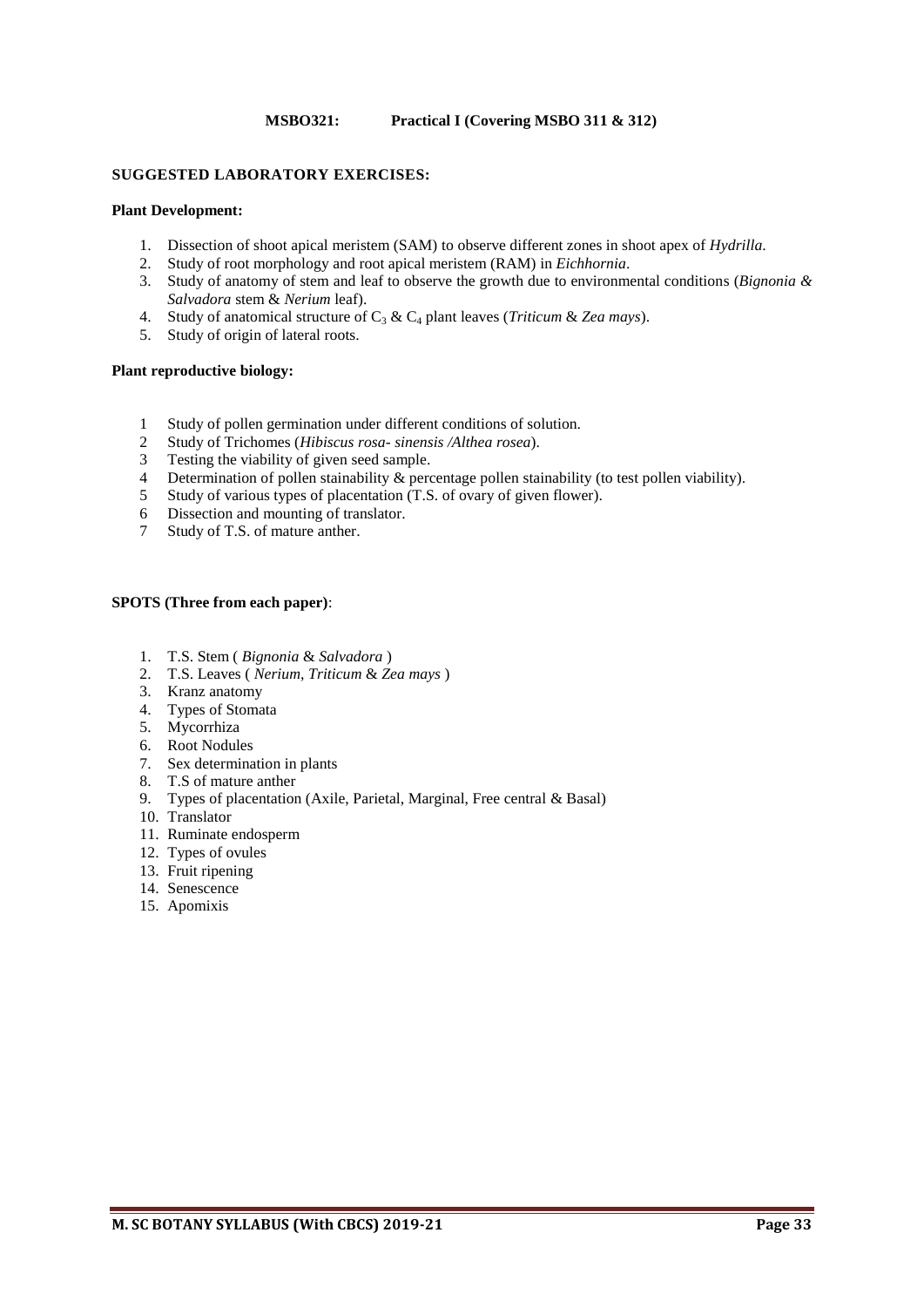#### **MSBO321: Practical I (Covering MSBO 311 & 312)**

#### **SUGGESTED LABORATORY EXERCISES:**

#### **Plant Development:**

- 1. Dissection of shoot apical meristem (SAM) to observe different zones in shoot apex of *Hydrilla*.
- 2. Study of root morphology and root apical meristem (RAM) in *Eichhornia*.
- 3. Study of anatomy of stem and leaf to observe the growth due to environmental conditions (*Bignonia & Salvadora* stem & *Nerium* leaf).
- 4. Study of anatomical structure of C<sup>3</sup> & C<sup>4</sup> plant leaves (*Triticum* & *Zea mays*).
- 5. Study of origin of lateral roots.

#### **Plant reproductive biology:**

- 1 Study of pollen germination under different conditions of solution.
- 2 Study of Trichomes (*Hibiscus rosa- sinensis /Althea rosea*).
- 3 Testing the viability of given seed sample.<br>4 Determination of pollen stainability  $\&$  perception
- Determination of pollen stainability & percentage pollen stainability (to test pollen viability).
- 5 Study of various types of placentation (T.S. of ovary of given flower).
- 6 Dissection and mounting of translator.
- 7 Study of T.S. of mature anther.

#### **SPOTS (Three from each paper)**:

- 1. T.S. Stem ( *Bignonia* & *Salvadora* )
- 2. T.S. Leaves ( *Nerium*, *Triticum* & *Zea mays* )
- 3. Kranz anatomy
- 4. Types of Stomata
- 5. Mycorrhiza
- 6. Root Nodules
- 7. Sex determination in plants
- 8. T.S of mature anther
- 9. Types of placentation (Axile, Parietal, Marginal, Free central & Basal)
- 10. Translator
- 11. Ruminate endosperm
- 12. Types of ovules
- 13. Fruit ripening
- 14. Senescence
- 15. Apomixis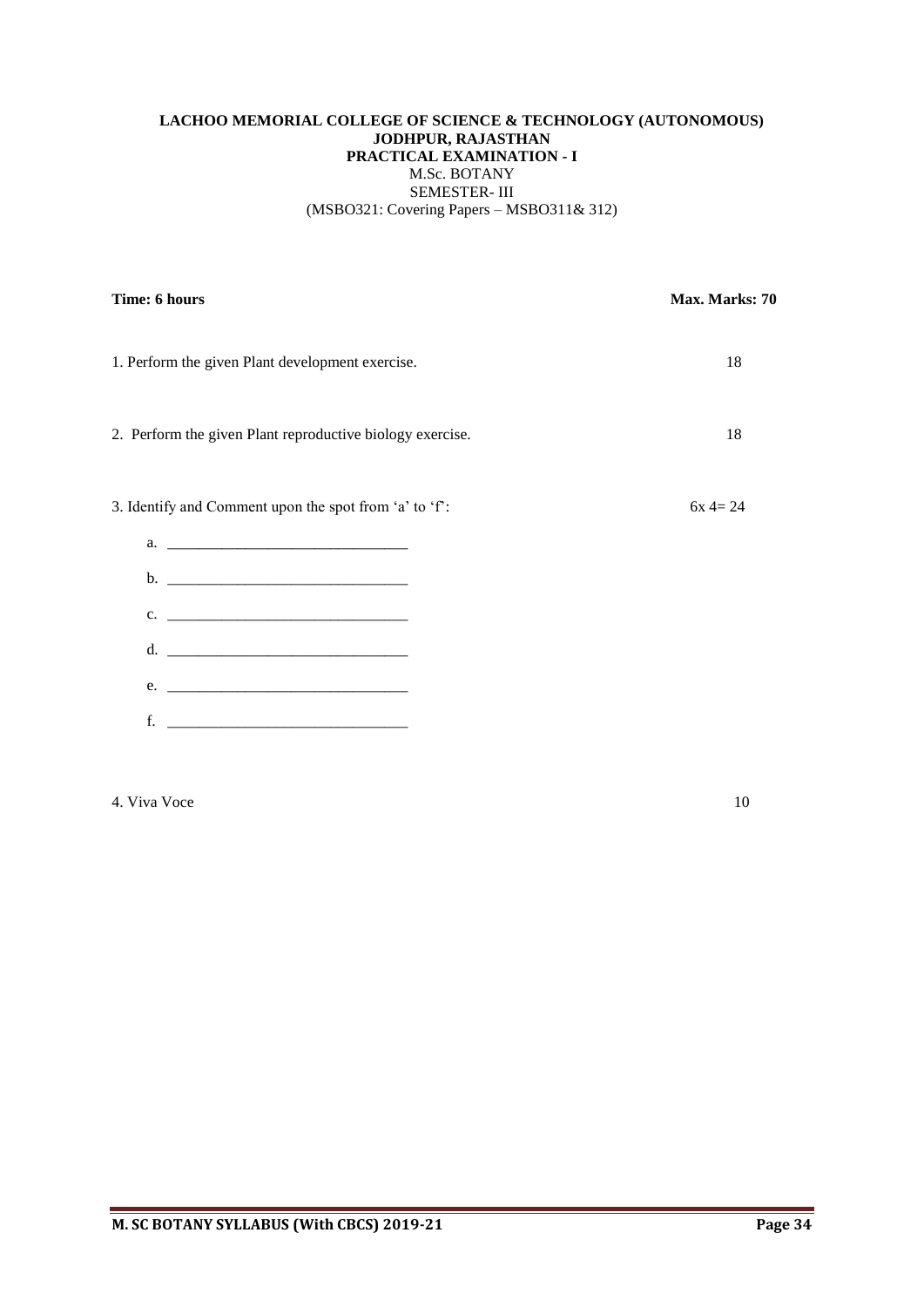# **LACHOO MEMORIAL COLLEGE OF SCIENCE & TECHNOLOGY (AUTONOMOUS) JODHPUR, RAJASTHAN PRACTICAL EXAMINATION - I** M.Sc. BOTANY SEMESTER- III (MSBO321: Covering Papers – MSBO311& 312)

| Time: 6 hours                                             | Max. Marks: 70 |
|-----------------------------------------------------------|----------------|
| 1. Perform the given Plant development exercise.          | 18             |
| 2. Perform the given Plant reproductive biology exercise. | 18             |
| 3. Identify and Comment upon the spot from 'a' to 'f':    | $6x = 24$      |
|                                                           |                |
|                                                           |                |
| $c.$ $\qquad \qquad$                                      |                |
|                                                           |                |
| e.                                                        |                |
| f.                                                        |                |
|                                                           |                |

4. Viva Voce 10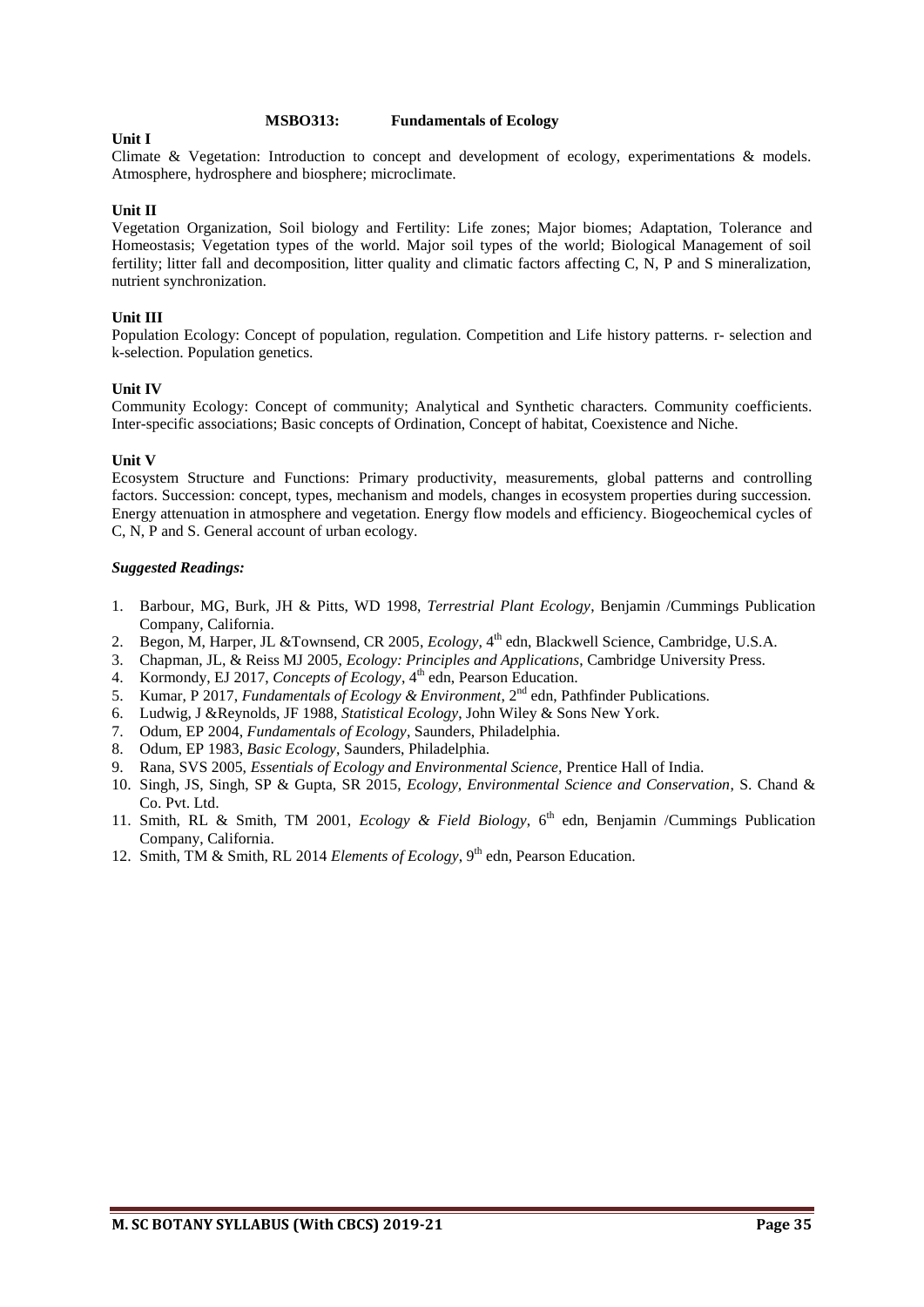#### **MSBO313: Fundamentals of Ecology**

#### **Unit I**

Climate & Vegetation: Introduction to concept and development of ecology, experimentations & models. Atmosphere, hydrosphere and biosphere; microclimate.

#### **Unit II**

Vegetation Organization, Soil biology and Fertility: Life zones; Major biomes; Adaptation, Tolerance and Homeostasis; Vegetation types of the world. Major soil types of the world; Biological Management of soil fertility; litter fall and decomposition, litter quality and climatic factors affecting C, N, P and S mineralization, nutrient synchronization.

#### **Unit III**

Population Ecology: Concept of population, regulation. Competition and Life history patterns. r- selection and k-selection. Population genetics.

#### **Unit IV**

Community Ecology: Concept of community; Analytical and Synthetic characters. Community coefficients. Inter-specific associations; Basic concepts of Ordination, Concept of habitat, Coexistence and Niche.

#### **Unit V**

Ecosystem Structure and Functions: Primary productivity, measurements, global patterns and controlling factors. Succession: concept, types, mechanism and models, changes in ecosystem properties during succession. Energy attenuation in atmosphere and vegetation. Energy flow models and efficiency. Biogeochemical cycles of C, N, P and S. General account of urban ecology.

- 1. Barbour, MG, Burk, JH & Pitts, WD 1998, *Terrestrial Plant Ecology*, Benjamin /Cummings Publication Company, California.
- 2. Begon, M, Harper, JL & Townsend, CR 2005, *Ecology*, 4<sup>th</sup> edn, Blackwell Science, Cambridge, U.S.A.
- 3. Chapman, JL, & Reiss MJ 2005, *Ecology: Principles and Applications*, Cambridge University Press.
- 4. Kormondy, EJ 2017, *Concepts of Ecology*, 4<sup>th</sup> edn, Pearson Education.
- 5. Kumar, P 2017, *Fundamentals of Ecology & Environment*, 2<sup>nd</sup> edn, Pathfinder Publications.
- 6. Ludwig, J &Reynolds, JF 1988, *Statistical Ecology*, John Wiley & Sons New York.
- 7. Odum, EP 2004, *Fundamentals of Ecology*, Saunders, Philadelphia.
- 8. Odum, EP 1983, *Basic Ecology*, Saunders, Philadelphia.
- 9. Rana, SVS 2005, *Essentials of Ecology and Environmental Science,* Prentice Hall of India.
- 10. Singh, JS, Singh, SP & Gupta, SR 2015, *Ecology, Environmental Science and Conservation*, S. Chand & Co. Pvt. Ltd.
- 11. Smith, RL & Smith, TM 2001, *Ecology & Field Biology*, 6<sup>th</sup> edn, Benjamin /Cummings Publication Company, California.
- 12. Smith, TM & Smith, RL 2014 *Elements of Ecology*, 9<sup>th</sup> edn, Pearson Education.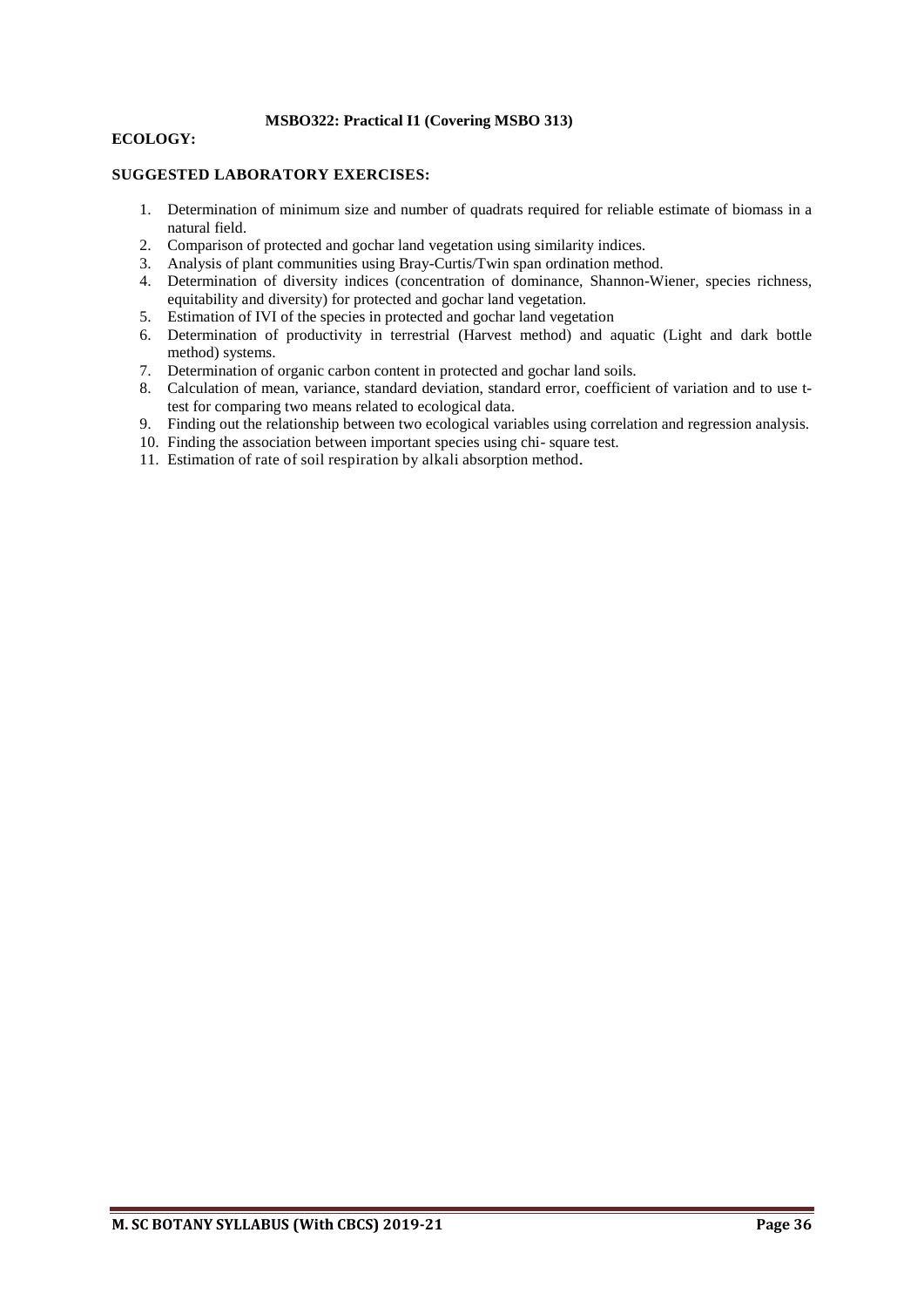# **MSBO322: Practical I1 (Covering MSBO 313)**

#### **ECOLOGY:**

#### **SUGGESTED LABORATORY EXERCISES:**

- 1. Determination of minimum size and number of quadrats required for reliable estimate of biomass in a natural field.
- 2. Comparison of protected and gochar land vegetation using similarity indices.
- 3. Analysis of plant communities using Bray-Curtis/Twin span ordination method.
- 4. Determination of diversity indices (concentration of dominance, Shannon-Wiener, species richness, equitability and diversity) for protected and gochar land vegetation.
- 5. Estimation of IVI of the species in protected and gochar land vegetation
- 6. Determination of productivity in terrestrial (Harvest method) and aquatic (Light and dark bottle method) systems.
- 7. Determination of organic carbon content in protected and gochar land soils.
- 8. Calculation of mean, variance, standard deviation, standard error, coefficient of variation and to use ttest for comparing two means related to ecological data.
- 9. Finding out the relationship between two ecological variables using correlation and regression analysis.
- 10. Finding the association between important species using chi- square test.
- 11. Estimation of rate of soil respiration by alkali absorption method.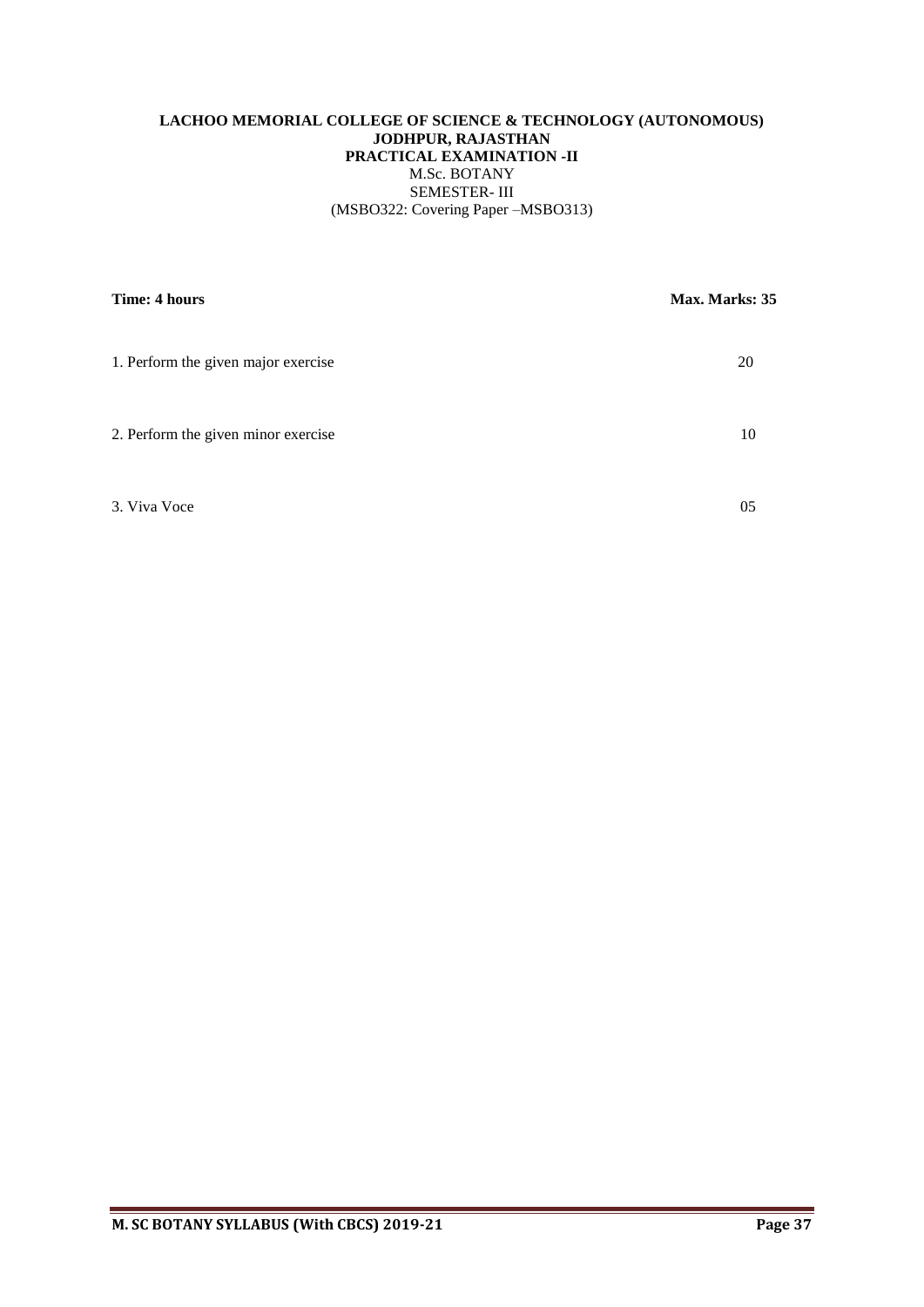# **LACHOO MEMORIAL COLLEGE OF SCIENCE & TECHNOLOGY (AUTONOMOUS) JODHPUR, RAJASTHAN PRACTICAL EXAMINATION -II** M.Sc. BOTANY SEMESTER- III (MSBO322: Covering Paper –MSBO313)

| Time: 4 hours                       | Max. Marks: 35 |
|-------------------------------------|----------------|
| 1. Perform the given major exercise | 20             |
| 2. Perform the given minor exercise | 10             |
| 3. Viva Voce                        | 05             |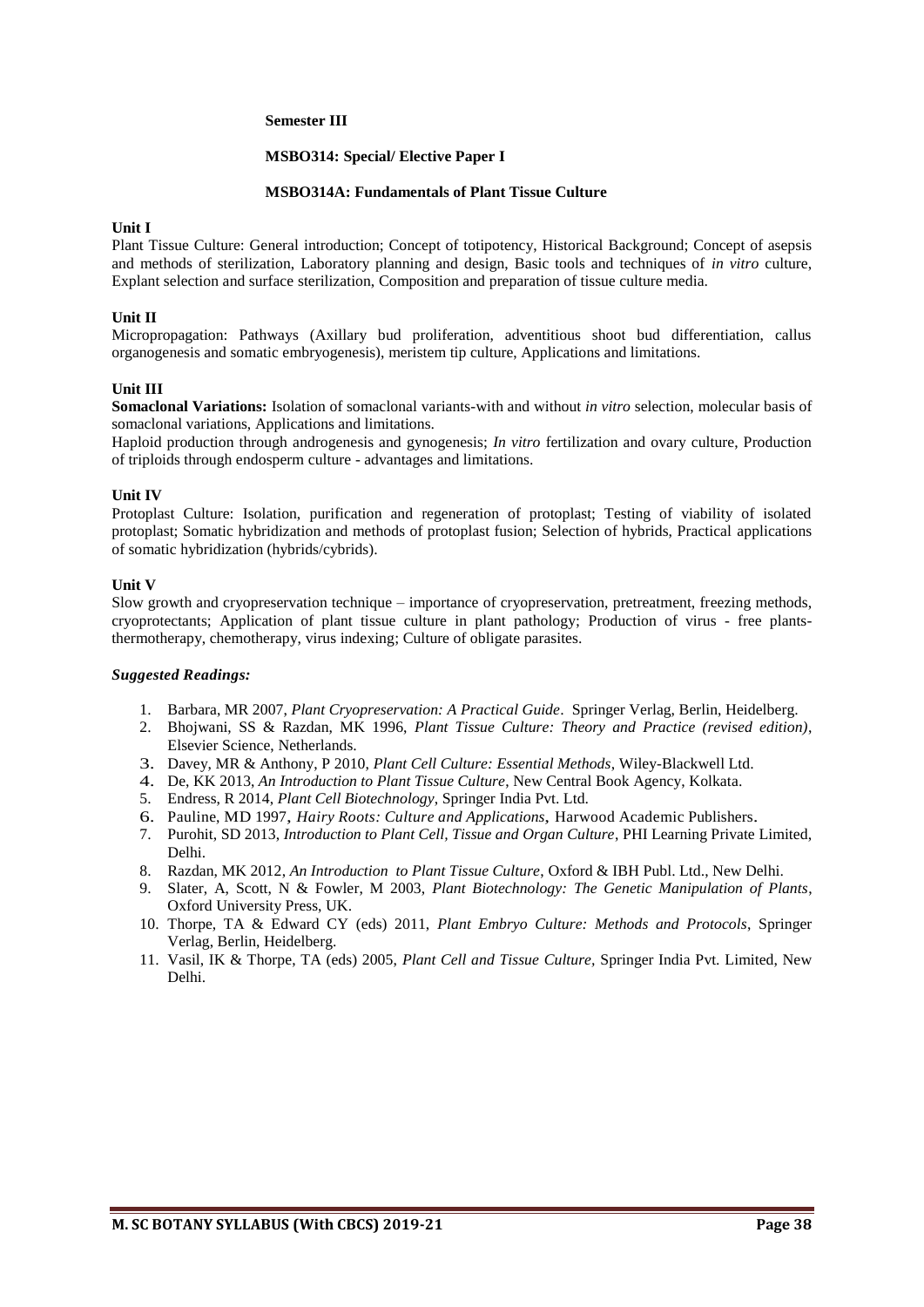#### **Semester III**

#### **MSBO314: Special/ Elective Paper I**

#### **MSBO314A: Fundamentals of Plant Tissue Culture**

#### **Unit I**

Plant Tissue Culture: General introduction; Concept of totipotency, Historical Background; Concept of asepsis and methods of sterilization, Laboratory planning and design, Basic tools and techniques of *in vitro* culture, Explant selection and surface sterilization, Composition and preparation of tissue culture media.

#### **Unit II**

Micropropagation: Pathways (Axillary bud proliferation, adventitious shoot bud differentiation, callus organogenesis and somatic embryogenesis), meristem tip culture, Applications and limitations.

#### **Unit III**

**Somaclonal Variations:** Isolation of somaclonal variants-with and without *in vitro* selection, molecular basis of somaclonal variations, Applications and limitations.

Haploid production through androgenesis and gynogenesis; *In vitro* fertilization and ovary culture, Production of triploids through endosperm culture - advantages and limitations.

#### **Unit IV**

Protoplast Culture: Isolation, purification and regeneration of protoplast; Testing of viability of isolated protoplast; Somatic hybridization and methods of protoplast fusion; Selection of hybrids, Practical applications of somatic hybridization (hybrids/cybrids).

#### **Unit V**

Slow growth and cryopreservation technique – importance of cryopreservation, pretreatment, freezing methods, cryoprotectants; Application of plant tissue culture in plant pathology; Production of virus - free plantsthermotherapy, chemotherapy, virus indexing; Culture of obligate parasites.

- 1. Barbara, MR 2007, *Plant Cryopreservation: A Practical Guide*. Springer Verlag, Berlin, Heidelberg.
- 2. Bhojwani, SS & Razdan, MK 1996, *Plant Tissue Culture: Theory and Practice (revised edition)*, Elsevier Science, Netherlands.
- 3. Davey, MR & Anthony, P 2010, *Plant Cell Culture: Essential Methods*, Wiley-Blackwell Ltd.
- 4. De, KK 2013, *An Introduction to Plant Tissue Culture*, New Central Book Agency, Kolkata.
- 5. Endress, R 2014, *Plant Cell Biotechnology*, Springer India Pvt. Ltd.
- 6. Pauline, MD 1997, *Hairy Roots: Culture and Applications*, Harwood Academic Publishers.
- 7. Purohit, SD 2013, *Introduction to Plant Cell, Tissue and Organ Culture*, PHI Learning Private Limited, Delhi.
- 8. Razdan, MK 2012, *An Introduction to Plant Tissue Culture*, Oxford & IBH Publ. Ltd., New Delhi.
- 9. Slater, A, Scott, N & Fowler, M 2003, *Plant Biotechnology: The Genetic Manipulation of Plants*, Oxford University Press, UK.
- 10. Thorpe, TA & Edward CY (eds) 2011, *Plant Embryo Culture: Methods and Protocols*, Springer Verlag, Berlin, Heidelberg.
- 11. Vasil, IK & Thorpe, TA (eds) 2005, *Plant Cell and Tissue Culture,* Springer India Pvt. Limited, New Delhi.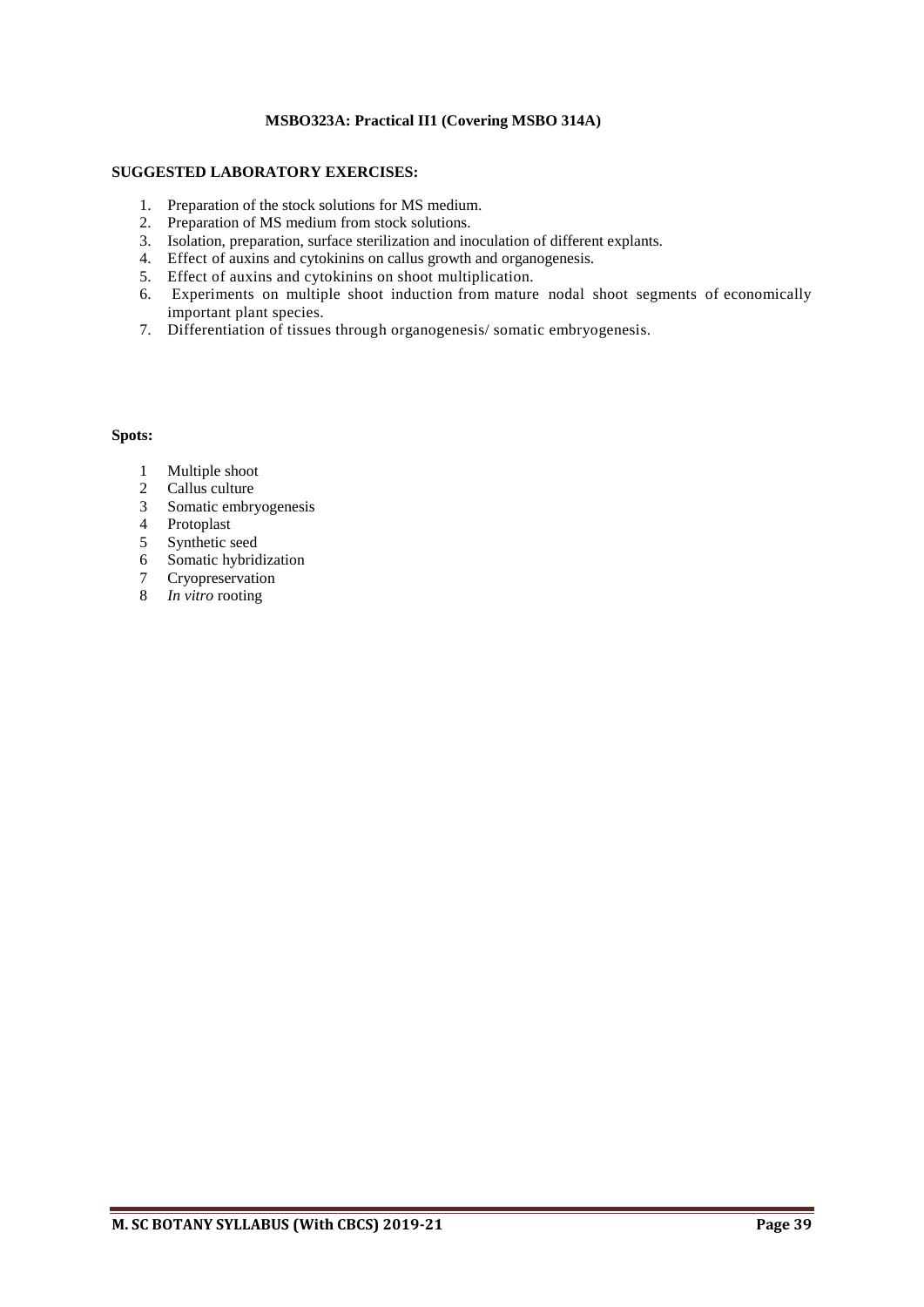# **MSBO323A: Practical II1 (Covering MSBO 314A)**

# **SUGGESTED LABORATORY EXERCISES:**

- 1. Preparation of the stock solutions for MS medium.
- 2. Preparation of MS medium from stock solutions.
- 3. Isolation, preparation, surface sterilization and inoculation of different explants.
- 4. Effect of auxins and cytokinins on callus growth and organogenesis.
- 5. Effect of auxins and cytokinins on shoot multiplication.
- 6. Experiments on multiple shoot induction from mature nodal shoot segments of economically important plant species.
- 7. Differentiation of tissues through organogenesis/ somatic embryogenesis.

# **Spots:**

- 1 Multiple shoot
- 2 Callus culture
- 3 Somatic embryogenesis
- 4 Protoplast
- 5 Synthetic seed
- 6 Somatic hybridization
- 7 Cryopreservation
- 8 *In vitro* rooting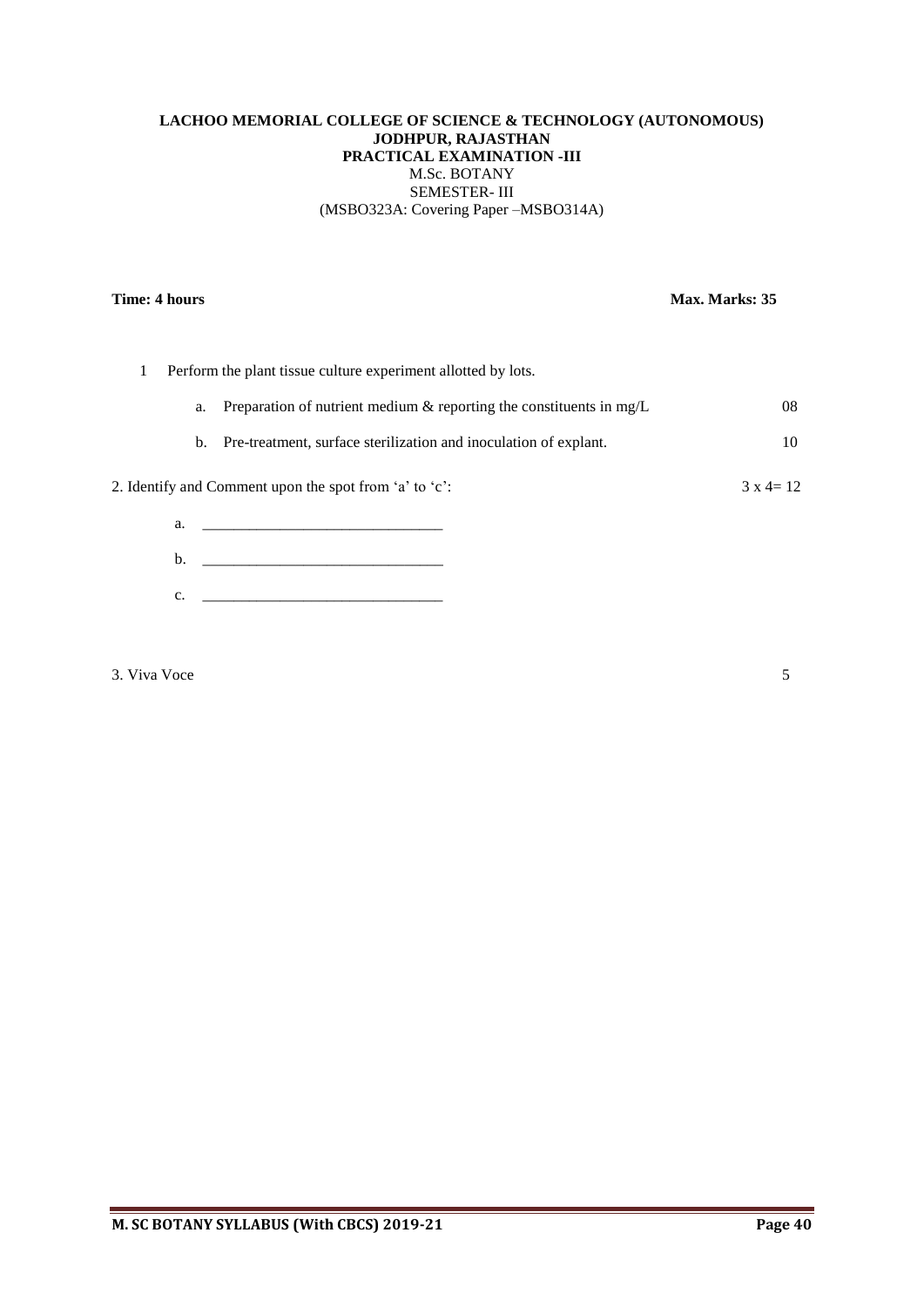# **LACHOO MEMORIAL COLLEGE OF SCIENCE & TECHNOLOGY (AUTONOMOUS) JODHPUR, RAJASTHAN PRACTICAL EXAMINATION -III** M.Sc. BOTANY SEMESTER- III (MSBO323A: Covering Paper –MSBO314A)

# **Time: 4 hours** Max. Marks: 35

|    | Perform the plant tissue culture experiment allotted by lots.                                                          |                   |
|----|------------------------------------------------------------------------------------------------------------------------|-------------------|
|    | a. Preparation of nutrient medium $\&$ reporting the constituents in mg/L                                              | 08                |
|    | b. Pre-treatment, surface sterilization and inoculation of explant.                                                    | 10                |
|    | 2. Identify and Comment upon the spot from 'a' to 'c':                                                                 | $3 \times 4 = 12$ |
| a. | <u> 1980 - Jan Barbarat, manazarta da kasas da shekara 1980 - Ang Barbarat na Barbarat na Barbarat na Barbarat na </u> |                   |
| b. |                                                                                                                        |                   |

c. <u>\_\_\_\_\_\_\_\_\_\_\_\_\_\_\_\_\_\_\_\_\_\_\_\_\_</u>

3. Viva Voce 5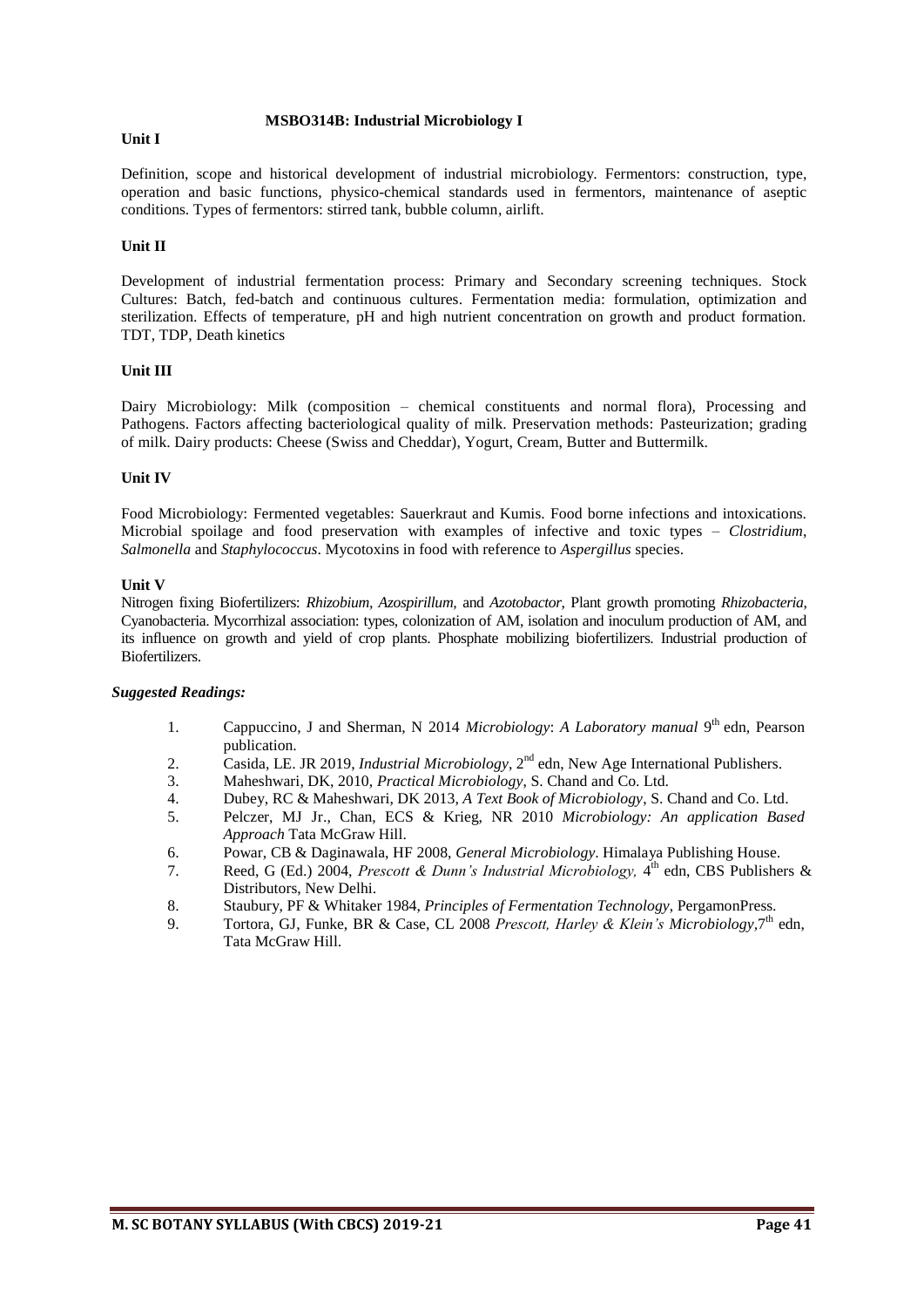#### **MSBO314B: Industrial Microbiology I**

#### **Unit I**

Definition, scope and historical development of industrial microbiology. Fermentors: construction, type, operation and basic functions, physico-chemical standards used in fermentors, maintenance of aseptic conditions. Types of fermentors: stirred tank, bubble column, airlift.

# **Unit II**

Development of industrial fermentation process: Primary and Secondary screening techniques. Stock Cultures: Batch, fed-batch and continuous cultures. Fermentation media: formulation, optimization and sterilization. Effects of temperature, pH and high nutrient concentration on growth and product formation. TDT, TDP, Death kinetics

#### **Unit III**

Dairy Microbiology: Milk (composition – chemical constituents and normal flora), Processing and Pathogens. Factors affecting bacteriological quality of milk. Preservation methods: Pasteurization; grading of milk. Dairy products: Cheese (Swiss and Cheddar), Yogurt, Cream, Butter and Buttermilk.

# **Unit IV**

Food Microbiology: Fermented vegetables: Sauerkraut and Kumis. Food borne infections and intoxications. Microbial spoilage and food preservation with examples of infective and toxic types – *Clostridium*, *Salmonella* and *Staphylococcus*. Mycotoxins in food with reference to *Aspergillus* species.

#### **Unit V**

Nitrogen fixing Biofertilizers: *Rhizobium, Azospirillum,* and *Azotobactor*, Plant growth promoting *Rhizobacteria*, Cyanobacteria. Mycorrhizal association: types, colonization of AM, isolation and inoculum production of AM, and its influence on growth and yield of crop plants. Phosphate mobilizing biofertilizers. Industrial production of Biofertilizers.

- 1. Cappuccino, J and Sherman, N 2014 Microbiology: A Laboratory manual 9<sup>th</sup> edn, Pearson publication.
- 2. Casida, LE. JR 2019, *Industrial Microbiology*, 2nd edn, New Age International Publishers.
- 3. Maheshwari, DK, 2010, *Practical Microbiology*, S. Chand and Co. Ltd.
- 4. Dubey, RC & Maheshwari, DK 2013, *A Text Book of Microbiology*, S. Chand and Co. Ltd.
- 5. Pelczer, MJ Jr., Chan, ECS & Krieg, NR 2010 *Microbiology: An application Based Approach* Tata McGraw Hill.
- 6. Powar, CB & Daginawala, HF 2008, *General Microbiology*. Himalaya Publishing House.
- 7. Reed, G (Ed.) 2004, *Prescott & Dunn's Industrial Microbiology*, 4<sup>th</sup> edn, CBS Publishers & Distributors, New Delhi.
- 8. Staubury, PF & Whitaker 1984, *Principles of Fermentation Technology*, PergamonPress.
- 9. Tortora, GJ, Funke, BR & Case, CL 2008 *Prescott, Harley & Klein's Microbiology*, 7<sup>th</sup> edn, Tata McGraw Hill.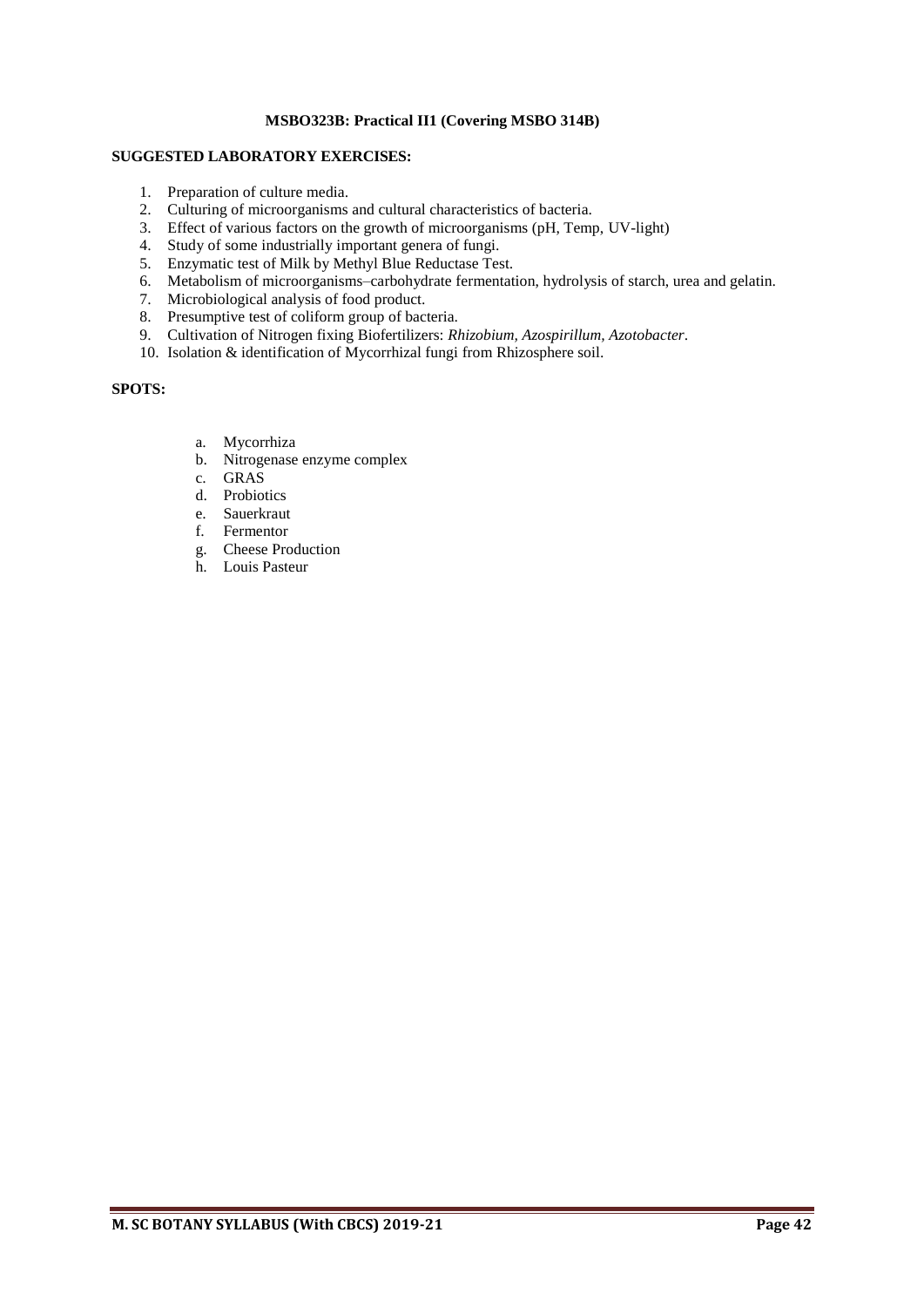# **MSBO323B: Practical II1 (Covering MSBO 314B)**

# **SUGGESTED LABORATORY EXERCISES:**

- 1. Preparation of culture media.
- 2. Culturing of microorganisms and cultural characteristics of bacteria.
- 3. Effect of various factors on the growth of microorganisms (pH, Temp, UV-light)
- 4. Study of some industrially important genera of fungi.
- 5. Enzymatic test of Milk by Methyl Blue Reductase Test.
- 6. Metabolism of microorganisms–carbohydrate fermentation, hydrolysis of starch, urea and gelatin.
- 7. Microbiological analysis of food product.
- 8. Presumptive test of coliform group of bacteria.
- 9. Cultivation of Nitrogen fixing Biofertilizers: *Rhizobium, Azospirillum, Azotobacter*.
- 10. Isolation & identification of Mycorrhizal fungi from Rhizosphere soil.

# **SPOTS:**

- a. Mycorrhiza
- b. Nitrogenase enzyme complex
- c. GRAS
- d. Probiotics
- e. Sauerkraut
- f. Fermentor
- g. Cheese Production
- h. Louis Pasteur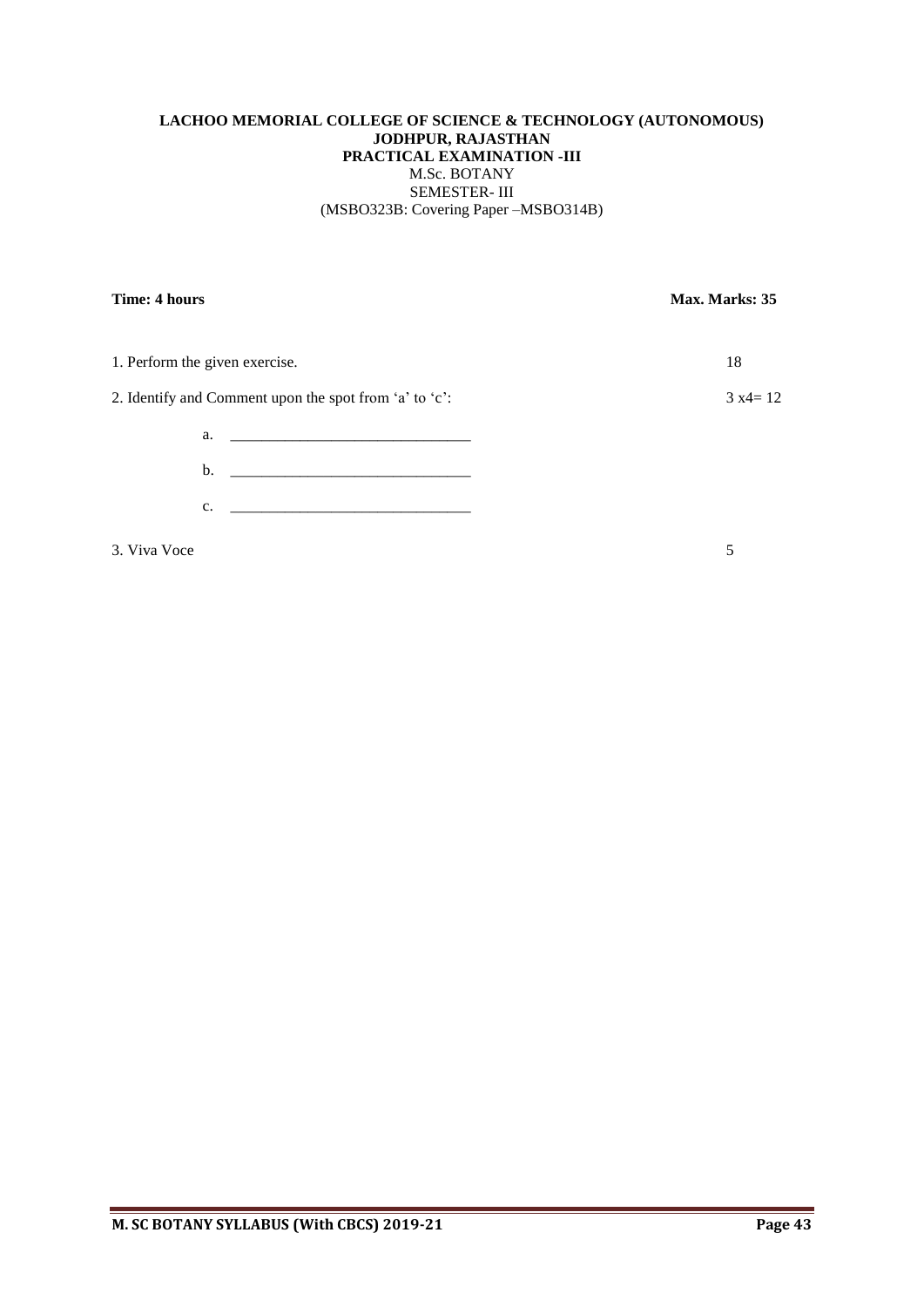# **LACHOO MEMORIAL COLLEGE OF SCIENCE & TECHNOLOGY (AUTONOMOUS) JODHPUR, RAJASTHAN PRACTICAL EXAMINATION -III** M.Sc. BOTANY SEMESTER- III (MSBO323B: Covering Paper –MSBO314B)

| Time: 4 hours                                          | Max. Marks: 35 |
|--------------------------------------------------------|----------------|
| 1. Perform the given exercise.                         | 18             |
| 2. Identify and Comment upon the spot from 'a' to 'c': | $3 x4 = 12$    |
|                                                        |                |
|                                                        |                |
| c.                                                     |                |
| 3. Viva Voce                                           | 5              |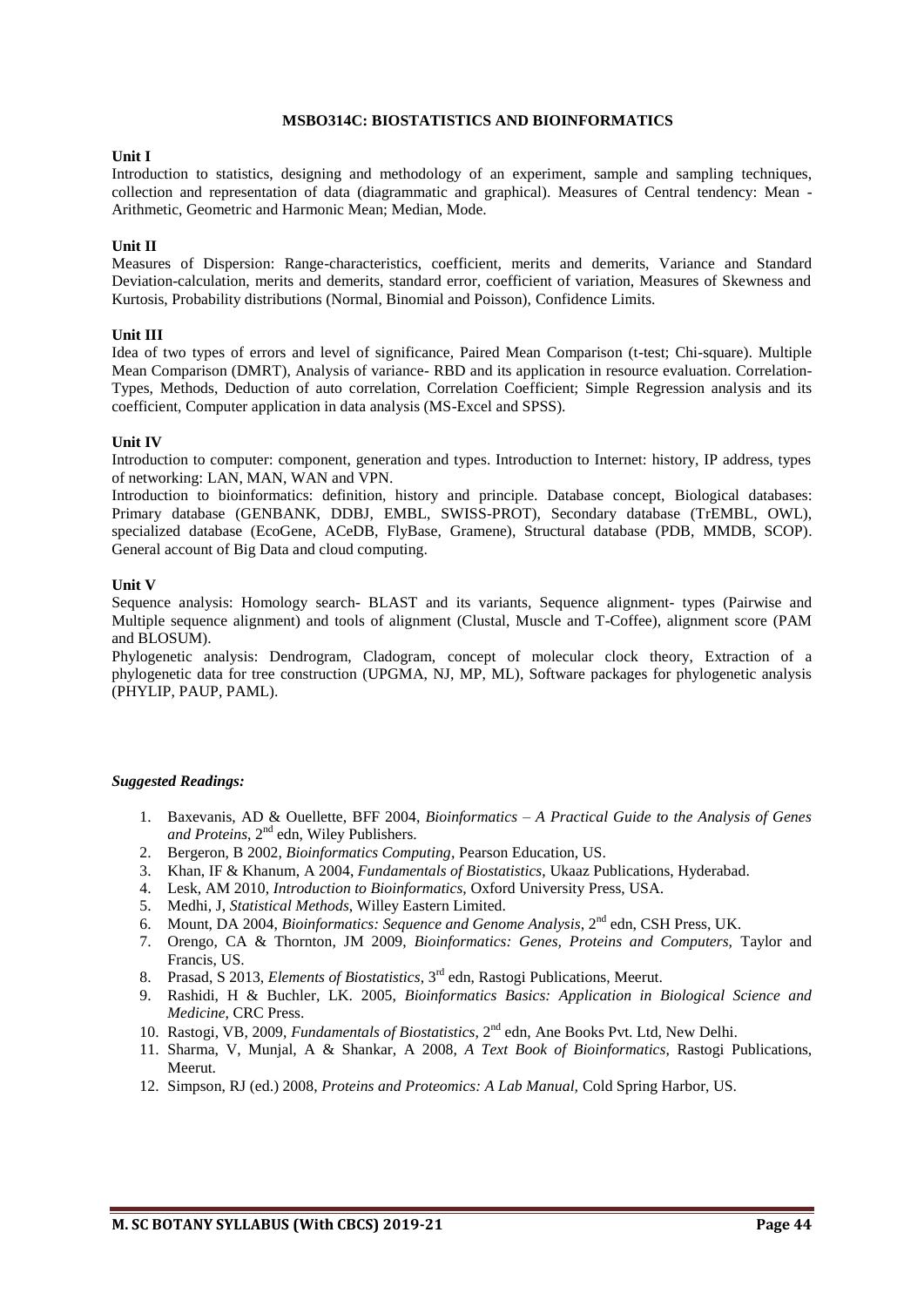#### **MSBO314C: BIOSTATISTICS AND BIOINFORMATICS**

#### **Unit I**

Introduction to statistics, designing and methodology of an experiment, sample and sampling techniques, collection and representation of data (diagrammatic and graphical). Measures of Central tendency: Mean - Arithmetic, Geometric and Harmonic Mean; Median, Mode.

#### **Unit II**

Measures of Dispersion: Range-characteristics, coefficient, merits and demerits, Variance and Standard Deviation-calculation, merits and demerits, standard error, coefficient of variation, Measures of Skewness and Kurtosis, Probability distributions (Normal, Binomial and Poisson), Confidence Limits.

#### **Unit III**

Idea of two types of errors and level of significance, Paired Mean Comparison (t-test; Chi-square). Multiple Mean Comparison (DMRT), Analysis of variance- RBD and its application in resource evaluation. Correlation-Types, Methods, Deduction of auto correlation, Correlation Coefficient; Simple Regression analysis and its coefficient, Computer application in data analysis (MS-Excel and SPSS).

#### **Unit IV**

Introduction to computer: component, generation and types. Introduction to Internet: history, IP address, types of networking: LAN, MAN, WAN and VPN.

Introduction to bioinformatics: definition, history and principle. Database concept, Biological databases: Primary database (GENBANK, DDBJ, EMBL, SWISS-PROT), Secondary database (TrEMBL, OWL), specialized database (EcoGene, ACeDB, FlyBase, Gramene), Structural database (PDB, MMDB, SCOP). General account of Big Data and cloud computing.

#### **Unit V**

Sequence analysis: Homology search- BLAST and its variants, Sequence alignment- types (Pairwise and Multiple sequence alignment) and tools of alignment (Clustal, Muscle and T-Coffee), alignment score (PAM and BLOSUM).

Phylogenetic analysis: Dendrogram, Cladogram, concept of molecular clock theory, Extraction of a phylogenetic data for tree construction (UPGMA, NJ, MP, ML), Software packages for phylogenetic analysis (PHYLIP, PAUP, PAML).

- 1. Baxevanis, AD & Ouellette, BFF 2004, *Bioinformatics A Practical Guide to the Analysis of Genes*  and Proteins, 2<sup>nd</sup> edn, Wiley Publishers.
- 2. Bergeron, B 2002, *Bioinformatics Computing*, Pearson Education, US.
- 3. Khan, IF & Khanum, A 2004, *Fundamentals of Biostatistics*, Ukaaz Publications, Hyderabad.
- 4. Lesk, AM 2010, *Introduction to Bioinformatics,* Oxford University Press, USA.
- 5. Medhi, J, *Statistical Methods*, Willey Eastern Limited.
- 6. Mount, DA 2004, *Bioinformatics: Sequence and Genome Analysis*, 2<sup>nd</sup> edn, CSH Press, UK.
- 7. Orengo, CA & Thornton, JM 2009, *Bioinformatics: Genes, Proteins and Computers,* Taylor and Francis, US.
- 8. Prasad, S 2013, *Elements of Biostatistics*, 3<sup>rd</sup> edn, Rastogi Publications, Meerut.
- 9. Rashidi, H & Buchler, LK. 2005, *Bioinformatics Basics: Application in Biological Science and Medicine*, CRC Press.
- 10. Rastogi, VB, 2009, *Fundamentals of Biostatistics*, 2<sup>nd</sup> edn, Ane Books Pvt. Ltd, New Delhi.
- 11. Sharma, V, Munjal, A & Shankar, A 2008, *A Text Book of Bioinformatics*, Rastogi Publications, Meerut.
- 12. Simpson, RJ (ed.) 2008, *Proteins and Proteomics: A Lab Manual,* Cold Spring Harbor, US.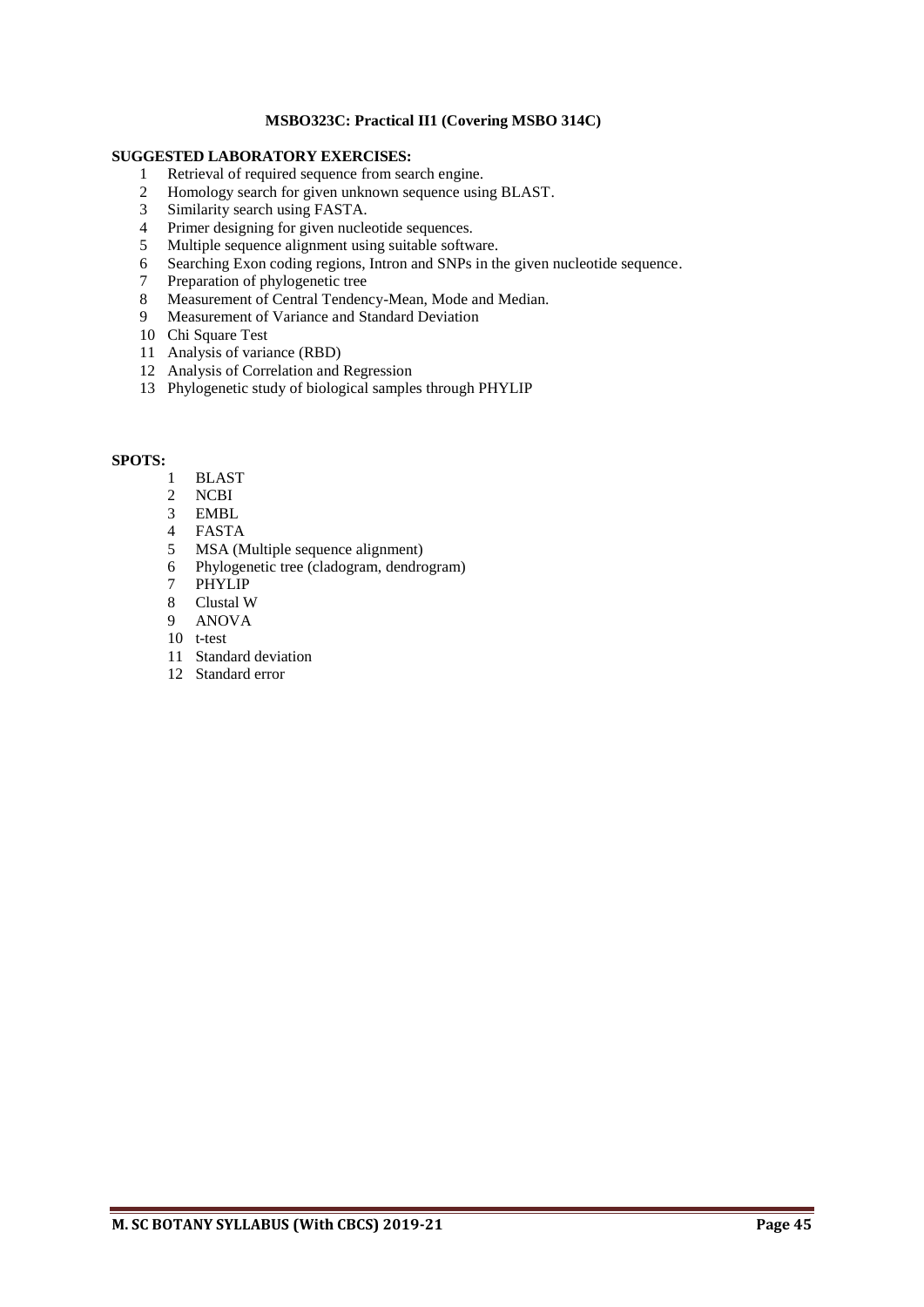# **MSBO323C: Practical II1 (Covering MSBO 314C)**

# **SUGGESTED LABORATORY EXERCISES:**

- Retrieval of required sequence from search engine.
- 2 Homology search for given unknown sequence using BLAST.<br>3 Similarity search using FASTA.<br>4 Primer designing for given nucleotide sequences.
- Similarity search using FASTA.
- 4 Primer designing for given nucleotide sequences.<br>5 Multiple sequence alignment using suitable softw
- Multiple sequence alignment using suitable software.
- Searching Exon coding regions, Intron and SNPs in the given nucleotide sequence.
- Preparation of phylogenetic tree
- 8 Measurement of Central Tendency-Mean, Mode and Median.
- Measurement of Variance and Standard Deviation
- Chi Square Test
- Analysis of variance (RBD)
- Analysis of Correlation and Regression
- Phylogenetic study of biological samples through PHYLIP

#### **SPOTS:**

- BLAST
- NCBI
- EMBL
- FASTA
- MSA (Multiple sequence alignment)
- Phylogenetic tree (cladogram, dendrogram)
- PHYLIP
- Clustal W
- ANOVA
- t-test
- Standard deviation
- Standard error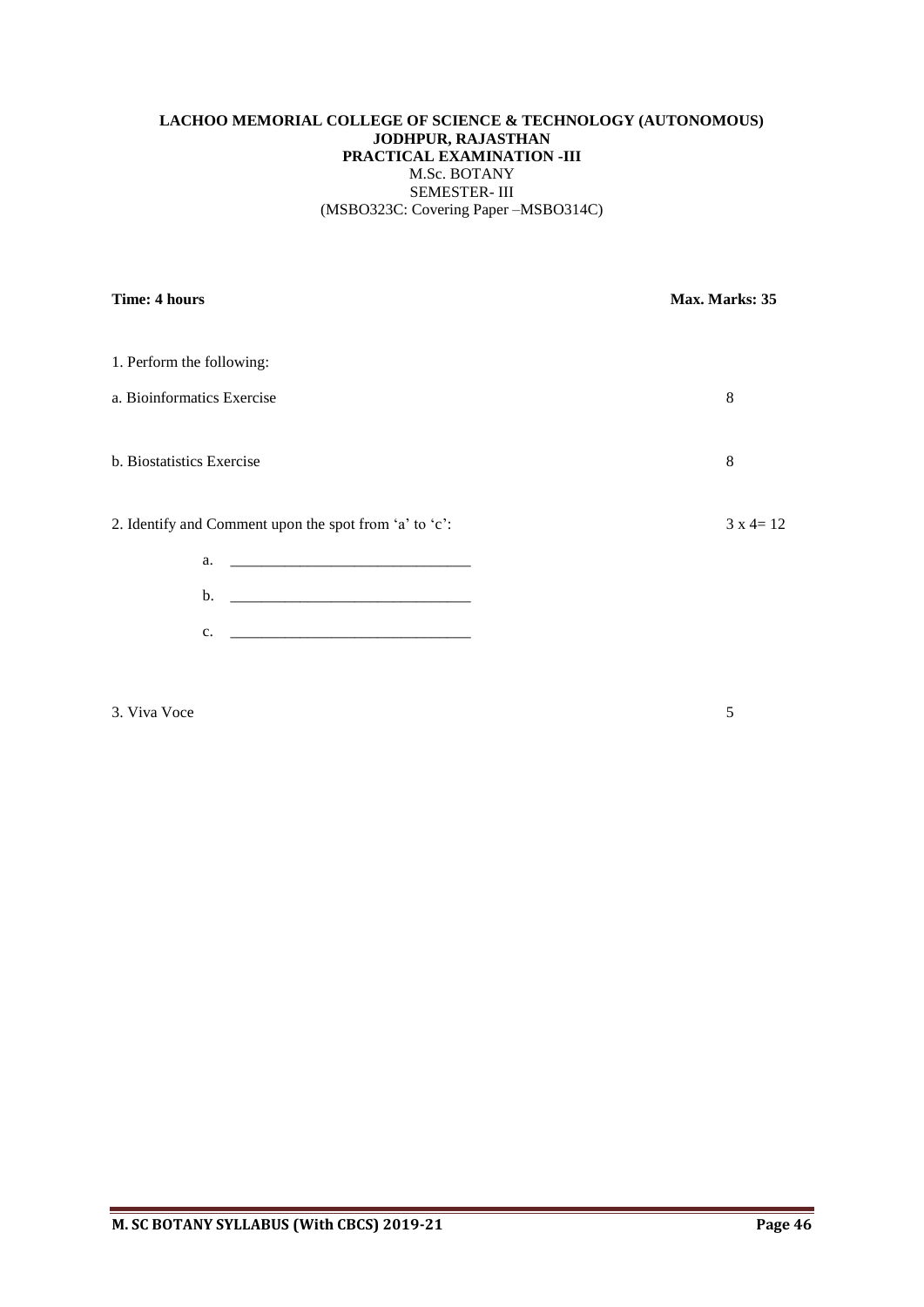# **LACHOO MEMORIAL COLLEGE OF SCIENCE & TECHNOLOGY (AUTONOMOUS) JODHPUR, RAJASTHAN PRACTICAL EXAMINATION -III** M.Sc. BOTANY SEMESTER- III (MSBO323C: Covering Paper –MSBO314C)

| Time: 4 hours                                          | Max. Marks: 35    |
|--------------------------------------------------------|-------------------|
| 1. Perform the following:                              |                   |
| a. Bioinformatics Exercise                             | 8                 |
| b. Biostatistics Exercise                              | 8                 |
| 2. Identify and Comment upon the spot from 'a' to 'c': | $3 \times 4 = 12$ |
| a.                                                     |                   |
| b.                                                     |                   |
| c.                                                     |                   |

3. Viva Voce 5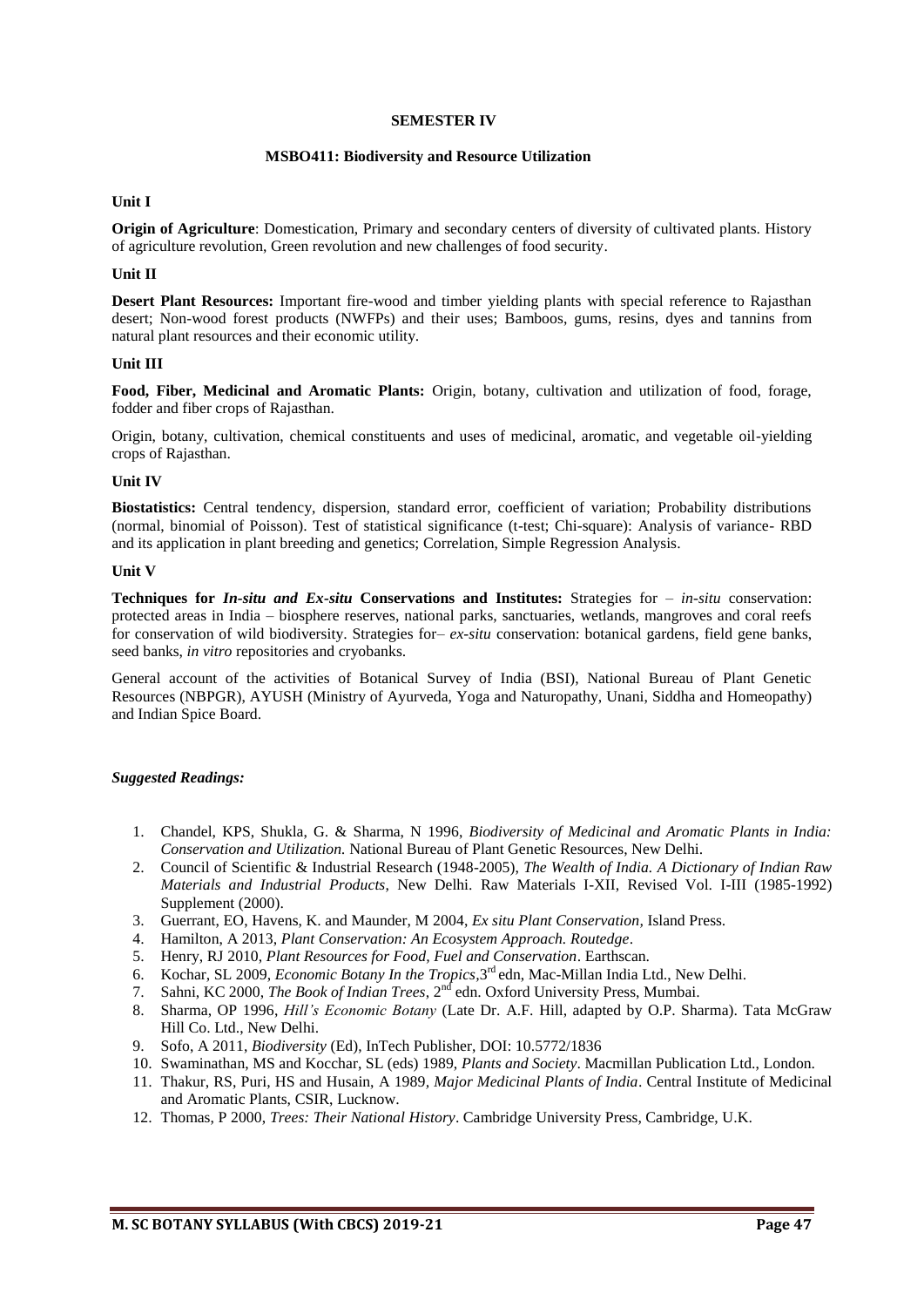#### **SEMESTER IV**

#### **MSBO411: Biodiversity and Resource Utilization**

#### **Unit I**

**Origin of Agriculture**: Domestication, Primary and secondary centers of diversity of cultivated plants. History of agriculture revolution, Green revolution and new challenges of food security.

#### **Unit II**

**Desert Plant Resources:** Important fire-wood and timber yielding plants with special reference to Rajasthan desert; Non-wood forest products (NWFPs) and their uses; Bamboos, gums, resins, dyes and tannins from natural plant resources and their economic utility.

#### **Unit III**

**Food, Fiber, Medicinal and Aromatic Plants:** Origin, botany, cultivation and utilization of food, forage, fodder and fiber crops of Rajasthan.

Origin, botany, cultivation, chemical constituents and uses of medicinal, aromatic, and vegetable oil-yielding crops of Rajasthan.

#### **Unit IV**

**Biostatistics:** Central tendency, dispersion, standard error, coefficient of variation; Probability distributions (normal, binomial of Poisson). Test of statistical significance (t-test; Chi-square): Analysis of variance- RBD and its application in plant breeding and genetics; Correlation, Simple Regression Analysis.

#### **Unit V**

**Techniques for** *In-situ and Ex-situ* **Conservations and Institutes:** Strategies for – *in-situ* conservation: protected areas in India – biosphere reserves, national parks, sanctuaries, wetlands, mangroves and coral reefs for conservation of wild biodiversity. Strategies for– *ex-situ* conservation: botanical gardens, field gene banks, seed banks, *in vitro* repositories and cryobanks.

General account of the activities of Botanical Survey of India (BSI), National Bureau of Plant Genetic Resources (NBPGR), AYUSH (Ministry of Ayurveda, Yoga and Naturopathy, Unani, Siddha and Homeopathy) and Indian Spice Board.

- 1. Chandel, KPS, Shukla, G. & Sharma, N 1996, *Biodiversity of Medicinal and Aromatic Plants in India: Conservation and Utilization.* National Bureau of Plant Genetic Resources, New Delhi.
- 2. Council of Scientific & Industrial Research (1948-2005), *The Wealth of India. A Dictionary of Indian Raw Materials and Industrial Products*, New Delhi. Raw Materials I-XII, Revised Vol. I-III (1985-1992) Supplement (2000).
- 3. Guerrant, EO, Havens, K. and Maunder, M 2004, *Ex situ Plant Conservation,* Island Press.
- 4. Hamilton, A 2013, *Plant Conservation: An Ecosystem Approach. Routedge*.
- 5. Henry, RJ 2010, *Plant Resources for Food, Fuel and Conservation*. Earthscan.
- 6. Kochar, SL 2009, *Economic Botany In the Tropics,*3 rd edn, Mac-Millan India Ltd., New Delhi.
- 7. Sahni, KC 2000, *The Book of Indian Trees*, 2nd edn. Oxford University Press, Mumbai.
- 8. Sharma, OP 1996, *Hill's Economic Botany* (Late Dr. A.F. Hill, adapted by O.P. Sharma). Tata McGraw Hill Co. Ltd., New Delhi.
- 9. Sofo, A 2011, *Biodiversity* (Ed), InTech Publisher, DOI: 10.5772/1836
- 10. Swaminathan, MS and Kocchar, SL (eds) 1989, *Plants and Society*. Macmillan Publication Ltd., London.
- 11. Thakur, RS, Puri, HS and Husain, A 1989*, Major Medicinal Plants of India*. Central Institute of Medicinal and Aromatic Plants, CSIR, Lucknow.
- 12. Thomas, P 2000, *Trees: Their National History*. Cambridge University Press, Cambridge, U.K.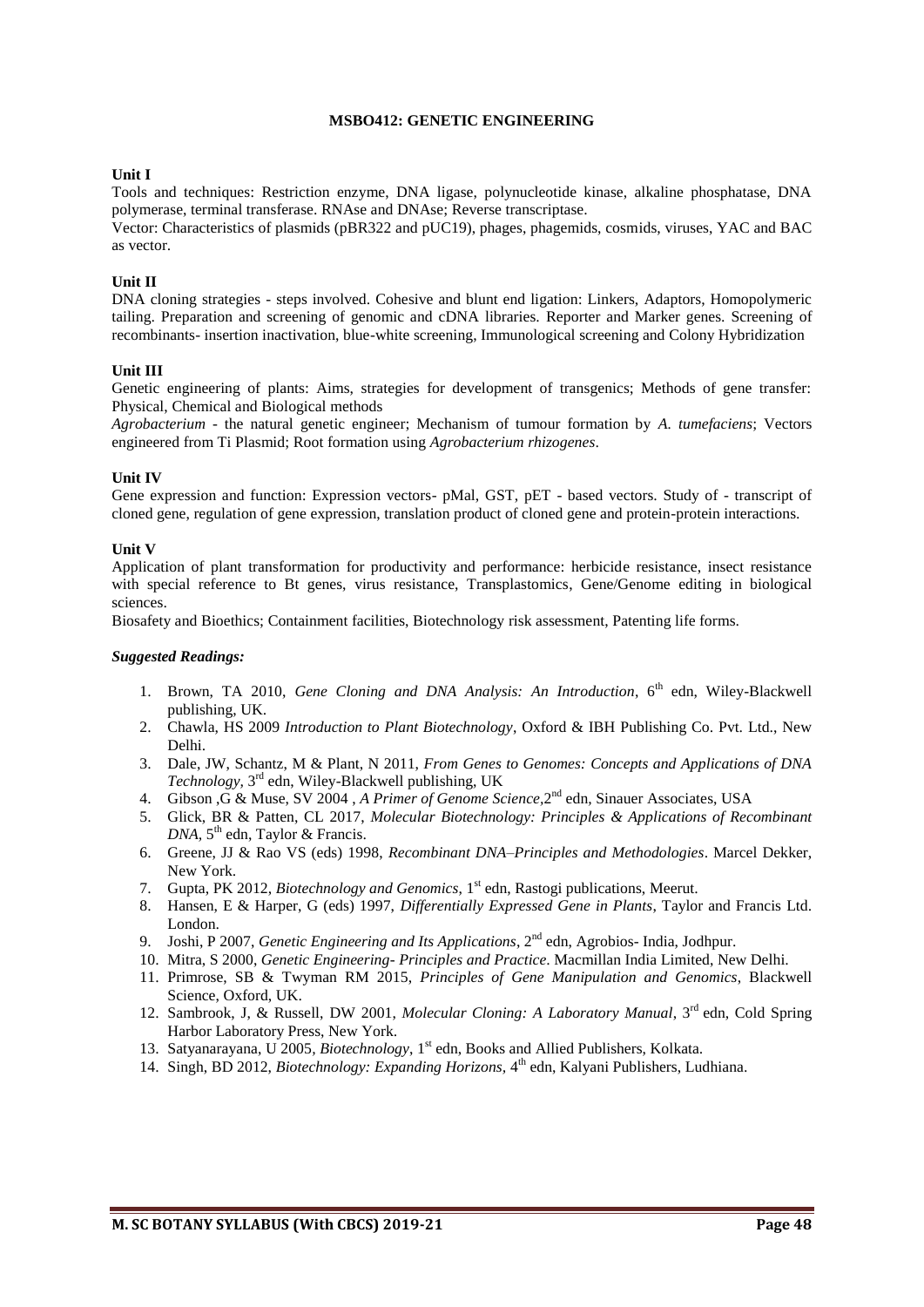#### **MSBO412: GENETIC ENGINEERING**

#### **Unit I**

Tools and techniques: Restriction enzyme, DNA ligase, polynucleotide kinase, alkaline phosphatase, DNA polymerase, terminal transferase. RNAse and DNAse; Reverse transcriptase.

Vector: Characteristics of plasmids (pBR322 and pUC19), phages, phagemids, cosmids, viruses, YAC and BAC as vector.

#### **Unit II**

DNA cloning strategies - steps involved. Cohesive and blunt end ligation: Linkers, Adaptors, Homopolymeric tailing. Preparation and screening of genomic and cDNA libraries. Reporter and Marker genes. Screening of recombinants- insertion inactivation, blue-white screening, Immunological screening and Colony Hybridization

#### **Unit III**

Genetic engineering of plants: Aims, strategies for development of transgenics; Methods of gene transfer: Physical, Chemical and Biological methods

*Agrobacterium* - the natural genetic engineer; Mechanism of tumour formation by *A. tumefaciens*; Vectors engineered from Ti Plasmid; Root formation using *Agrobacterium rhizogenes*.

#### **Unit IV**

Gene expression and function: Expression vectors- pMal, GST, pET - based vectors. Study of - transcript of cloned gene, regulation of gene expression, translation product of cloned gene and protein-protein interactions.

#### **Unit V**

Application of plant transformation for productivity and performance: herbicide resistance, insect resistance with special reference to Bt genes, virus resistance, Transplastomics, Gene/Genome editing in biological sciences.

Biosafety and Bioethics; Containment facilities, Biotechnology risk assessment, Patenting life forms.

- 1. Brown, TA 2010, *Gene Cloning and DNA Analysis: An Introduction*, 6<sup>th</sup> edn, Wiley-Blackwell publishing, UK.
- 2. Chawla, HS 2009 *Introduction to Plant Biotechnology*, Oxford & IBH Publishing Co. Pvt. Ltd., New Delhi.
- 3. Dale, JW, Schantz, M & Plant, N 2011, *From Genes to Genomes: Concepts and Applications of DNA*  Technology, 3<sup>rd</sup> edn, Wiley-Blackwell publishing, UK
- 4. Gibson ,G & Muse, SV 2004 , *A Primer of Genome Science,*2 nd edn*,* Sinauer Associates, USA
- 5. Glick, BR & Patten, CL 2017, *Molecular Biotechnology: Principles & Applications of Recombinant*  DNA, 5<sup>th</sup> edn, Taylor & Francis.
- 6. Greene, JJ & Rao VS (eds) 1998, *Recombinant DNA–Principles and Methodologies*. Marcel Dekker, New York.
- 7. Gupta, PK 2012, *Biotechnology and Genomics*, 1<sup>st</sup> edn, Rastogi publications, Meerut.
- 8. Hansen, E & Harper, G (eds) 1997, *Differentially Expressed Gene in Plants*, Taylor and Francis Ltd. London.
- 9. Joshi, P 2007, *Genetic Engineering and Its Applications*, 2<sup>nd</sup> edn, Agrobios- India, Jodhpur.
- 10. Mitra, S 2000, *Genetic Engineering- Principles and Practice*. Macmillan India Limited, New Delhi.
- 11. Primrose, SB & Twyman RM 2015, *Principles of Gene Manipulation and Genomics*, Blackwell Science, Oxford, UK.
- 12. Sambrook, J, & Russell, DW 2001, *Molecular Cloning: A Laboratory Manual*, 3rd edn, Cold Spring Harbor Laboratory Press, New York.
- 13. Satyanarayana, U 2005, *Biotechnology*, 1<sup>st</sup> edn, Books and Allied Publishers, Kolkata.
- 14. Singh, BD 2012, *Biotechnology: Expanding Horizons*, 4<sup>th</sup> edn, Kalyani Publishers, Ludhiana.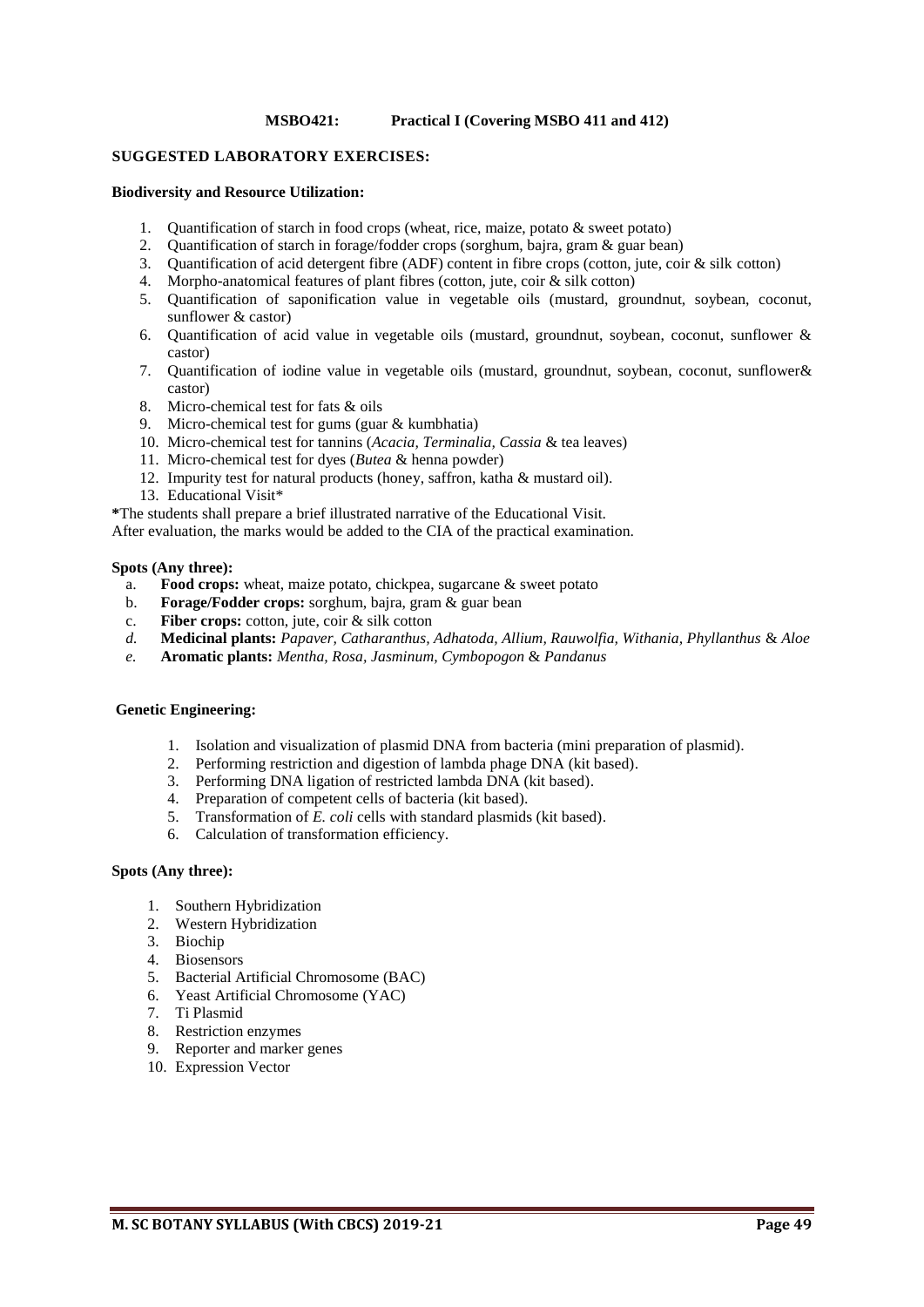#### **MSBO421: Practical I (Covering MSBO 411 and 412)**

#### **SUGGESTED LABORATORY EXERCISES:**

#### **Biodiversity and Resource Utilization:**

- 1. Quantification of starch in food crops (wheat, rice, maize, potato & sweet potato)
- 2. Quantification of starch in forage/fodder crops (sorghum, bajra, gram & guar bean)
- 3. Quantification of acid detergent fibre (ADF) content in fibre crops (cotton, jute, coir & silk cotton)
- 4. Morpho-anatomical features of plant fibres (cotton, jute, coir & silk cotton)
- 5. Quantification of saponification value in vegetable oils (mustard, groundnut, soybean, coconut, sunflower & castor)
- 6. Quantification of acid value in vegetable oils (mustard, groundnut, soybean, coconut, sunflower & castor)
- 7. Quantification of iodine value in vegetable oils (mustard, groundnut, soybean, coconut, sunflower& castor)
- 8. Micro-chemical test for fats & oils
- 9. Micro-chemical test for gums (guar & kumbhatia)
- 10. Micro-chemical test for tannins (*Acacia, Terminalia, Cassia* & tea leaves)
- 11. Micro-chemical test for dyes (*Butea* & henna powder)
- 12. Impurity test for natural products (honey, saffron, katha & mustard oil).
- 13. Educational Visit\*
- **\***The students shall prepare a brief illustrated narrative of the Educational Visit.

After evaluation, the marks would be added to the CIA of the practical examination.

#### **Spots (Any three):**

- a. **Food crops:** wheat, maize potato, chickpea, sugarcane & sweet potato
- b. **Forage/Fodder crops:** sorghum, bajra, gram & guar bean
- c. **Fiber crops:** cotton, jute, coir & silk cotton
- *d.* **Medicinal plants:** *Papaver, Catharanthus, Adhatoda, Allium, Rauwolfia, Withania, Phyllanthus* & *Aloe*
- *e.* **Aromatic plants:** *Mentha, Rosa, Jasminum, Cymbopogon* & *Pandanus*

# **Genetic Engineering:**

- 1. Isolation and visualization of plasmid DNA from bacteria (mini preparation of plasmid).
- 2. Performing restriction and digestion of lambda phage DNA (kit based).
- 3. Performing DNA ligation of restricted lambda DNA (kit based).
- 4. Preparation of competent cells of bacteria (kit based).
- 5. Transformation of *E. coli* cells with standard plasmids (kit based).
- 6. Calculation of transformation efficiency.

#### **Spots (Any three):**

- 1. Southern Hybridization
- 2. Western Hybridization
- 3. Biochip
- 4. Biosensors
- 5. Bacterial Artificial Chromosome (BAC)
- 6. Yeast Artificial Chromosome (YAC)
- 7. Ti Plasmid
- 8. Restriction enzymes
- 9. Reporter and marker genes
- 10. Expression Vector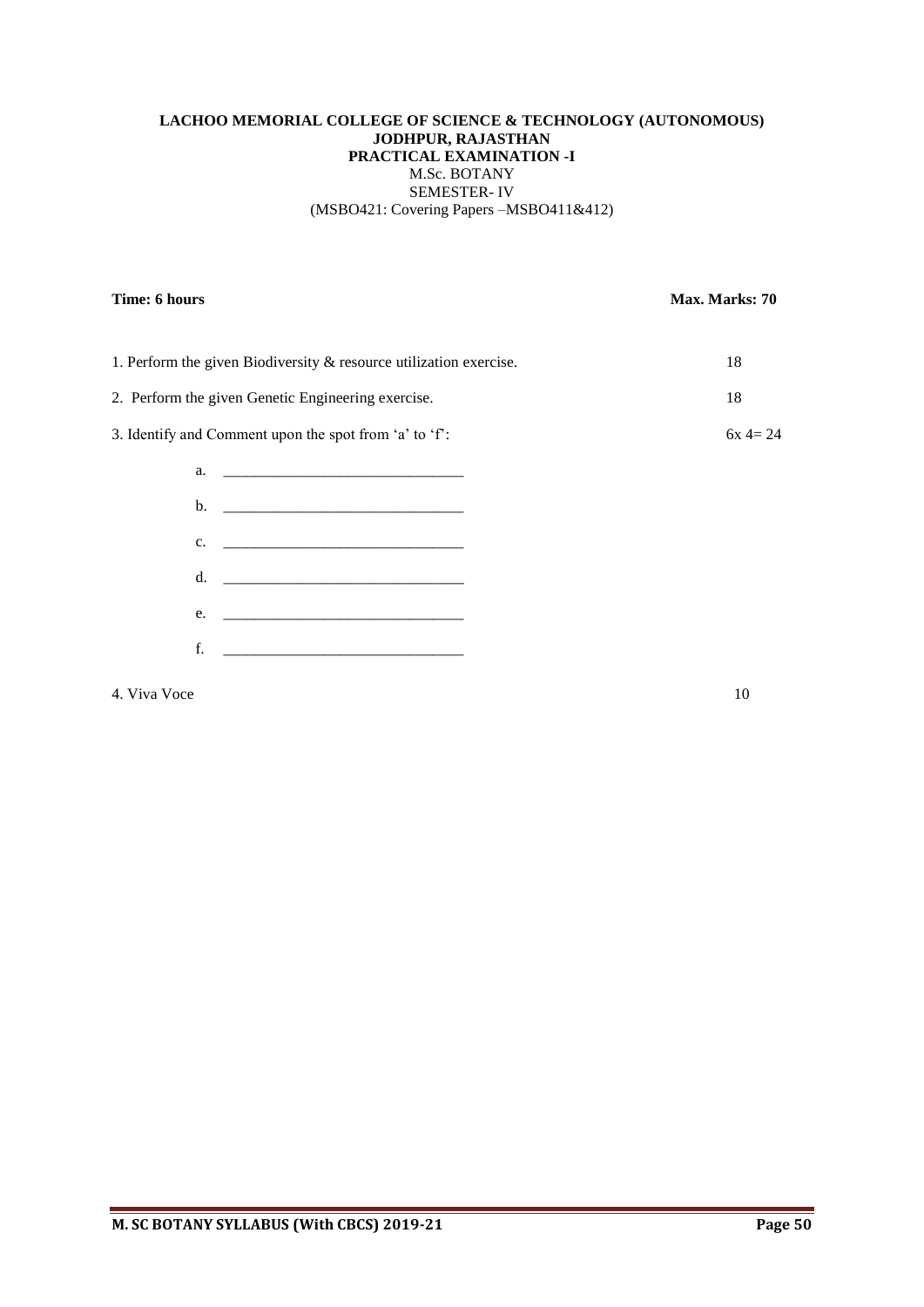# **LACHOO MEMORIAL COLLEGE OF SCIENCE & TECHNOLOGY (AUTONOMOUS) JODHPUR, RAJASTHAN PRACTICAL EXAMINATION -I** M.Sc. BOTANY SEMESTER- IV (MSBO421: Covering Papers –MSBO411&412)

# **Time: 6 hours** Max. Marks: 70

| 1. Perform the given Biodiversity & resource utilization exercise. |                                                            | 18        |
|--------------------------------------------------------------------|------------------------------------------------------------|-----------|
| 2. Perform the given Genetic Engineering exercise.                 |                                                            | 18        |
| 3. Identify and Comment upon the spot from 'a' to 'f':             |                                                            | $6x = 24$ |
|                                                                    |                                                            |           |
|                                                                    |                                                            |           |
| c.                                                                 | <u> 1980 - Jan James Barnett, fransk politik (d. 1980)</u> |           |
|                                                                    | d. $\qquad \qquad$                                         |           |
| e.                                                                 |                                                            |           |

f. \_\_\_\_\_\_\_\_\_\_\_\_\_\_\_\_\_\_\_\_\_\_\_\_\_\_\_\_\_\_\_

4. Viva Voce 10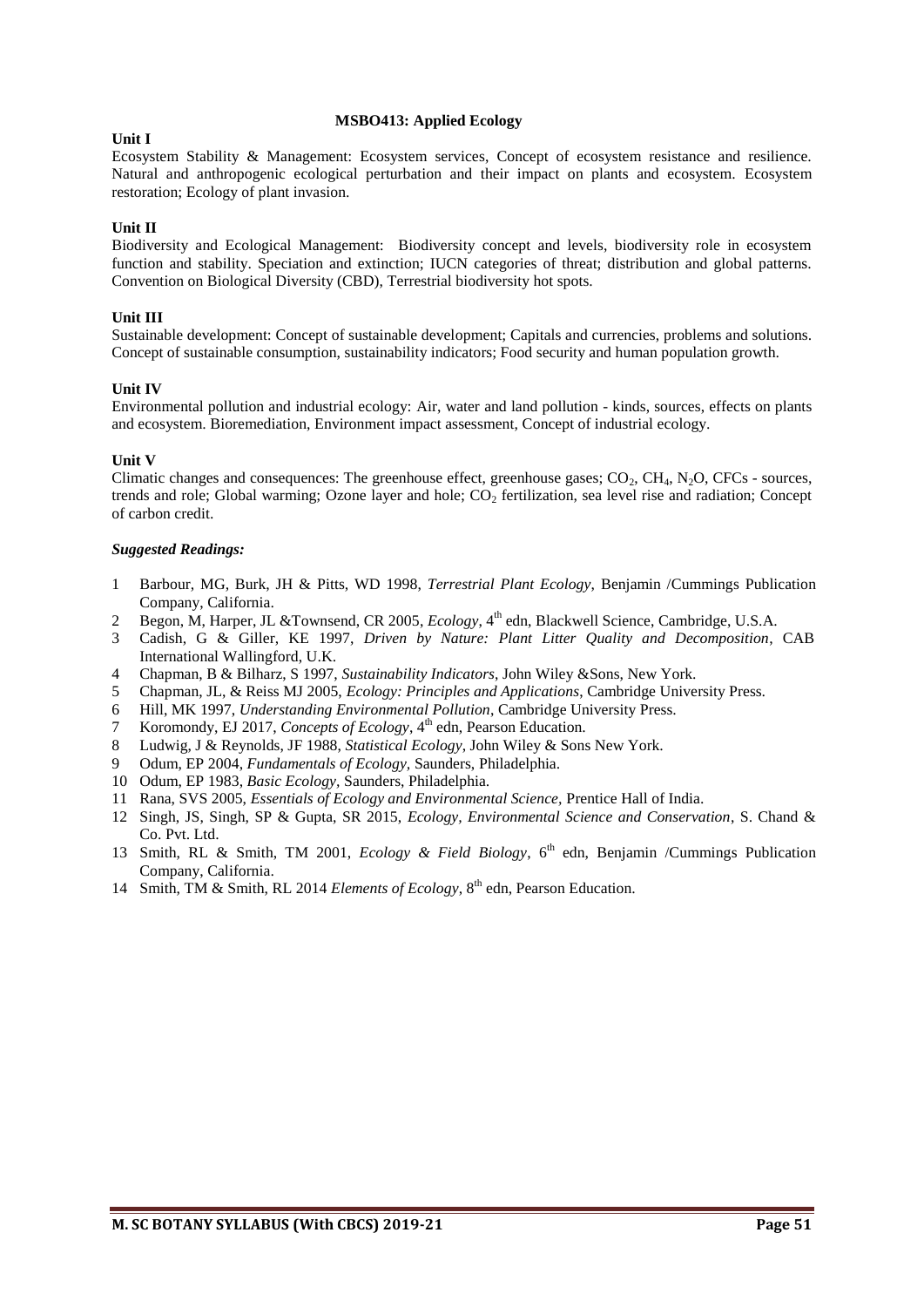#### **MSBO413: Applied Ecology**

#### **Unit I**

Ecosystem Stability & Management: Ecosystem services, Concept of ecosystem resistance and resilience. Natural and anthropogenic ecological perturbation and their impact on plants and ecosystem. Ecosystem restoration; Ecology of plant invasion.

# **Unit II**

Biodiversity and Ecological Management: Biodiversity concept and levels, biodiversity role in ecosystem function and stability. Speciation and extinction; IUCN categories of threat; distribution and global patterns. Convention on Biological Diversity (CBD), Terrestrial biodiversity hot spots.

# **Unit III**

Sustainable development: Concept of sustainable development; Capitals and currencies, problems and solutions. Concept of sustainable consumption, sustainability indicators; Food security and human population growth.

#### **Unit IV**

Environmental pollution and industrial ecology: Air, water and land pollution - kinds, sources, effects on plants and ecosystem. Bioremediation, Environment impact assessment, Concept of industrial ecology.

#### **Unit V**

Climatic changes and consequences: The greenhouse effect, greenhouse gases;  $CO<sub>2</sub>$ ,  $CH<sub>4</sub>$ ,  $N<sub>2</sub>O$ ,  $CFCs$  - sources, trends and role; Global warming; Ozone layer and hole;  $CO<sub>2</sub>$  fertilization, sea level rise and radiation; Concept of carbon credit.

- 1 Barbour, MG, Burk, JH & Pitts, WD 1998, *Terrestrial Plant Ecology*, Benjamin /Cummings Publication Company, California.
- 2 Begon, M, Harper, JL & Townsend, CR 2005, *Ecology*, 4<sup>th</sup> edn, Blackwell Science, Cambridge, U.S.A.
- 3 Cadish, G & Giller, KE 1997, *Driven by Nature: Plant Litter Quality and Decomposition*, CAB International Wallingford, U.K.
- 4 Chapman, B & Bilharz, S 1997, *Sustainability Indicators*, John Wiley &Sons, New York.
- 5 Chapman, JL, & Reiss MJ 2005, *Ecology: Principles and Applications*, Cambridge University Press.
- 6 Hill, MK 1997, *Understanding Environmental Pollution*, Cambridge University Press.
- 7 Koromondy, EJ 2017, Concepts of Ecology, 4<sup>th</sup> edn, Pearson Education.
- 8 Ludwig, J & Reynolds, JF 1988, *Statistical Ecology*, John Wiley & Sons New York.
- 9 Odum, EP 2004, *Fundamentals of Ecology,* Saunders, Philadelphia.
- 10 Odum, EP 1983, *Basic Ecology,* Saunders, Philadelphia.
- 11 Rana, SVS 2005, *Essentials of Ecology and Environmental Science,* Prentice Hall of India.
- 12 Singh, JS, Singh, SP & Gupta, SR 2015, *Ecology, Environmental Science and Conservation*, S. Chand & Co. Pvt. Ltd.
- 13 Smith, RL & Smith, TM 2001, *Ecology & Field Biology*, 6<sup>th</sup> edn, Benjamin /Cummings Publication Company, California.
- 14 Smith, TM & Smith, RL 2014 *Elements of Ecology*, 8<sup>th</sup> edn, Pearson Education.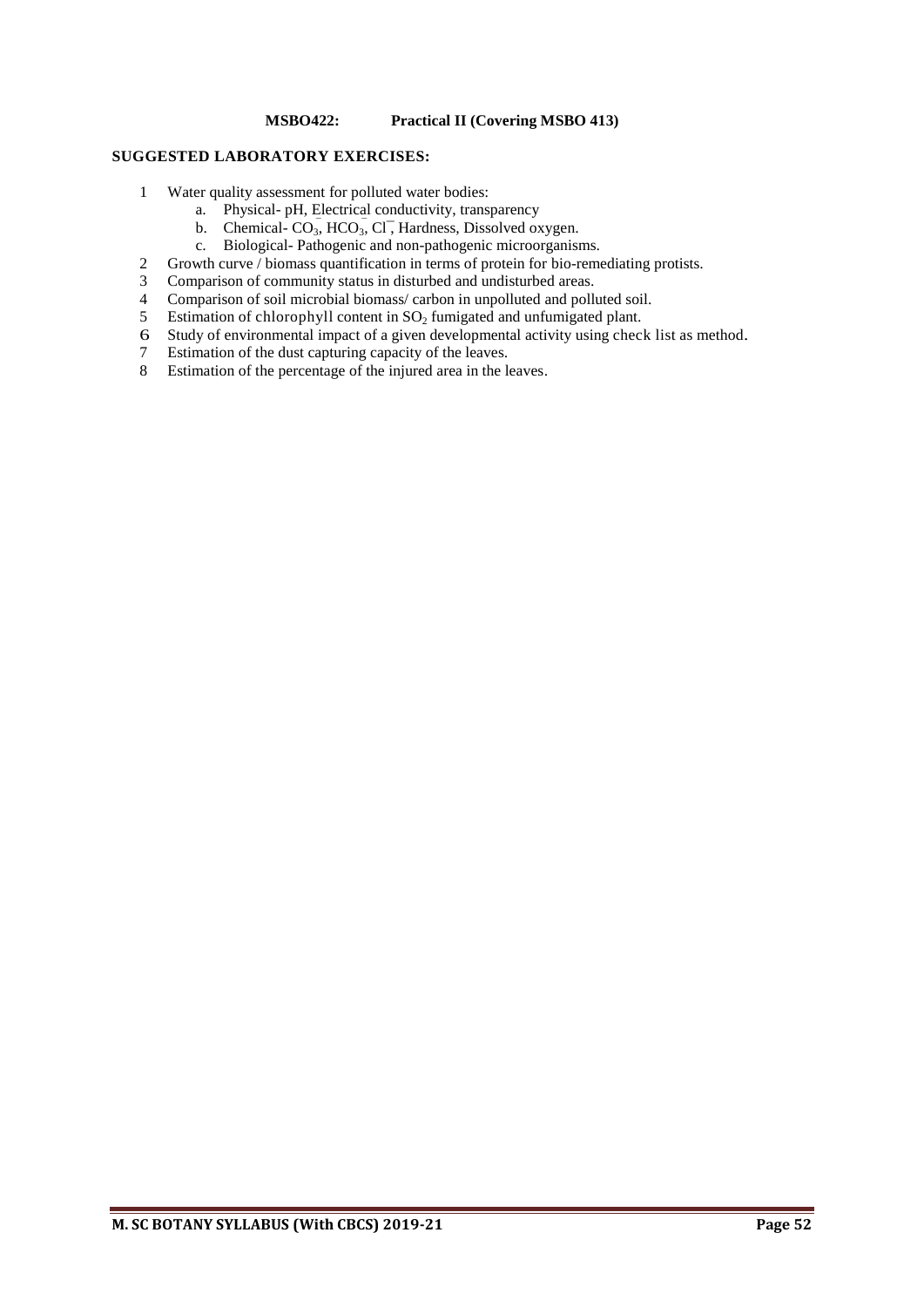# **MSBO422: Practical II (Covering MSBO 413)**

#### **SUGGESTED LABORATORY EXERCISES:**

- 1 Water quality assessment for polluted water bodies:
	- a. Physical- pH, Electrical conductivity, transparency
	- b. Chemical- $CO_3$ ,  $HCO_3$ ,  $Cl$ , Hardness, Dissolved oxygen.
	- c. Biological- Pathogenic and non-pathogenic microorganisms.
- 2 Growth curve / biomass quantification in terms of protein for bio-remediating protists.<br>3 Comparison of community status in disturbed and undisturbed areas.
- 3 Comparison of community status in disturbed and undisturbed areas.<br>4 Comparison of soil microbial biomass/carbon in unpolluted and pollu
- 4 Comparison of soil microbial biomass/ carbon in unpolluted and polluted soil.<br>5 Estimation of chlorophyll content in  $SO<sub>2</sub>$  fumigated and unfumigated plant.
- 5 Estimation of chlorophyll content in  $SO_2$  fumigated and unfumigated plant.<br>6 Study of environmental impact of a given developmental activity using check
- Study of environmental impact of a given developmental activity using check list as method.
- 7 Estimation of the dust capturing capacity of the leaves.
- 8 Estimation of the percentage of the injured area in the leaves.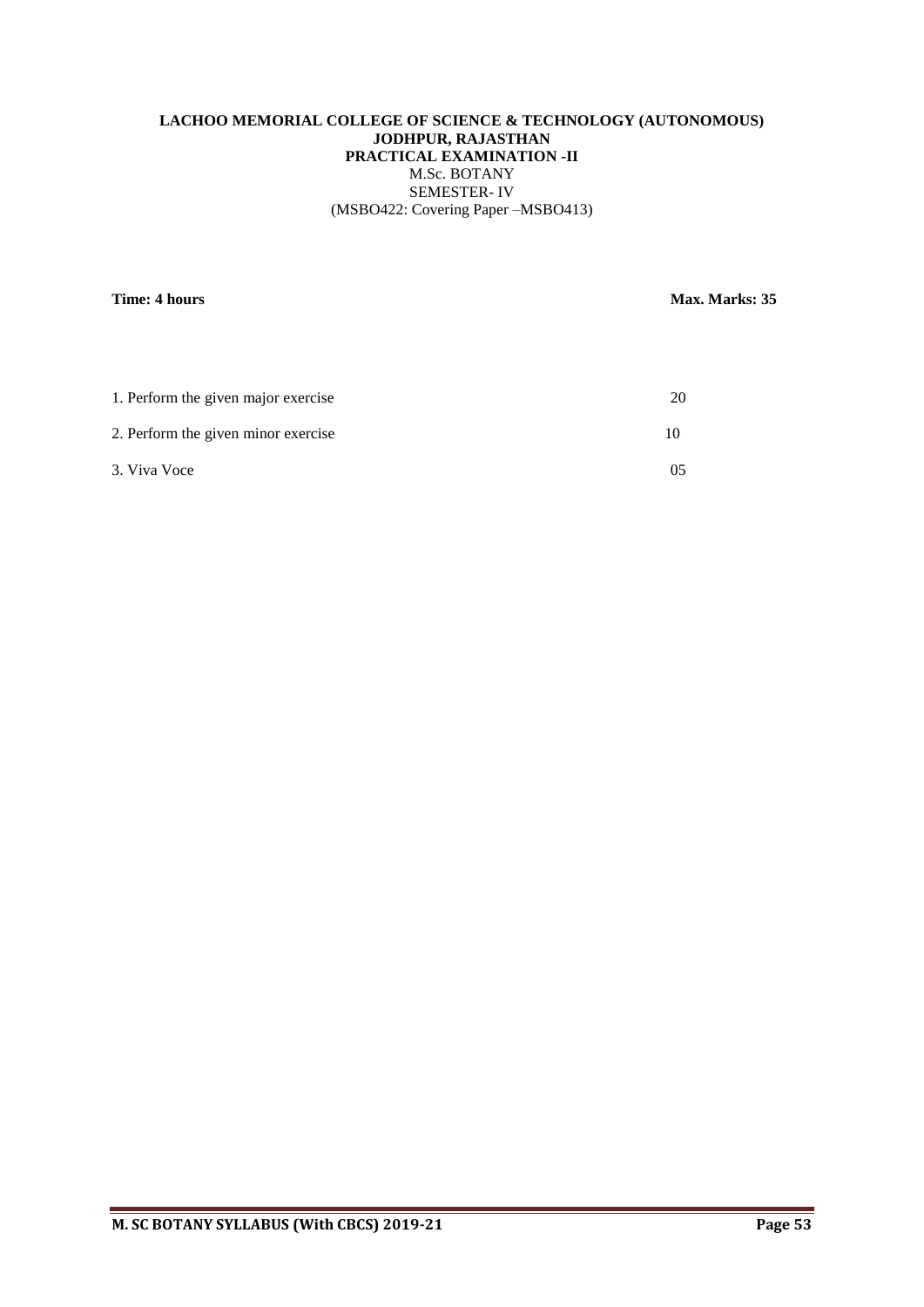# **LACHOO MEMORIAL COLLEGE OF SCIENCE & TECHNOLOGY (AUTONOMOUS) JODHPUR, RAJASTHAN PRACTICAL EXAMINATION -II** M.Sc. BOTANY SEMESTER- IV (MSBO422: Covering Paper –MSBO413)

**Time: 4 hours** Max. Marks: 35

| 1. Perform the given major exercise |  |
|-------------------------------------|--|
| 2. Perform the given minor exercise |  |
| 3. Viva Voce                        |  |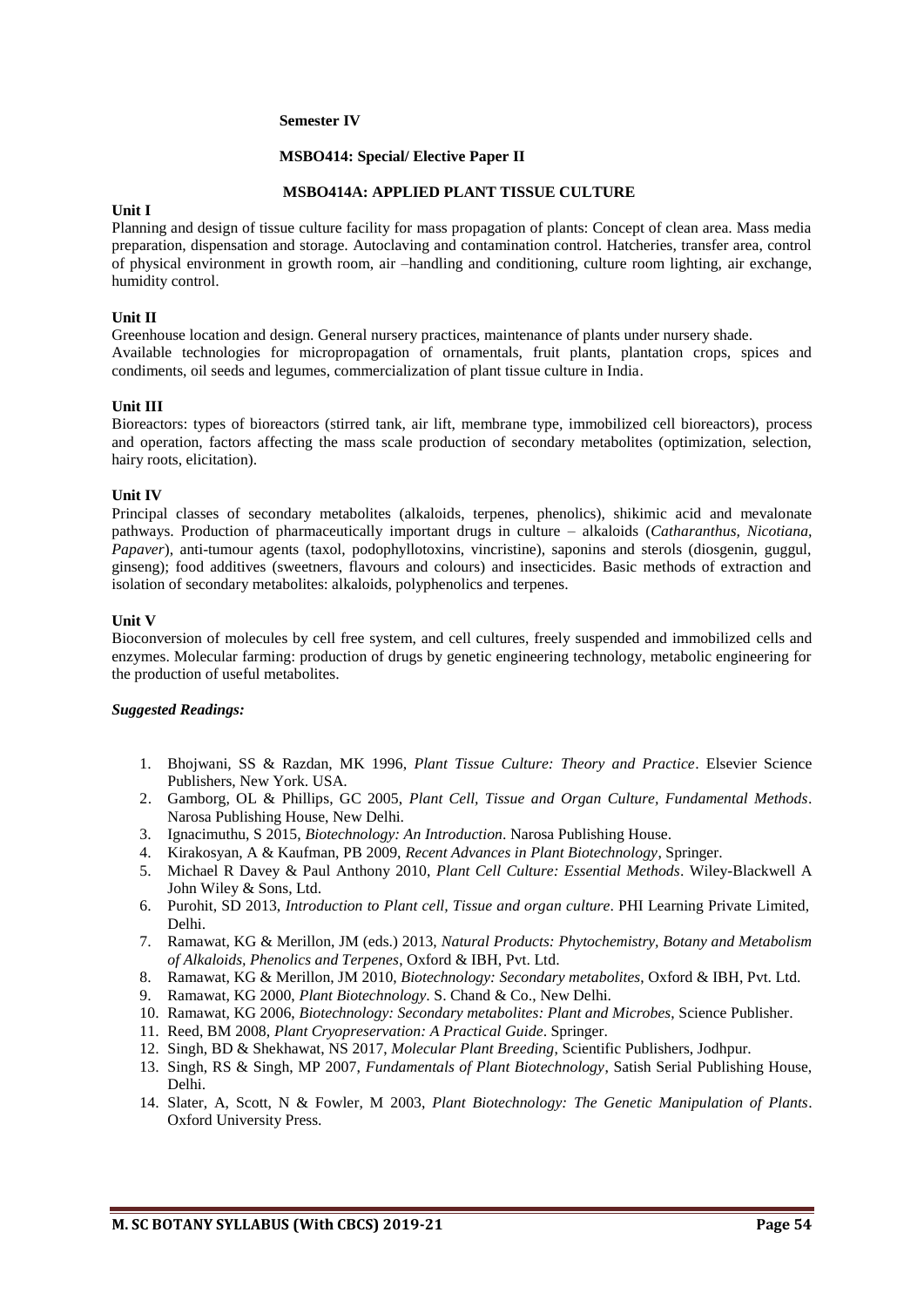#### **Semester IV**

#### **MSBO414: Special/ Elective Paper II**

#### **MSBO414A: APPLIED PLANT TISSUE CULTURE**

#### **Unit I**

Planning and design of tissue culture facility for mass propagation of plants: Concept of clean area. Mass media preparation, dispensation and storage. Autoclaving and contamination control. Hatcheries, transfer area, control of physical environment in growth room, air –handling and conditioning, culture room lighting, air exchange, humidity control.

#### **Unit II**

Greenhouse location and design. General nursery practices, maintenance of plants under nursery shade. Available technologies for micropropagation of ornamentals, fruit plants, plantation crops, spices and condiments, oil seeds and legumes, commercialization of plant tissue culture in India.

#### **Unit III**

Bioreactors: types of bioreactors (stirred tank, air lift, membrane type, immobilized cell bioreactors), process and operation, factors affecting the mass scale production of secondary metabolites (optimization, selection, hairy roots, elicitation).

#### **Unit IV**

Principal classes of secondary metabolites (alkaloids, terpenes, phenolics), shikimic acid and mevalonate pathways. Production of pharmaceutically important drugs in culture – alkaloids (*Catharanthus, Nicotiana, Papaver*), anti-tumour agents (taxol, podophyllotoxins, vincristine), saponins and sterols (diosgenin, guggul, ginseng); food additives (sweetners, flavours and colours) and insecticides. Basic methods of extraction and isolation of secondary metabolites: alkaloids, polyphenolics and terpenes.

#### **Unit V**

Bioconversion of molecules by cell free system, and cell cultures, freely suspended and immobilized cells and enzymes. Molecular farming: production of drugs by genetic engineering technology, metabolic engineering for the production of useful metabolites.

- 1. Bhojwani, SS & Razdan, MK 1996, *Plant Tissue Culture: Theory and Practice*. Elsevier Science Publishers, New York. USA.
- 2. Gamborg, OL & Phillips, GC 2005, *Plant Cell, Tissue and Organ Culture, Fundamental Methods*. Narosa Publishing House, New Delhi.
- 3. Ignacimuthu, S 2015, *Biotechnology: An Introduction*. Narosa Publishing House.
- 4. Kirakosyan, A & Kaufman, PB 2009, *Recent Advances in Plant Biotechnology*, Springer.
- 5. Michael R Davey & Paul Anthony 2010, *Plant Cell Culture: Essential Methods*. Wiley-Blackwell A John Wiley & Sons, Ltd.
- 6. Purohit, SD 2013, *Introduction to Plant cell, Tissue and organ culture*. PHI Learning Private Limited, Delhi.
- 7. Ramawat, KG & Merillon, JM (eds.) 2013, *Natural Products: Phytochemistry, Botany and Metabolism of Alkaloids, Phenolics and Terpenes*, Oxford & IBH, Pvt. Ltd.
- 8. Ramawat, KG & Merillon, JM 2010, *Biotechnology: Secondary metabolites*, Oxford & IBH, Pvt. Ltd.
- 9. Ramawat, KG 2000, *Plant Biotechnology*. S. Chand & Co., New Delhi.
- 10. Ramawat, KG 2006, *Biotechnology: Secondary metabolites: Plant and Microbes*, Science Publisher.
- 11. Reed, BM 2008, *Plant Cryopreservation: A Practical Guide*. Springer.
- 12. Singh, BD & Shekhawat, NS 2017, *Molecular Plant Breeding*, Scientific Publishers, Jodhpur.
- 13. Singh, RS & Singh, MP 2007, *Fundamentals of Plant Biotechnology*, Satish Serial Publishing House, Delhi.
- 14. Slater, A, Scott, N & Fowler, M 2003, *Plant Biotechnology: The Genetic Manipulation of Plants*. Oxford University Press.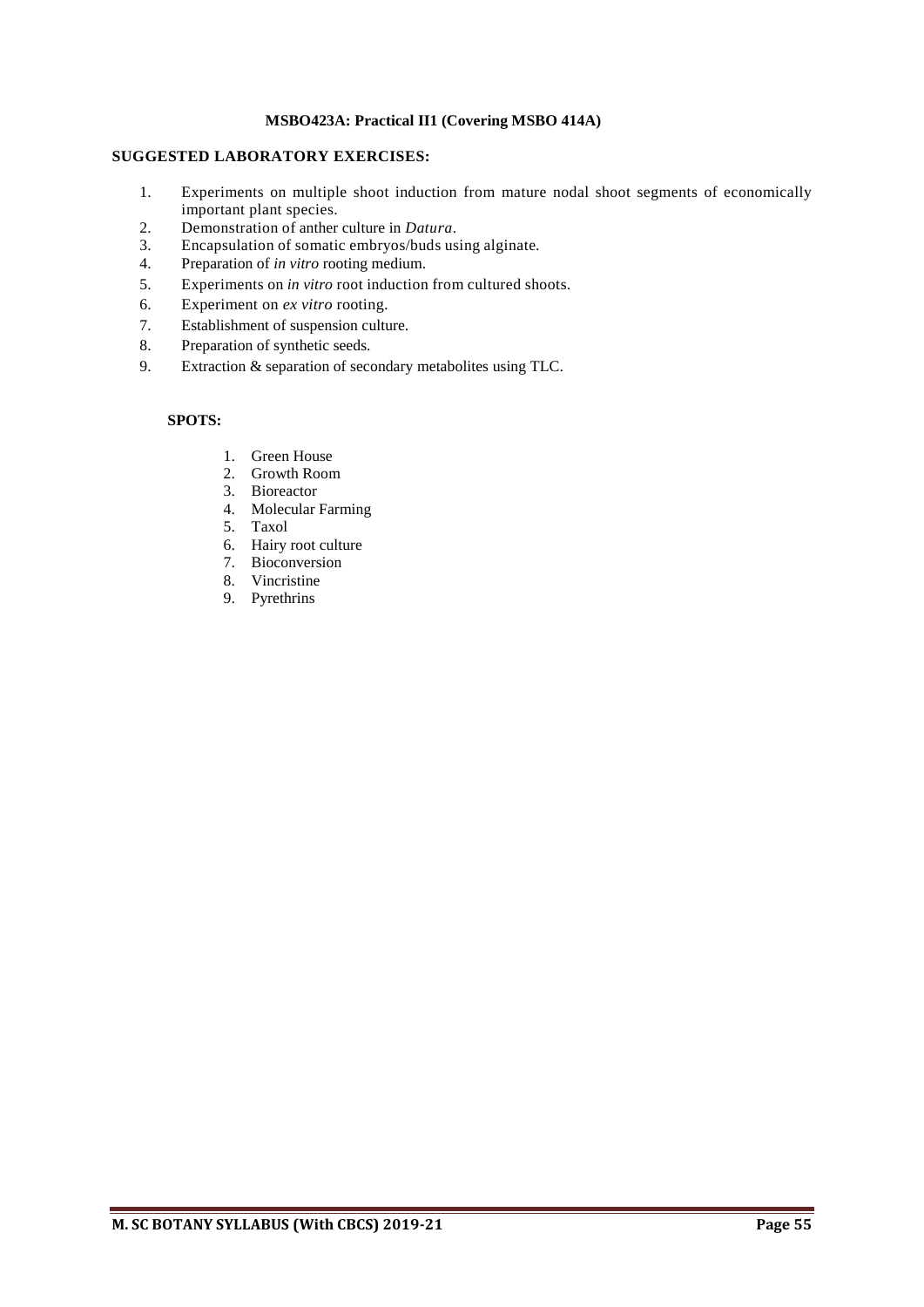# **MSBO423A: Practical II1 (Covering MSBO 414A)**

# **SUGGESTED LABORATORY EXERCISES:**

- 1. Experiments on multiple shoot induction from mature nodal shoot segments of economically important plant species.
- 2. Demonstration of anther culture in *Datura*.<br>3. Encapsulation of somatic embryos/buds us
- 3. Encapsulation of somatic embryos/buds using alginate.<br>4. Preparation of *in vitro* rooting medium.
- 4. Preparation of *in vitro* rooting medium.
- 5. Experiments on *in vitro* root induction from cultured shoots.
- 6. Experiment on *ex vitro* rooting.
- 7. Establishment of suspension culture.
- 8. Preparation of synthetic seeds.
- 9. Extraction & separation of secondary metabolites using TLC.

# **SPOTS:**

- 1. Green House
- 2. Growth Room
- 3. Bioreactor
- 4. Molecular Farming
- 5. Taxol
- 6. Hairy root culture
- 7. Bioconversion
- 8. Vincristine
- 9. Pyrethrins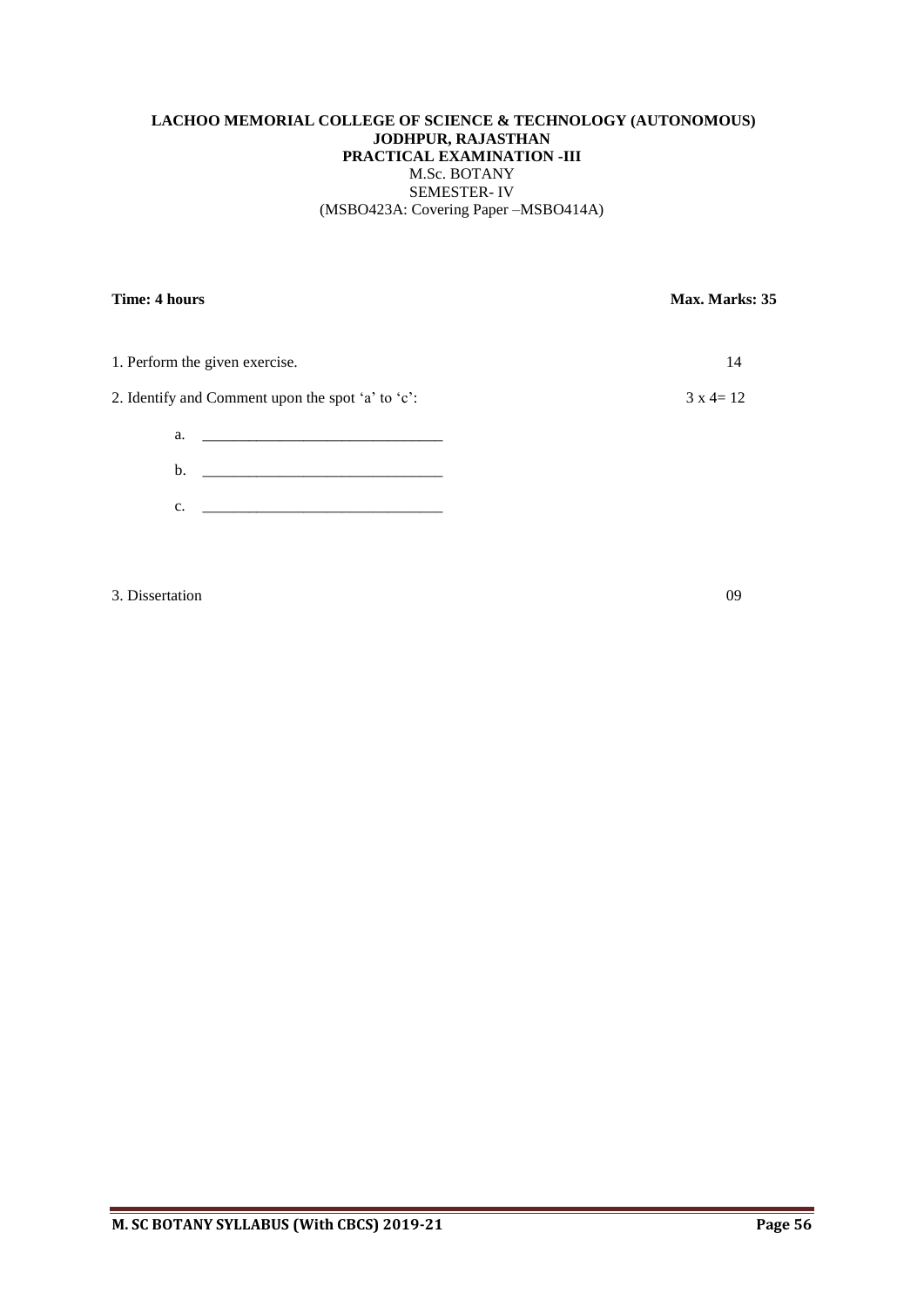# **LACHOO MEMORIAL COLLEGE OF SCIENCE & TECHNOLOGY (AUTONOMOUS) JODHPUR, RAJASTHAN PRACTICAL EXAMINATION -III** M.Sc. BOTANY SEMESTER- IV (MSBO423A: Covering Paper –MSBO414A)

| Time: 4 hours                                     | Max. Marks: 35 |  |
|---------------------------------------------------|----------------|--|
| 1. Perform the given exercise.                    | 14             |  |
| 2. Identify and Comment upon the spot 'a' to 'c': | $3x4=12$       |  |
|                                                   |                |  |
| $\mathbf b$ .                                     |                |  |
| c.                                                |                |  |
|                                                   |                |  |

3. Dissertation 09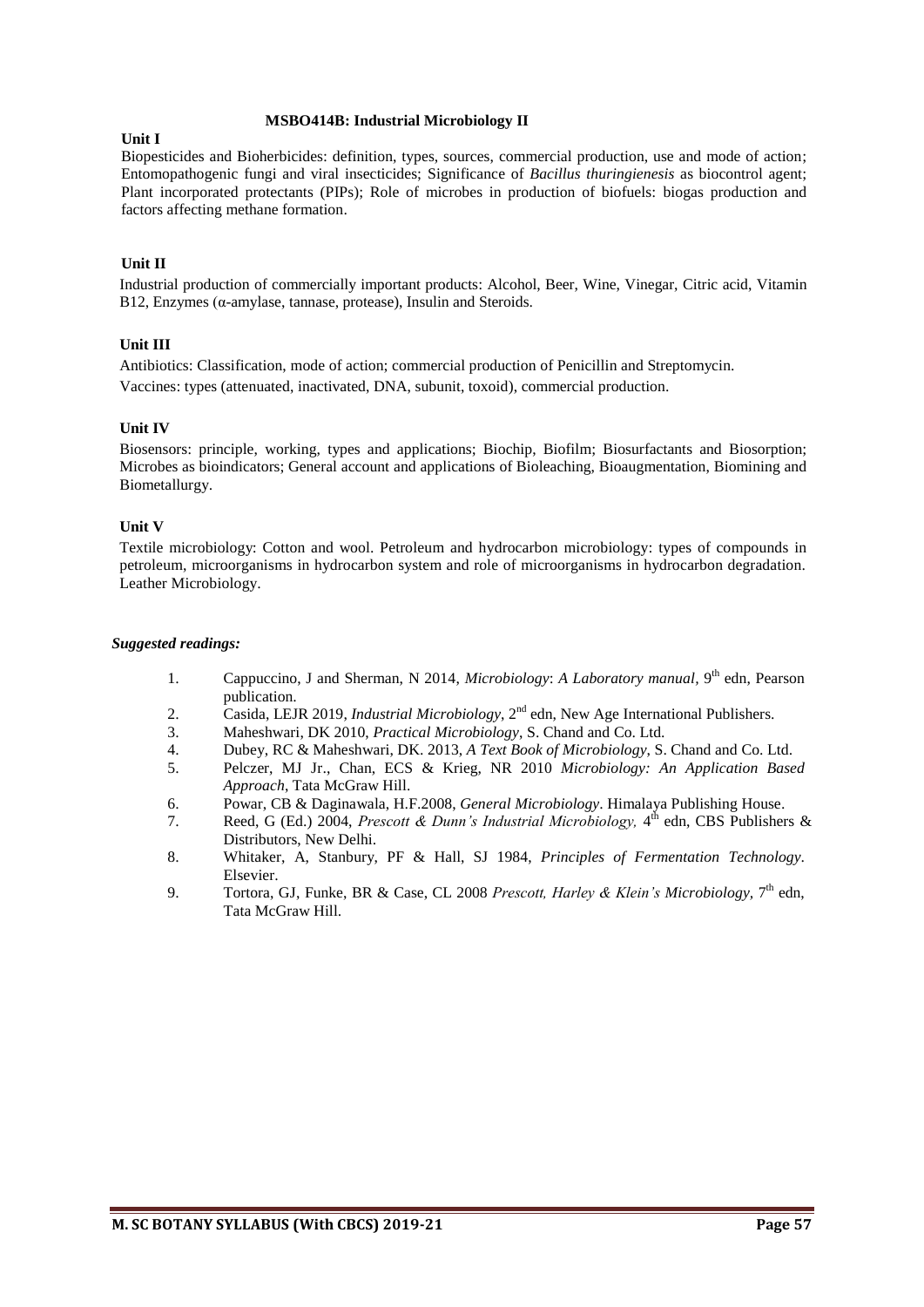#### **MSBO414B: Industrial Microbiology II**

### **Unit I**

Biopesticides and Bioherbicides: definition, types, sources, commercial production, use and mode of action; Entomopathogenic fungi and viral insecticides; Significance of *Bacillus thuringienesis* as biocontrol agent; Plant incorporated protectants (PIPs); Role of microbes in production of biofuels: biogas production and factors affecting methane formation.

# **Unit II**

Industrial production of commercially important products: Alcohol, Beer, Wine, Vinegar, Citric acid, Vitamin B12, Enzymes (α-amylase, tannase, protease), Insulin and Steroids.

# **Unit III**

Antibiotics: Classification, mode of action; commercial production of Penicillin and Streptomycin. Vaccines: types (attenuated, inactivated, DNA, subunit, toxoid), commercial production.

# **Unit IV**

Biosensors: principle, working, types and applications; Biochip, Biofilm; Biosurfactants and Biosorption; Microbes as bioindicators; General account and applications of Bioleaching, Bioaugmentation, Biomining and Biometallurgy.

# **Unit V**

Textile microbiology: Cotton and wool. Petroleum and hydrocarbon microbiology: types of compounds in petroleum, microorganisms in hydrocarbon system and role of microorganisms in hydrocarbon degradation. Leather Microbiology.

- 1. Cappuccino, J and Sherman, N 2014, *Microbiology: A Laboratory manual*, 9<sup>th</sup> edn, Pearson publication.
- 2. Casida, LEJR 2019, *Industrial Microbiology*, 2<sup>nd</sup> edn, New Age International Publishers.
- 3. Maheshwari, DK 2010, *Practical Microbiology*, S. Chand and Co. Ltd.
- 4. Dubey, RC & Maheshwari, DK. 2013, *A Text Book of Microbiology*, S. Chand and Co. Ltd.
- 5. Pelczer, MJ Jr., Chan, ECS & Krieg, NR 2010 *Microbiology: An Application Based Approach*, Tata McGraw Hill.
- 6. Powar, CB & Daginawala, H.F.2008, *General Microbiology*. Himalaya Publishing House.
- 7. Reed, G (Ed.) 2004, *Prescott & Dunn's Industrial Microbiology*, 4<sup>th</sup> edn, CBS Publishers & Distributors, New Delhi.
- 8. Whitaker, A, Stanbury, PF & Hall, SJ 1984, *Principles of Fermentation Technology*. Elsevier.
- 9. Tortora, GJ, Funke, BR & Case, CL 2008 *Prescott, Harley & Klein's Microbiology,* 7 th edn, Tata McGraw Hill.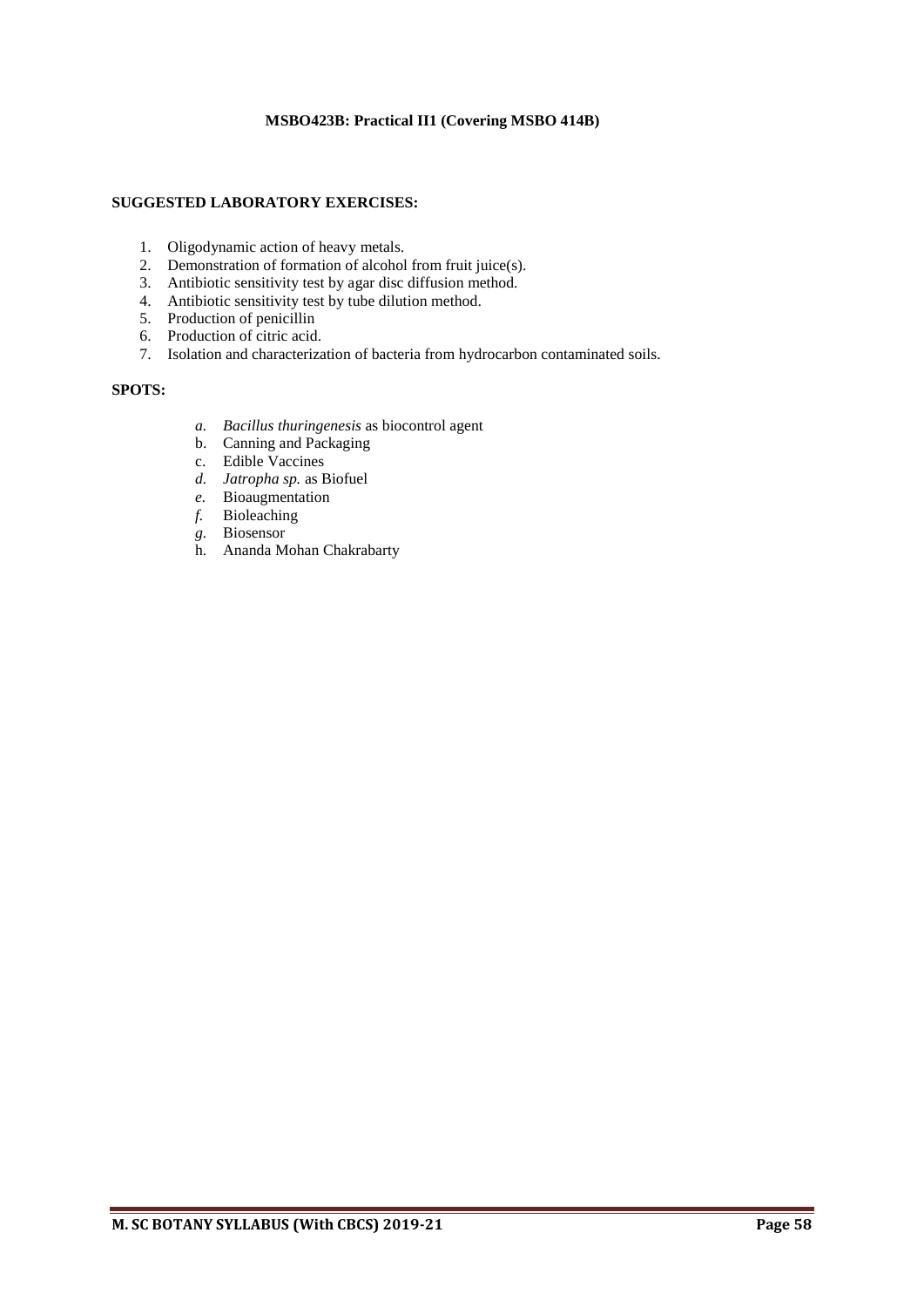# **MSBO423B: Practical II1 (Covering MSBO 414B)**

# **SUGGESTED LABORATORY EXERCISES:**

- 1. Oligodynamic action of heavy metals.
- 2. Demonstration of formation of alcohol from fruit juice(s).
- 3. Antibiotic sensitivity test by agar disc diffusion method.
- 4. Antibiotic sensitivity test by tube dilution method.
- 5. Production of penicillin
- 6. Production of citric acid.
- 7. Isolation and characterization of bacteria from hydrocarbon contaminated soils.

# **SPOTS:**

- *a. Bacillus thuringenesis* as biocontrol agent
- b. Canning and Packaging
- c. Edible Vaccines
- *d. Jatropha sp.* as Biofuel
- *e.* Bioaugmentation
- *f.* Bioleaching
- *g.* Biosensor
- h. Ananda Mohan Chakrabarty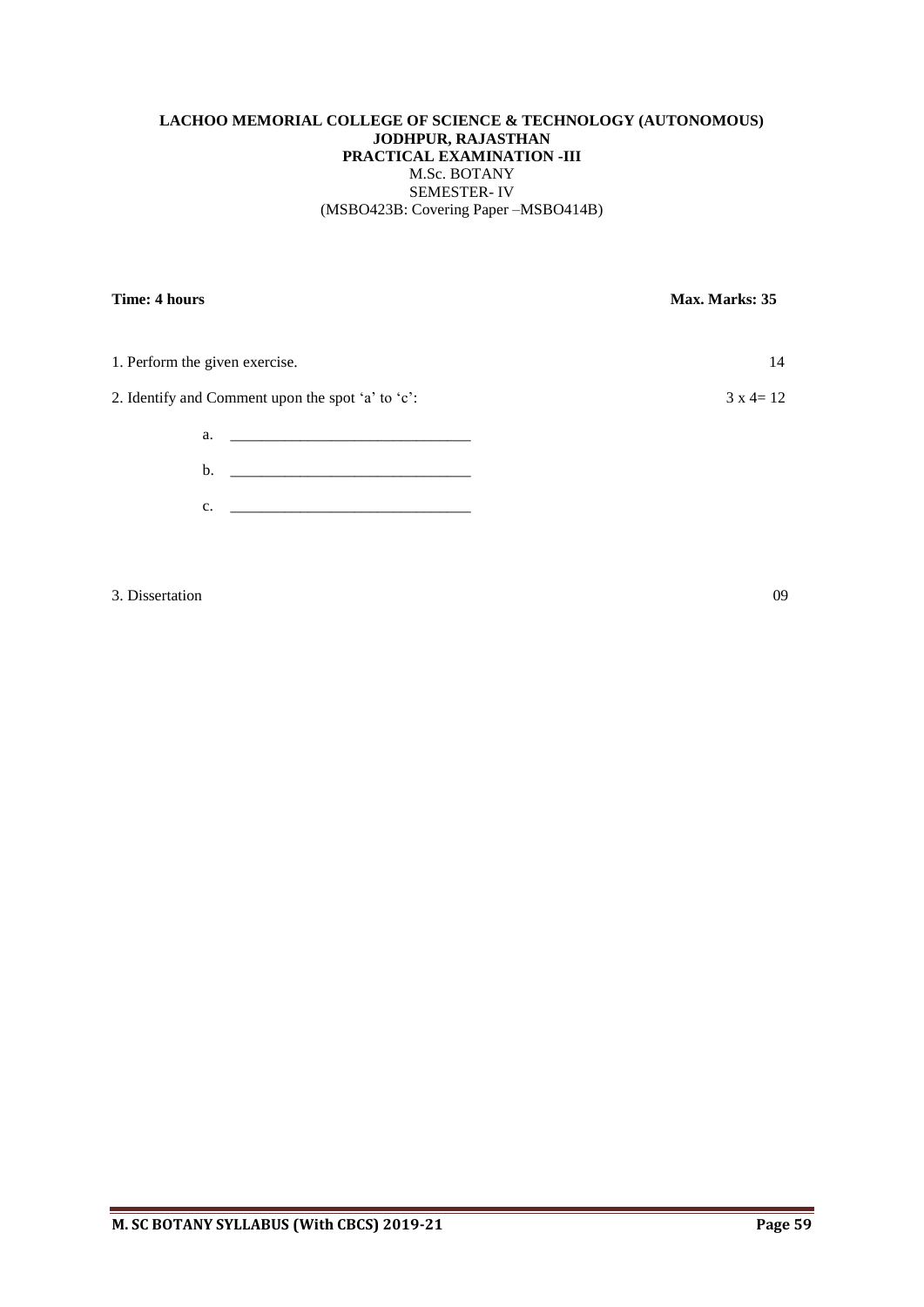# **LACHOO MEMORIAL COLLEGE OF SCIENCE & TECHNOLOGY (AUTONOMOUS) JODHPUR, RAJASTHAN PRACTICAL EXAMINATION -III** M.Sc. BOTANY SEMESTER- IV (MSBO423B: Covering Paper –MSBO414B)

**Time: 4 hours** Max. Marks: 35 1. Perform the given exercise. 14 2. Identify and Comment upon the spot 'a' to 'c':  $3 \times 4 = 12$  $a.$  $b.$ c. <u>\_\_\_\_\_\_\_\_\_\_\_\_\_\_\_\_\_\_\_\_\_\_\_\_\_\_\_\_\_\_\_\_</u>

3. Dissertation 09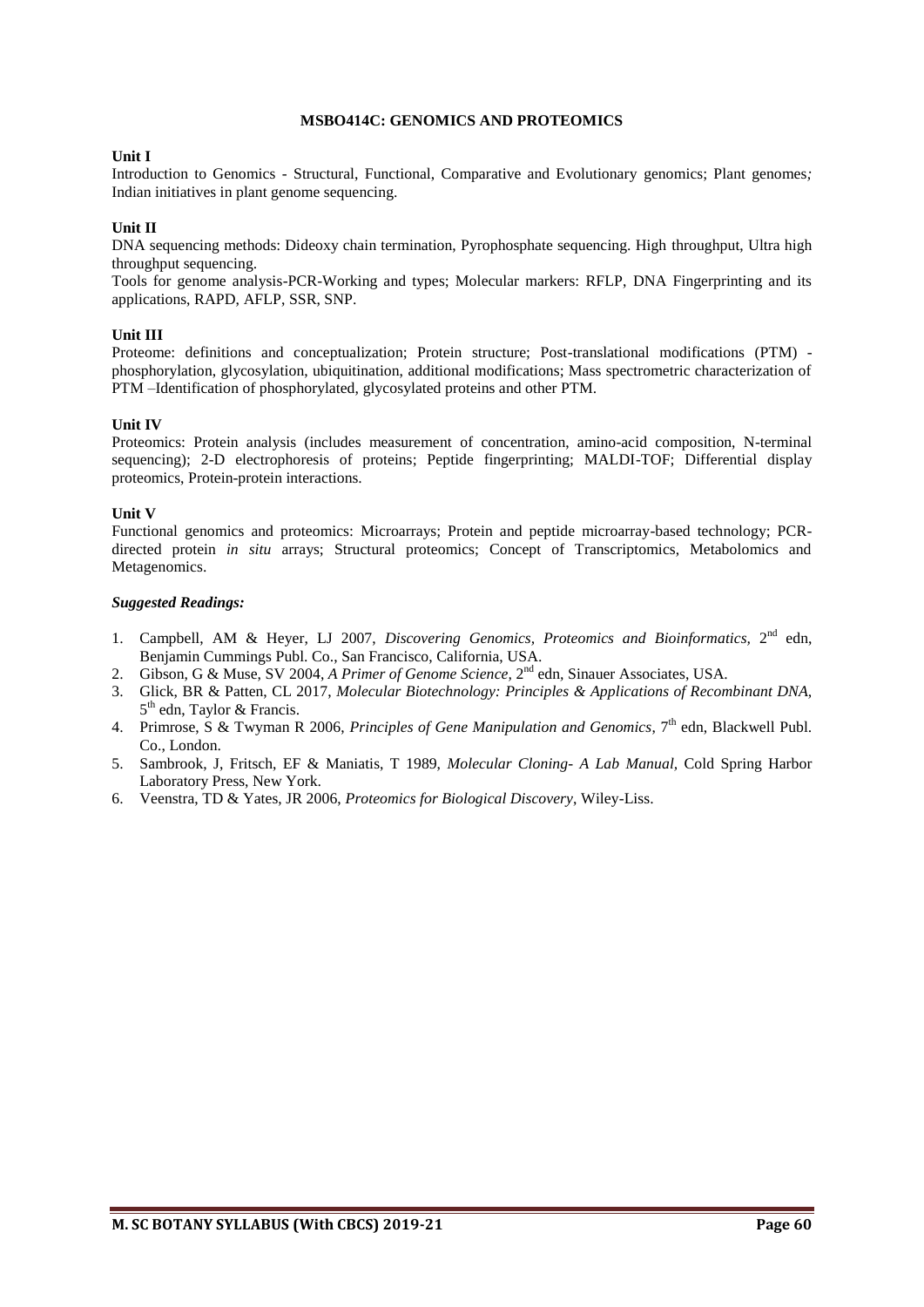#### **MSBO414C: GENOMICS AND PROTEOMICS**

#### **Unit I**

Introduction to Genomics - Structural, Functional, Comparative and Evolutionary genomics; Plant genomes*;*  Indian initiatives in plant genome sequencing.

#### **Unit II**

DNA sequencing methods: Dideoxy chain termination, Pyrophosphate sequencing. High throughput, Ultra high throughput sequencing.

Tools for genome analysis-PCR-Working and types; Molecular markers: RFLP, DNA Fingerprinting and its applications, RAPD, AFLP, SSR, SNP.

#### **Unit III**

Proteome: definitions and conceptualization; Protein structure; Post-translational modifications (PTM) phosphorylation, glycosylation, ubiquitination, additional modifications; Mass spectrometric characterization of PTM –Identification of phosphorylated, glycosylated proteins and other PTM.

#### **Unit IV**

Proteomics: Protein analysis (includes measurement of concentration, amino-acid composition, N-terminal sequencing); 2-D electrophoresis of proteins; Peptide fingerprinting; MALDI-TOF; Differential display proteomics, Protein-protein interactions.

#### **Unit V**

Functional genomics and proteomics: Microarrays; Protein and peptide microarray-based technology; PCRdirected protein *in situ* arrays; Structural proteomics; Concept of Transcriptomics, Metabolomics and Metagenomics.

- 1. Campbell, AM & Heyer, LJ 2007, *Discovering Genomics, Proteomics and Bioinformatics*, 2<sup>nd</sup> edn, Benjamin Cummings Publ. Co., San Francisco, California, USA.
- 2. Gibson, G & Muse, SV 2004, A Primer of Genome Science, 2<sup>nd</sup> edn, Sinauer Associates, USA.
- 3. Glick, BR & Patten, CL 2017, *Molecular Biotechnology: Principles & Applications of Recombinant DNA,*  5<sup>th</sup> edn, Taylor & Francis.
- 4. Primrose, S & Twyman R 2006, *Principles of Gene Manipulation and Genomics*, 7<sup>th</sup> edn, Blackwell Publ. Co., London.
- 5. Sambrook, J, Fritsch, EF & Maniatis, T 1989, *Molecular Cloning- A Lab Manual,* Cold Spring Harbor Laboratory Press, New York.
- 6. Veenstra, TD & Yates, JR 2006, *Proteomics for Biological Discovery*, Wiley-Liss.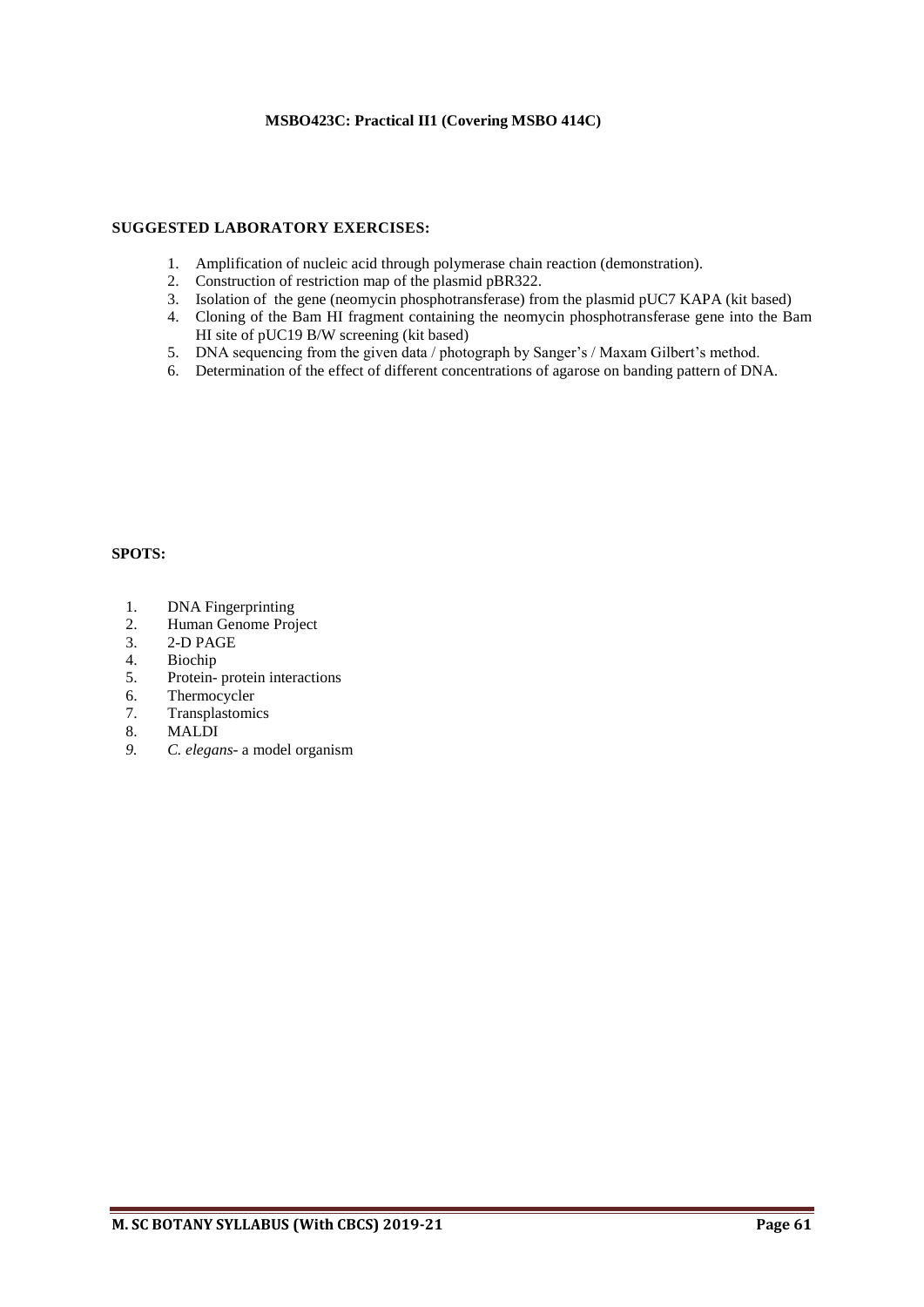# **MSBO423C: Practical II1 (Covering MSBO 414C)**

#### **SUGGESTED LABORATORY EXERCISES:**

- 1. Amplification of nucleic acid through polymerase chain reaction (demonstration).
- 2. Construction of restriction map of the plasmid pBR322.
- 3. Isolation of the gene (neomycin phosphotransferase) from the plasmid pUC7 KAPA (kit based)
- 4. Cloning of the Bam HI fragment containing the neomycin phosphotransferase gene into the Bam HI site of pUC19 B/W screening (kit based)
- 5. DNA sequencing from the given data / photograph by Sanger's / Maxam Gilbert's method.
- 6. Determination of the effect of different concentrations of agarose on banding pattern of DNA.

# **SPOTS:**

- 1. DNA Fingerprinting<br>2. Human Genome Proj
- 2. Human Genome Project<br>3. 2-D PAGE
- 3. 2-D PAGE
- 4. Biochip
- 5. Protein- protein interactions
- 6. Thermocycler
- 7. Transplastomics
- 8. MALDI
- *9. C. elegans* a model organism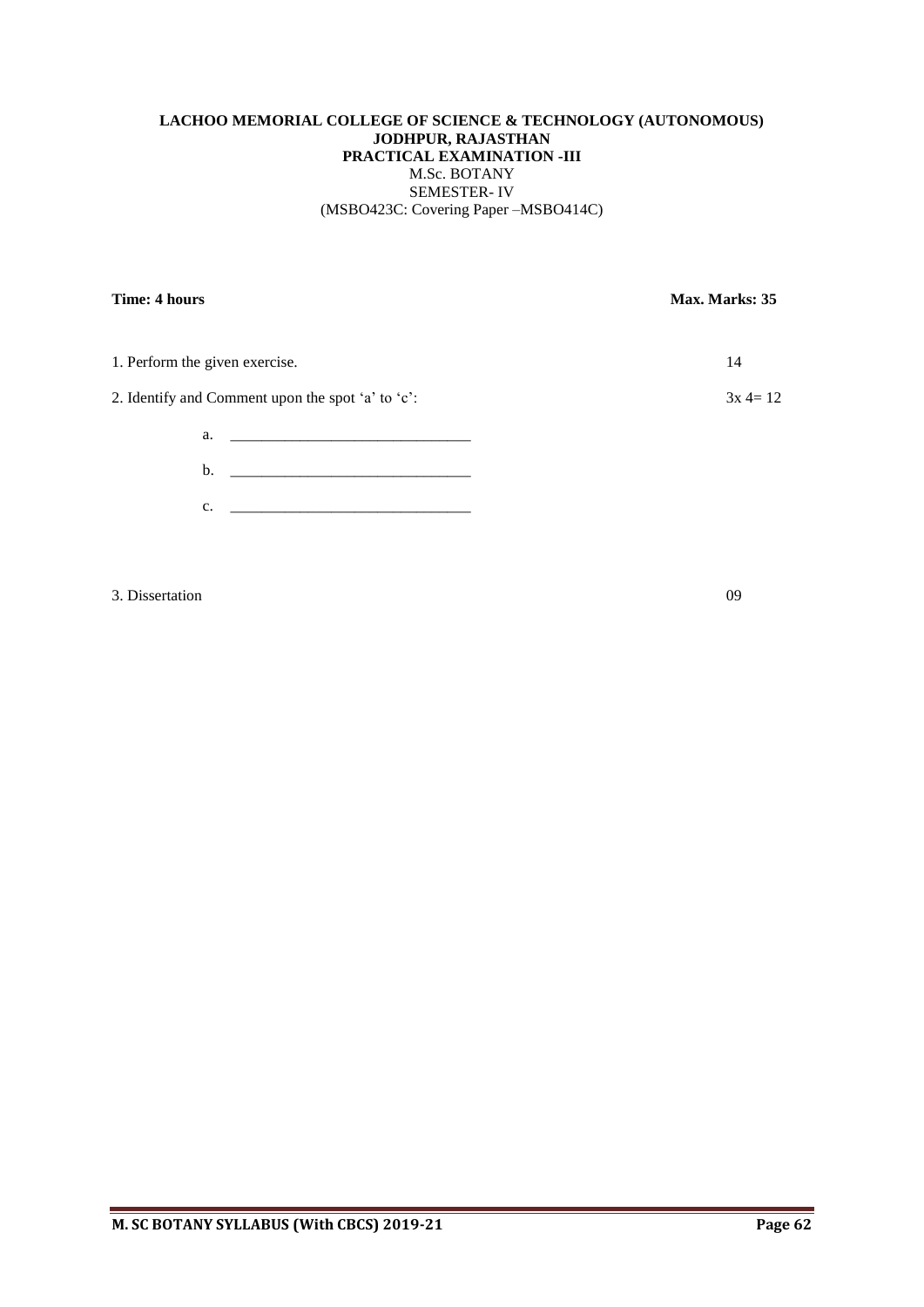# **LACHOO MEMORIAL COLLEGE OF SCIENCE & TECHNOLOGY (AUTONOMOUS) JODHPUR, RAJASTHAN PRACTICAL EXAMINATION -III** M.Sc. BOTANY SEMESTER- IV (MSBO423C: Covering Paper –MSBO414C)

**Time: 4 hours** Max. Marks: 35 1. Perform the given exercise. 14 2. Identify and Comment upon the spot 'a' to 'c':  $3x 4=12$  $a.$  $b.$ c. <u>\_\_\_\_\_\_\_\_\_\_\_\_\_\_\_\_\_\_\_\_\_\_\_\_\_\_\_\_\_\_\_\_</u>

3. Dissertation 09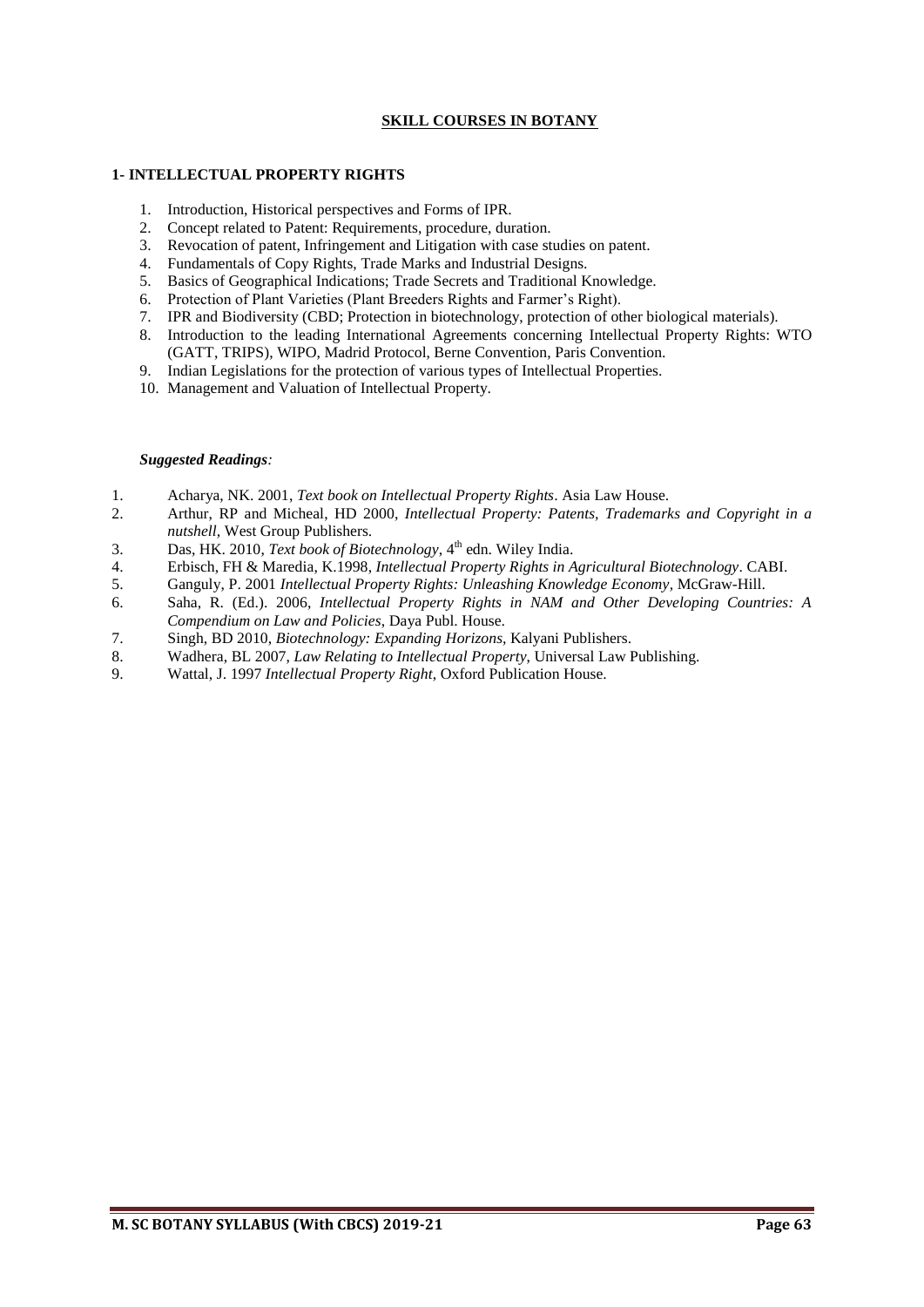# **SKILL COURSES IN BOTANY**

#### **1- INTELLECTUAL PROPERTY RIGHTS**

- 1. Introduction, Historical perspectives and Forms of IPR.
- 2. Concept related to Patent: Requirements, procedure, duration.
- 3. Revocation of patent, Infringement and Litigation with case studies on patent.
- 4. Fundamentals of Copy Rights, Trade Marks and Industrial Designs.
- 5. Basics of Geographical Indications; Trade Secrets and Traditional Knowledge.
- 6. Protection of Plant Varieties (Plant Breeders Rights and Farmer's Right).
- 7. IPR and Biodiversity (CBD; Protection in biotechnology, protection of other biological materials).
- 8. Introduction to the leading International Agreements concerning Intellectual Property Rights: WTO (GATT, TRIPS), WIPO, Madrid Protocol, Berne Convention, Paris Convention.
- 9. Indian Legislations for the protection of various types of Intellectual Properties.
- 10. Management and Valuation of Intellectual Property.

- 1. Acharya, NK. 2001, *Text book on Intellectual Property Rights*. Asia Law House.
- 2. Arthur, RP and Micheal, HD 2000, *Intellectual Property: Patents, Trademarks and Copyright in a nutshell,* West Group Publishers.
- 3. Das, HK. 2010, *Text book of Biotechnology*, 4<sup>th</sup> edn. Wiley India.
- 4. Erbisch, FH & Maredia, K.1998, *Intellectual Property Rights in Agricultural Biotechnology*. CABI.
- 5. Ganguly, P. 2001 *Intellectual Property Rights: Unleashing Knowledge Economy,* McGraw-Hill.
- 6. Saha, R. (Ed.). 2006, *Intellectual Property Rights in NAM and Other Developing Countries: A Compendium on Law and Policies*, Daya Publ. House.
- 7. Singh, BD 2010, *Biotechnology: Expanding Horizons,* Kalyani Publishers.
- 8. Wadhera, BL 2007, *Law Relating to Intellectual Property*, Universal Law Publishing.
- 9. Wattal, J. 1997 *Intellectual Property Right*, Oxford Publication House.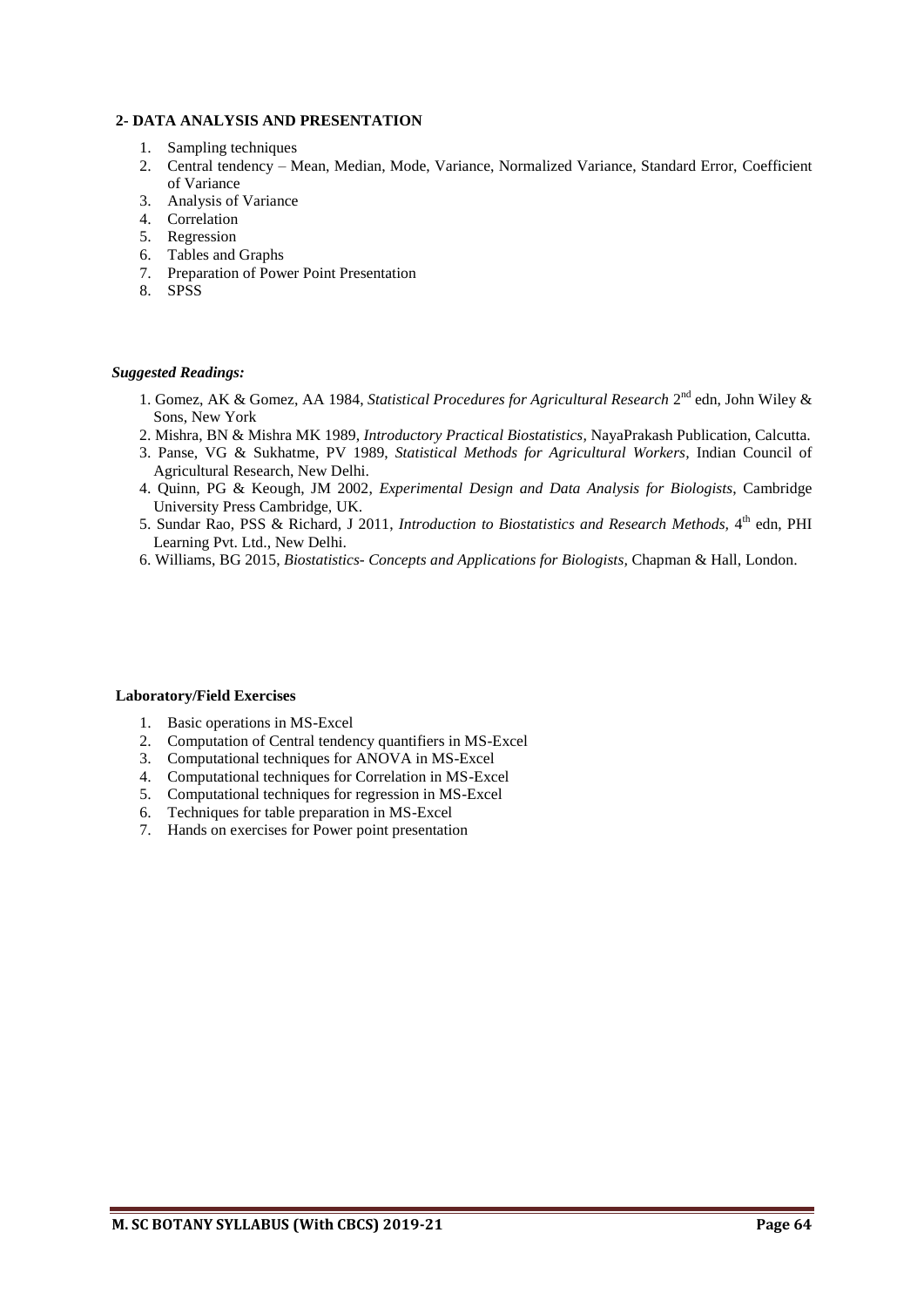# **2- DATA ANALYSIS AND PRESENTATION**

- 1. Sampling techniques
- 2. Central tendency Mean, Median, Mode, Variance, Normalized Variance, Standard Error, Coefficient of Variance
- 3. Analysis of Variance
- 4. Correlation
- 5. Regression
- 6. Tables and Graphs
- 7. Preparation of Power Point Presentation
- 8. SPSS

#### *Suggested Readings:*

- 1. Gomez, AK & Gomez, AA 1984, *Statistical Procedures for Agricultural Research* 2<sup>nd</sup> edn, John Wiley & Sons, New York
- 2. Mishra, BN & Mishra MK 1989, *Introductory Practical Biostatistics,* NayaPrakash Publication, Calcutta.
- 3. Panse, VG & Sukhatme, PV 1989, *Statistical Methods for Agricultural Workers,* Indian Council of Agricultural Research, New Delhi.
- 4. Quinn, PG & Keough, JM 2002, *Experimental Design and Data Analysis for Biologists*, Cambridge University Press Cambridge, UK.
- 5. Sundar Rao, PSS & Richard, J 2011, *Introduction to Biostatistics and Research Methods*, 4<sup>th</sup> edn, PHI Learning Pvt. Ltd., New Delhi.
- 6. Williams, BG 2015, *Biostatistics- Concepts and Applications for Biologists,* Chapman & Hall, London.

#### **Laboratory/Field Exercises**

- 1. Basic operations in MS-Excel
- 2. Computation of Central tendency quantifiers in MS-Excel
- 3. Computational techniques for ANOVA in MS-Excel
- 4. Computational techniques for Correlation in MS-Excel
- 5. Computational techniques for regression in MS-Excel
- 6. Techniques for table preparation in MS-Excel
- 7. Hands on exercises for Power point presentation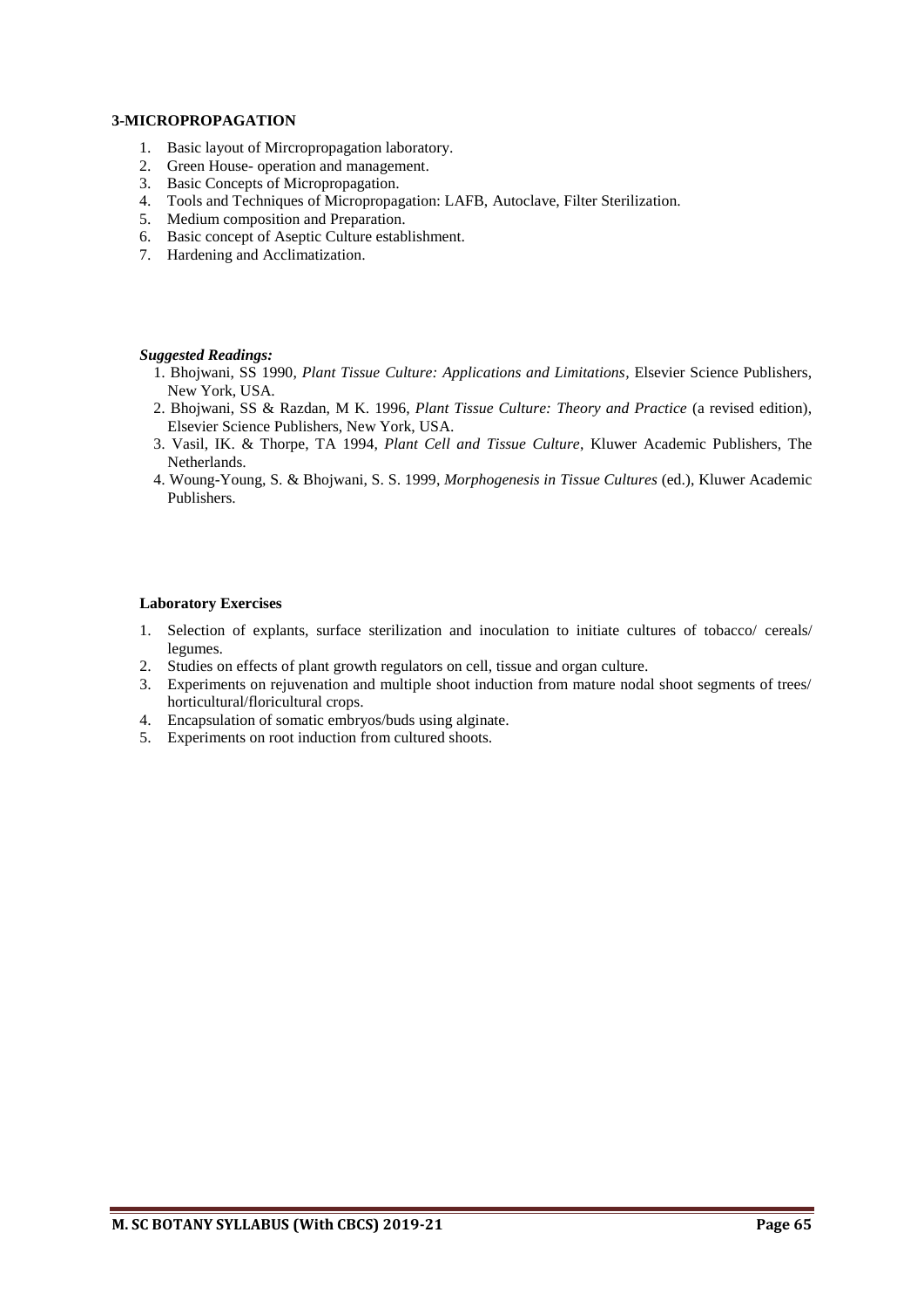### **3-MICROPROPAGATION**

- 1. Basic layout of Mircropropagation laboratory.
- 2. Green House- operation and management.
- 3. Basic Concepts of Micropropagation.
- 4. Tools and Techniques of Micropropagation: LAFB, Autoclave, Filter Sterilization.
- 5. Medium composition and Preparation.
- 6. Basic concept of Aseptic Culture establishment.
- 7. Hardening and Acclimatization.

#### *Suggested Readings:*

- 1. Bhojwani, SS 1990, *Plant Tissue Culture: Applications and Limitations,* Elsevier Science Publishers, New York, USA.
- 2. Bhojwani, SS & Razdan, M K. 1996, *Plant Tissue Culture: Theory and Practice* (a revised edition), Elsevier Science Publishers, New York, USA.
- 3. Vasil, IK. & Thorpe, TA 1994, *Plant Cell and Tissue Culture*, Kluwer Academic Publishers, The Netherlands.
- 4. Woung-Young, S. & Bhojwani, S. S. 1999, *Morphogenesis in Tissue Cultures* (ed.), Kluwer Academic Publishers.

# **Laboratory Exercises**

- 1. Selection of explants, surface sterilization and inoculation to initiate cultures of tobacco/ cereals/ legumes.
- 2. Studies on effects of plant growth regulators on cell, tissue and organ culture.
- 3. Experiments on rejuvenation and multiple shoot induction from mature nodal shoot segments of trees/ horticultural/floricultural crops.
- 4. Encapsulation of somatic embryos/buds using alginate.
- 5. Experiments on root induction from cultured shoots.